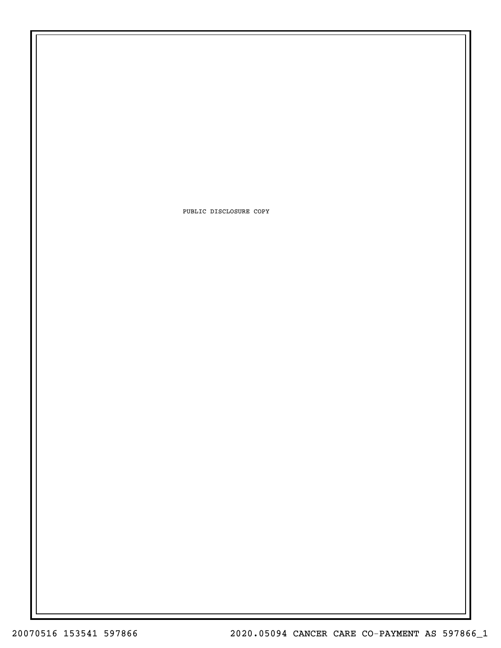PUBLIC DISCLOSURE COPY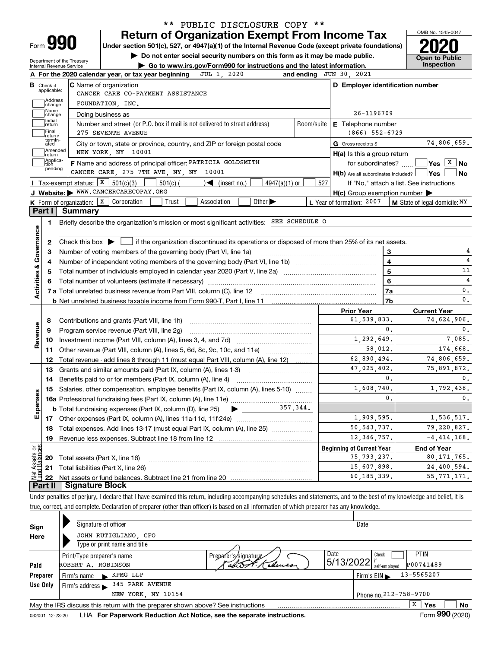| Form |  |
|------|--|

### **Return of Organization Exempt From Income Tax** \*\* PUBLIC DISCLOSURE COPY \*\*

**Under section 501(c), 527, or 4947(a)(1) of the Internal Revenue Code (except private foundations) 2020**

enter social security numbers on this form as it may be made public.

OMB No. 1545-0047 **Open to Public** 

| A For the 2020 calendar year, or tax year h            |                              |
|--------------------------------------------------------|------------------------------|
| Department of the Treasury<br>Internal Revenue Service | $\blacktriangleright$ Go to  |
|                                                        | $\blacktriangleright$ Do not |

|                                         |  | $\triangleright$ Go to www.irs.gov/Form990 for instructions and the latest information. |  | <b>ODEN IO FUD</b><br>Inspection |
|-----------------------------------------|--|-----------------------------------------------------------------------------------------|--|----------------------------------|
| year, or tax year beginning JUL 1, 2020 |  | and ending $JUN 30, 2021$                                                               |  |                                  |

|                         |                             | A For the 2020 calendar year, or tax year beginning                                                                                                 | and ending | JUN 30, 2021                                        |                                          |
|-------------------------|-----------------------------|-----------------------------------------------------------------------------------------------------------------------------------------------------|------------|-----------------------------------------------------|------------------------------------------|
| В                       | Check if<br>applicable:     | <b>C</b> Name of organization                                                                                                                       |            | D Employer identification number                    |                                          |
|                         | Address                     | CANCER CARE CO-PAYMENT ASSISTANCE                                                                                                                   |            |                                                     |                                          |
|                         | change<br>Name              | FOUNDATION, INC.                                                                                                                                    |            |                                                     |                                          |
|                         | change<br>Initial           | Doing business as                                                                                                                                   |            | 26-1196709                                          |                                          |
|                         | return                      | Number and street (or P.O. box if mail is not delivered to street address)                                                                          | Room/suite | <b>E</b> Telephone number                           |                                          |
|                         | Final<br>return/<br>termin- | 275 SEVENTH AVENUE                                                                                                                                  |            | $(866)$ 552-6729                                    |                                          |
|                         | ated                        | City or town, state or province, country, and ZIP or foreign postal code                                                                            |            | G Gross receipts \$                                 | 74,806,659.                              |
|                         | Amended<br>return           | NEW YORK, NY 10001                                                                                                                                  |            | $H(a)$ is this a group return                       |                                          |
|                         | Applica-<br>tion<br>pending | F Name and address of principal officer: PATRICIA GOLDSMITH                                                                                         |            | for subordinates?                                   | $\sqrt{}$ Yes $\sqrt{}$ X $\sqrt{}$ No   |
|                         |                             | CANCER CARE, 275 7TH AVE, NY, NY 10001                                                                                                              |            | $H(b)$ Are all subordinates included? $\Box$ Yes    | ∣No                                      |
|                         |                             | Tax-exempt status: $X \mid 501(c)(3)$<br>501(c) (<br>$4947(a)(1)$ or<br>$\mathcal{L}$ (insert no.)                                                  | 527        |                                                     | If "No," attach a list. See instructions |
|                         |                             | J Website: WWW.CANCERCARECOPAY.ORG                                                                                                                  |            | $H(c)$ Group exemption number $\blacktriangleright$ |                                          |
|                         |                             | <b>K</b> Form of organization: $\boxed{\textbf{X}}$ Corporation<br>Other $\blacktriangleright$<br>Trust<br>Association                              |            | L Year of formation: 2007                           | M State of legal domicile: NY            |
| Part I                  |                             | Summary                                                                                                                                             |            |                                                     |                                          |
|                         | 1.                          | Briefly describe the organization's mission or most significant activities: SEE SCHEDULE O                                                          |            |                                                     |                                          |
|                         |                             |                                                                                                                                                     |            |                                                     |                                          |
|                         | 2                           | Check this box $\blacktriangleright$ $\blacksquare$ if the organization discontinued its operations or disposed of more than 25% of its net assets. |            |                                                     |                                          |
| Governance              | 3                           | Number of voting members of the governing body (Part VI, line 1a)                                                                                   |            | 3                                                   |                                          |
|                         | 4                           |                                                                                                                                                     |            | $\overline{\mathbf{4}}$                             | 4                                        |
|                         | 5                           |                                                                                                                                                     |            | $\overline{\mathbf{5}}$                             | 11                                       |
|                         | 6                           |                                                                                                                                                     | $\bf 6$    | $\overline{4}$                                      |                                          |
| <b>Activities &amp;</b> |                             |                                                                                                                                                     |            | 7a                                                  | 0.                                       |
|                         |                             |                                                                                                                                                     |            | 7b                                                  | 0.                                       |
|                         |                             |                                                                                                                                                     |            | <b>Prior Year</b>                                   | <b>Current Year</b>                      |
|                         | 8                           | Contributions and grants (Part VIII, line 1h)                                                                                                       |            | 61,539,833.                                         | 74,624,906.                              |
| Revenue                 | 9                           | Program service revenue (Part VIII, line 2g)                                                                                                        |            | $\mathbf 0$ .                                       | 0.                                       |
|                         | 10                          |                                                                                                                                                     |            | 1,292,649.                                          | 7.085.                                   |
|                         | 11                          | Other revenue (Part VIII, column (A), lines 5, 6d, 8c, 9c, 10c, and 11e)                                                                            |            | 58.012.                                             | 174,668.                                 |
|                         | 12                          | Total revenue - add lines 8 through 11 (must equal Part VIII, column (A), line 12)                                                                  |            | 62.890.494.                                         | 74,806,659.                              |
|                         | 13                          | Grants and similar amounts paid (Part IX, column (A), lines 1-3)                                                                                    |            | 47,025,402.                                         | 75,891,872.                              |
|                         | 14                          | Benefits paid to or for members (Part IX, column (A), line 4)                                                                                       |            | $\mathbf{0}$ .                                      | 0.                                       |
|                         | 15                          | Salaries, other compensation, employee benefits (Part IX, column (A), lines 5-10)                                                                   |            | 1,608,740.                                          | 1,792,438.                               |
| Expenses                |                             |                                                                                                                                                     |            | $\mathbf{0}$ .                                      | 0.                                       |
|                         |                             | $\bullet$ 357,344.<br><b>b</b> Total fundraising expenses (Part IX, column (D), line 25)                                                            |            |                                                     |                                          |
|                         |                             |                                                                                                                                                     |            | 1,909,595.                                          | 1,536,517.                               |
|                         | 18                          | Total expenses. Add lines 13-17 (must equal Part IX, column (A), line 25) [                                                                         |            | 50, 543, 737.                                       | 79,220,827.                              |
|                         |                             |                                                                                                                                                     |            | 12, 346, 757.                                       | $-4,414,168.$                            |
|                         |                             |                                                                                                                                                     |            |                                                     |                                          |
|                         | 19                          |                                                                                                                                                     |            |                                                     |                                          |
| έğ                      |                             |                                                                                                                                                     |            | <b>Beginning of Current Year</b>                    | <b>End of Year</b>                       |
| sets                    |                             | <b>20</b> Total assets (Part X, line 16)<br>21 Total liabilities (Part X, line 26)                                                                  |            | 75, 793, 237.<br>15,607,898.                        | 80, 171, 765.<br>24,400,594.             |

Under penalties of perjury, I declare that I have examined this return, including accompanying schedules and statements, and to the best of my knowledge and belief, it is true, correct, and complete. Declaration of preparer (other than officer) is based on all information of which preparer has any knowledge.

| Sign            | Signature of officer                                                                              |                      |           | Date                                           |  |
|-----------------|---------------------------------------------------------------------------------------------------|----------------------|-----------|------------------------------------------------|--|
| Here            | JOHN RUTIGLIANO, CFO                                                                              |                      |           |                                                |  |
|                 | Type or print name and title                                                                      |                      |           |                                                |  |
|                 | Print/Type preparer's name                                                                        | Preparer's/signature | Date      | <b>PTIN</b><br>Check                           |  |
| Paid            | ROBERT A. ROBINSON                                                                                | ramson               | 5/13/2022 | P00741489<br>self-employed                     |  |
| Preparer        | KPMG LLP<br>Firm's name                                                                           |                      |           | 13-5565207<br>Firm's $EIN \blacktriangleright$ |  |
| Use Only        | 345 PARK AVENUE<br>Firm's address $\blacktriangleright$                                           |                      |           |                                                |  |
|                 | NEW YORK, NY 10154                                                                                |                      |           | Phone no.212-758-9700                          |  |
|                 | x<br>No<br>Yes<br>May the IRS discuss this return with the preparer shown above? See instructions |                      |           |                                                |  |
| 032001 12-23-20 | LHA For Paperwork Reduction Act Notice, see the separate instructions.                            |                      |           | Form 990 (2020)                                |  |

032001 12-23-20 **For Paperwork Reduction Act Notice, see the separate instructions.** LHA Form (2020)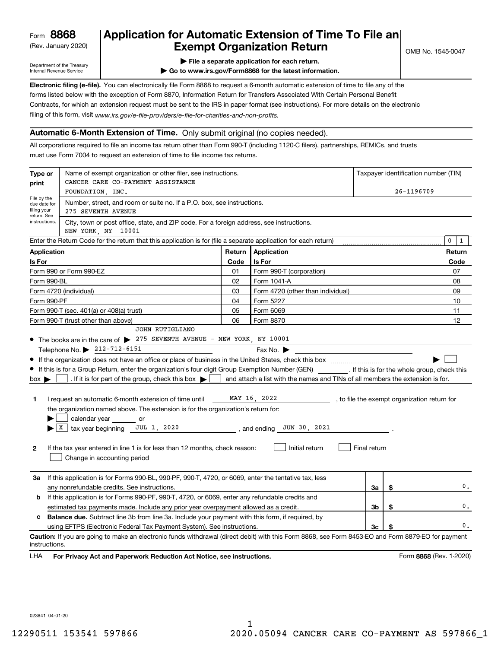(Rev. January 2020)

## **Application for Automatic Extension of Time To File an Exempt Organization Return**

Department of the Treasury Internal Revenue Service

**| File a separate application for each return.**

**| Go to www.irs.gov/Form8868 for the latest information.**

**Electronic filing (e-file).**  You can electronically file Form 8868 to request a 6-month automatic extension of time to file any of the filing of this form, visit www.irs.gov/e-file-providers/e-file-for-charities-and-non-profits. forms listed below with the exception of Form 8870, Information Return for Transfers Associated With Certain Personal Benefit Contracts, for which an extension request must be sent to the IRS in paper format (see instructions). For more details on the electronic

#### **Automatic 6-Month Extension of Time.** Only submit original (no copies needed).

All corporations required to file an income tax return other than Form 990-T (including 1120-C filers), partnerships, REMICs, and trusts must use Form 7004 to request an extension of time to file income tax returns.

| Type or<br>print                                          | Name of exempt organization or other filer, see instructions.<br>CANCER CARE CO-PAYMENT ASSISTANCE                                                    |        |                                                                                |              |    | Taxpayer identification number (TIN)         |
|-----------------------------------------------------------|-------------------------------------------------------------------------------------------------------------------------------------------------------|--------|--------------------------------------------------------------------------------|--------------|----|----------------------------------------------|
|                                                           | FOUNDATION, INC.                                                                                                                                      |        |                                                                                |              |    | 26-1196709                                   |
| File by the<br>due date for<br>filing your<br>return. See | Number, street, and room or suite no. If a P.O. box, see instructions.<br>275 SEVENTH AVENUE                                                          |        |                                                                                |              |    |                                              |
| instructions.                                             | City, town or post office, state, and ZIP code. For a foreign address, see instructions.<br>NEW YORK, NY 10001                                        |        |                                                                                |              |    |                                              |
|                                                           | Enter the Return Code for the return that this application is for (file a separate application for each return)                                       |        |                                                                                |              |    | $\mathbf 0$<br>$\mathbf{1}$                  |
| <b>Application</b>                                        |                                                                                                                                                       | Return | Application                                                                    |              |    | Return                                       |
| Is For                                                    |                                                                                                                                                       | Code   | Is For                                                                         |              |    | Code                                         |
|                                                           | Form 990 or Form 990-EZ                                                                                                                               | 01     | Form 990-T (corporation)                                                       |              |    | 07                                           |
| Form 990-BL                                               |                                                                                                                                                       | 02     | Form 1041-A                                                                    |              |    | 08                                           |
|                                                           | Form 4720 (individual)                                                                                                                                | 03     | Form 4720 (other than individual)                                              |              |    | 09                                           |
| Form 990-PF                                               |                                                                                                                                                       | 04     | Form 5227                                                                      |              |    | 10                                           |
|                                                           | Form 990-T (sec. 401(a) or 408(a) trust)                                                                                                              | 05     | Form 6069                                                                      |              |    | 11                                           |
|                                                           | Form 990-T (trust other than above)                                                                                                                   | 06     | Form 8870                                                                      |              |    | 12                                           |
|                                                           | JOHN RUTIGLIANO                                                                                                                                       |        |                                                                                |              |    |                                              |
|                                                           | • The books are in the care of > 275 SEVENTH AVENUE - NEW YORK, NY 10001                                                                              |        |                                                                                |              |    |                                              |
|                                                           | Telephone No. 212-712-6151                                                                                                                            |        | Fax No. $\blacktriangleright$                                                  |              |    |                                              |
|                                                           |                                                                                                                                                       |        |                                                                                |              |    |                                              |
|                                                           | If this is for a Group Return, enter the organization's four digit Group Exemption Number (GEN) _________. If this is for the whole group, check this |        |                                                                                |              |    |                                              |
| $box \blacktriangleright$                                 | . If it is for part of the group, check this box $\blacktriangleright$                                                                                |        | and attach a list with the names and TINs of all members the extension is for. |              |    |                                              |
| 1                                                         | I request an automatic 6-month extension of time until MAY 16, 2022                                                                                   |        |                                                                                |              |    | , to file the exempt organization return for |
|                                                           | the organization named above. The extension is for the organization's return for:                                                                     |        |                                                                                |              |    |                                              |
|                                                           | calendar year or                                                                                                                                      |        |                                                                                |              |    |                                              |
|                                                           | $\blacktriangleright$ $\lfloor$ X $\rfloor$ tax year beginning JUL 1, 2020                                                                            |        | JUN 30, 2021<br>, and ending                                                   |              |    |                                              |
|                                                           |                                                                                                                                                       |        |                                                                                |              |    |                                              |
| $\mathbf{2}$                                              | If the tax year entered in line 1 is for less than 12 months, check reason:<br>Change in accounting period                                            |        | Initial return                                                                 | Final return |    |                                              |
|                                                           |                                                                                                                                                       |        |                                                                                |              |    |                                              |
| За                                                        | If this application is for Forms 990-BL, 990-PF, 990-T, 4720, or 6069, enter the tentative tax, less                                                  |        |                                                                                |              |    |                                              |
|                                                           | any nonrefundable credits. See instructions.                                                                                                          |        |                                                                                | За           | \$ | 0.                                           |
| b                                                         | If this application is for Forms 990-PF, 990-T, 4720, or 6069, enter any refundable credits and                                                       |        |                                                                                |              |    |                                              |
|                                                           | estimated tax payments made. Include any prior year overpayment allowed as a credit.                                                                  |        |                                                                                | 3b           | \$ | $\mathbf{0}$ .                               |
| c                                                         | <b>Balance due.</b> Subtract line 3b from line 3a. Include your payment with this form, if required, by                                               |        |                                                                                |              |    |                                              |
|                                                           | using EFTPS (Electronic Federal Tax Payment System). See instructions.                                                                                |        |                                                                                | 3c           | \$ | 0.                                           |
| instructions.                                             | Caution: If you are going to make an electronic funds withdrawal (direct debit) with this Form 8868, see Form 8453-EO and Form 8879-EO for payment    |        |                                                                                |              |    |                                              |
| LHA                                                       | For Privacy Act and Paperwork Reduction Act Notice, see instructions.                                                                                 |        |                                                                                |              |    | Form 8868 (Rev. 1-2020)                      |

023841 04-01-20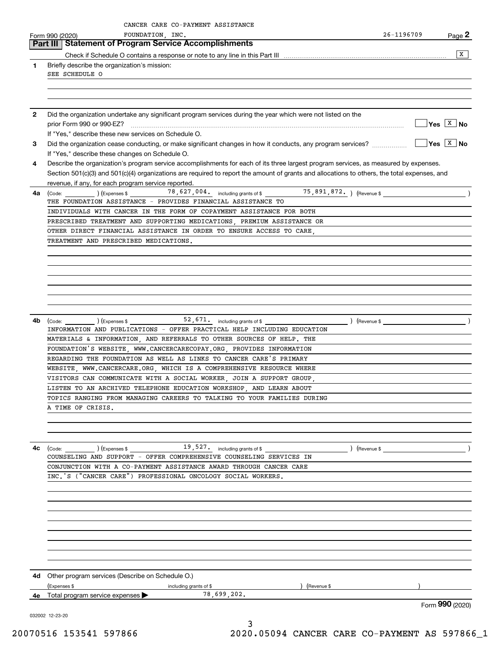|              | CANCER CARE CO-PAYMENT ASSISTANCE<br>FOUNDATION, INC.<br>Form 990 (2020)                                                                                                | 26-1196709 | Page 2                      |
|--------------|-------------------------------------------------------------------------------------------------------------------------------------------------------------------------|------------|-----------------------------|
|              | Part III   Statement of Program Service Accomplishments                                                                                                                 |            |                             |
|              |                                                                                                                                                                         |            | х                           |
| 1            | Briefly describe the organization's mission:<br>SEE SCHEDULE O                                                                                                          |            |                             |
|              |                                                                                                                                                                         |            |                             |
|              |                                                                                                                                                                         |            |                             |
|              |                                                                                                                                                                         |            |                             |
| $\mathbf{2}$ | Did the organization undertake any significant program services during the year which were not listed on the                                                            |            | $\sqrt{}$ Yes $\sqrt{X}$ No |
|              | If "Yes," describe these new services on Schedule O.                                                                                                                    |            |                             |
| 3            | Did the organization cease conducting, or make significant changes in how it conducts, any program services?                                                            |            | $\sqrt{}$ Yes $\sqrt{X}$ No |
|              | If "Yes," describe these changes on Schedule O.                                                                                                                         |            |                             |
| 4            | Describe the organization's program service accomplishments for each of its three largest program services, as measured by expenses.                                    |            |                             |
|              | Section 501(c)(3) and 501(c)(4) organizations are required to report the amount of grants and allocations to others, the total expenses, and                            |            |                             |
| 4a           | revenue, if any, for each program service reported.                                                                                                                     |            |                             |
|              | THE FOUNDATION ASSISTANCE - PROVIDES FINANCIAL ASSISTANCE TO                                                                                                            |            |                             |
|              | INDIVIDUALS WITH CANCER IN THE FORM OF COPAYMENT ASSISTANCE FOR BOTH                                                                                                    |            |                             |
|              | PRESCRIBED TREATMENT AND SUPPORTING MEDICATIONS, PREMIUM ASSISTANCE OR                                                                                                  |            |                             |
|              | OTHER DIRECT FINANCIAL ASSISTANCE IN ORDER TO ENSURE ACCESS TO CARE,                                                                                                    |            |                             |
|              | TREATMENT AND PRESCRIBED MEDICATIONS.                                                                                                                                   |            |                             |
|              |                                                                                                                                                                         |            |                             |
|              |                                                                                                                                                                         |            |                             |
|              |                                                                                                                                                                         |            |                             |
|              |                                                                                                                                                                         |            |                             |
|              |                                                                                                                                                                         |            |                             |
|              |                                                                                                                                                                         |            |                             |
| 4b           | $\text{(Code:)}$ $\text{(Expenses $} \quad 52,671.}$ including grants of \$<br>) (Revenue \$<br>INFORMATION AND PUBLICATIONS - OFFER PRACTICAL HELP INCLUDING EDUCATION |            | $\rightarrow$               |
|              | MATERIALS & INFORMATION, AND REFERRALS TO OTHER SOURCES OF HELP. THE                                                                                                    |            |                             |
|              | FOUNDATION'S WEBSITE, WWW.CANCERCARECOPAY.ORG, PROVIDES INFORMATION                                                                                                     |            |                             |
|              | REGARDING THE FOUNDATION AS WELL AS LINKS TO CANCER CARE'S PRIMARY                                                                                                      |            |                             |
|              | WEBSITE, WWW.CANCERCARE.ORG, WHICH IS A COMPREHENSIVE RESOURCE WHERE                                                                                                    |            |                             |
|              | VISITORS CAN COMMUNICATE WITH A SOCIAL WORKER, JOIN A SUPPORT GROUP,                                                                                                    |            |                             |
|              | LISTEN TO AN ARCHIVED TELEPHONE EDUCATION WORKSHOP, AND LEARN ABOUT                                                                                                     |            |                             |
|              | TOPICS RANGING FROM MANAGING CAREERS TO TALKING TO YOUR FAMILIES DURING<br>A TIME OF CRISIS.                                                                            |            |                             |
|              |                                                                                                                                                                         |            |                             |
|              |                                                                                                                                                                         |            |                             |
|              |                                                                                                                                                                         |            |                             |
| 4c           | $\text{(Code:)}$ $\text{(Expenses $ } 19,527.$ including grants of \$<br>) (Revenue \$                                                                                  |            | $\overline{\phantom{a}}$    |
|              | COUNSELING AND SUPPORT - OFFER COMPREHENSIVE COUNSELING SERVICES IN                                                                                                     |            |                             |
|              | CONJUNCTION WITH A CO-PAYMENT ASSISTANCE AWARD THROUGH CANCER CARE<br>INC.'S ("CANCER CARE") PROFESSIONAL ONCOLOGY SOCIAL WORKERS.                                      |            |                             |
|              |                                                                                                                                                                         |            |                             |
|              |                                                                                                                                                                         |            |                             |
|              |                                                                                                                                                                         |            |                             |
|              |                                                                                                                                                                         |            |                             |
|              |                                                                                                                                                                         |            |                             |
|              |                                                                                                                                                                         |            |                             |
|              |                                                                                                                                                                         |            |                             |
|              |                                                                                                                                                                         |            |                             |
|              | <b>4d</b> Other program services (Describe on Schedule O.)                                                                                                              |            |                             |
|              | (Expenses \$<br>including grants of \$<br>) (Revenue \$                                                                                                                 |            |                             |
| 4е           | 78,699,202.<br>Total program service expenses                                                                                                                           |            |                             |
|              |                                                                                                                                                                         |            | Form 990 (2020)             |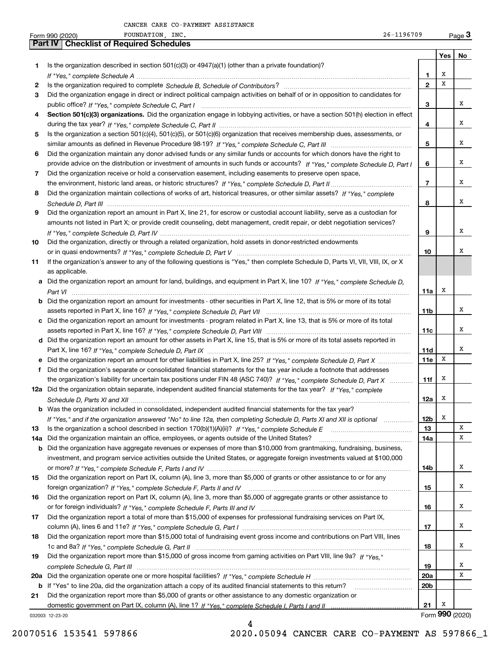|     | 26-1196709<br>FOUNDATION, INC.<br>Form 990 (2020)                                                                                     |                 |     | $Page$ 3        |
|-----|---------------------------------------------------------------------------------------------------------------------------------------|-----------------|-----|-----------------|
|     | <b>Checklist of Required Schedules</b><br>Part IV                                                                                     |                 |     |                 |
|     |                                                                                                                                       |                 | Yes | No              |
| 1   | Is the organization described in section $501(c)(3)$ or $4947(a)(1)$ (other than a private foundation)?                               |                 |     |                 |
|     |                                                                                                                                       | 1               | X   |                 |
| 2   |                                                                                                                                       | $\mathbf{2}$    | x   |                 |
| З   | Did the organization engage in direct or indirect political campaign activities on behalf of or in opposition to candidates for       |                 |     |                 |
|     |                                                                                                                                       | 3               |     | x               |
| 4   | Section 501(c)(3) organizations. Did the organization engage in lobbying activities, or have a section 501(h) election in effect      |                 |     |                 |
|     |                                                                                                                                       | 4               |     | x               |
| 5   | Is the organization a section 501(c)(4), 501(c)(5), or 501(c)(6) organization that receives membership dues, assessments, or          |                 |     |                 |
|     |                                                                                                                                       | 5               |     | x               |
| 6   | Did the organization maintain any donor advised funds or any similar funds or accounts for which donors have the right to             |                 |     |                 |
|     | provide advice on the distribution or investment of amounts in such funds or accounts? If "Yes," complete Schedule D, Part I          | 6               |     | x               |
| 7   | Did the organization receive or hold a conservation easement, including easements to preserve open space,                             |                 |     |                 |
|     |                                                                                                                                       | $\overline{7}$  |     | x               |
| 8   | Did the organization maintain collections of works of art, historical treasures, or other similar assets? If "Yes," complete          |                 |     |                 |
|     |                                                                                                                                       | 8               |     | x               |
| 9   | Did the organization report an amount in Part X, line 21, for escrow or custodial account liability, serve as a custodian for         |                 |     |                 |
|     | amounts not listed in Part X; or provide credit counseling, debt management, credit repair, or debt negotiation services?             |                 |     |                 |
|     |                                                                                                                                       | 9               |     | х               |
| 10  | Did the organization, directly or through a related organization, hold assets in donor-restricted endowments                          |                 |     |                 |
|     |                                                                                                                                       | 10              |     | x               |
| 11  | If the organization's answer to any of the following questions is "Yes," then complete Schedule D, Parts VI, VII, VIII, IX, or X      |                 |     |                 |
|     | as applicable.                                                                                                                        |                 |     |                 |
|     | a Did the organization report an amount for land, buildings, and equipment in Part X, line 10? If "Yes," complete Schedule D,         |                 |     |                 |
|     |                                                                                                                                       | 11a             | x   |                 |
|     | <b>b</b> Did the organization report an amount for investments - other securities in Part X, line 12, that is 5% or more of its total |                 |     |                 |
|     |                                                                                                                                       | 11b             |     | x               |
|     | c Did the organization report an amount for investments - program related in Part X, line 13, that is 5% or more of its total         |                 |     |                 |
|     |                                                                                                                                       | 11c             |     | x               |
|     | d Did the organization report an amount for other assets in Part X, line 15, that is 5% or more of its total assets reported in       |                 |     |                 |
|     |                                                                                                                                       | <b>11d</b>      |     | x               |
|     | e Did the organization report an amount for other liabilities in Part X, line 25? If "Yes," complete Schedule D, Part X               | 11e             | х   |                 |
| f   | Did the organization's separate or consolidated financial statements for the tax year include a footnote that addresses               |                 |     |                 |
|     | the organization's liability for uncertain tax positions under FIN 48 (ASC 740)? If "Yes," complete Schedule D, Part X                | 11f             | х   |                 |
|     | 12a Did the organization obtain separate, independent audited financial statements for the tax year? If "Yes," complete               |                 |     |                 |
|     |                                                                                                                                       | 12a             | х   |                 |
|     | <b>b</b> Was the organization included in consolidated, independent audited financial statements for the tax year?                    |                 |     |                 |
|     | If "Yes," and if the organization answered "No" to line 12a, then completing Schedule D, Parts XI and XII is optional                 | <b>12b</b>      | х   |                 |
| 13  |                                                                                                                                       | 13              |     | Χ               |
| 14a | Did the organization maintain an office, employees, or agents outside of the United States?                                           | 14a             |     | х               |
| b   | Did the organization have aggregate revenues or expenses of more than \$10,000 from grantmaking, fundraising, business,               |                 |     |                 |
|     | investment, and program service activities outside the United States, or aggregate foreign investments valued at \$100,000            |                 |     | х               |
|     | Did the organization report on Part IX, column (A), line 3, more than \$5,000 of grants or other assistance to or for any             | 14b             |     |                 |
| 15  |                                                                                                                                       |                 |     | x               |
|     |                                                                                                                                       | 15              |     |                 |
| 16  | Did the organization report on Part IX, column (A), line 3, more than \$5,000 of aggregate grants or other assistance to              |                 |     | х               |
|     |                                                                                                                                       | 16              |     |                 |
| 17  | Did the organization report a total of more than \$15,000 of expenses for professional fundraising services on Part IX,               |                 |     | х               |
|     |                                                                                                                                       | 17              |     |                 |
| 18  | Did the organization report more than \$15,000 total of fundraising event gross income and contributions on Part VIII, lines          |                 |     | х               |
|     |                                                                                                                                       | 18              |     |                 |
| 19  | Did the organization report more than \$15,000 of gross income from gaming activities on Part VIII, line 9a? If "Yes."                |                 |     |                 |
|     |                                                                                                                                       | 19              |     | х               |
|     |                                                                                                                                       | <b>20a</b>      |     | х               |
| b   | If "Yes" to line 20a, did the organization attach a copy of its audited financial statements to this return?                          | 20 <sub>b</sub> |     |                 |
| 21  | Did the organization report more than \$5,000 of grants or other assistance to any domestic organization or                           |                 | х   |                 |
|     |                                                                                                                                       | 21              |     | Form 990 (2020) |
|     | 032003 12-23-20                                                                                                                       |                 |     |                 |

032003 12-23-20

4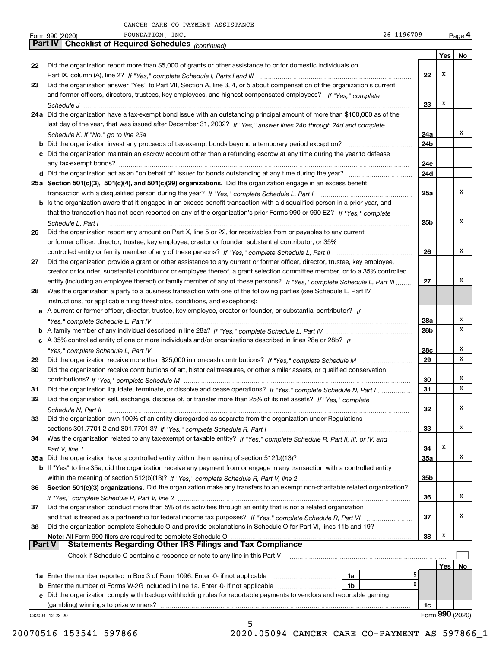|               | 26-1196709<br>FOUNDATION, INC.<br>Form 990 (2020)                                                                                                                                                                                            |            |                 | Page 4 |
|---------------|----------------------------------------------------------------------------------------------------------------------------------------------------------------------------------------------------------------------------------------------|------------|-----------------|--------|
|               | <b>Checklist of Required Schedules</b> (continued)<br>Part IV I                                                                                                                                                                              |            |                 |        |
|               |                                                                                                                                                                                                                                              |            | Yes             | No     |
| 22            | Did the organization report more than \$5,000 of grants or other assistance to or for domestic individuals on                                                                                                                                |            | х               |        |
|               |                                                                                                                                                                                                                                              | 22         |                 |        |
| 23            | Did the organization answer "Yes" to Part VII, Section A, line 3, 4, or 5 about compensation of the organization's current<br>and former officers, directors, trustees, key employees, and highest compensated employees? If "Yes," complete |            |                 |        |
|               |                                                                                                                                                                                                                                              | 23         | Х               |        |
|               | 24a Did the organization have a tax-exempt bond issue with an outstanding principal amount of more than \$100,000 as of the                                                                                                                  |            |                 |        |
|               | last day of the year, that was issued after December 31, 2002? If "Yes," answer lines 24b through 24d and complete                                                                                                                           |            |                 |        |
|               |                                                                                                                                                                                                                                              | 24a        |                 | х      |
|               | <b>b</b> Did the organization invest any proceeds of tax-exempt bonds beyond a temporary period exception?                                                                                                                                   | 24b        |                 |        |
|               | c Did the organization maintain an escrow account other than a refunding escrow at any time during the year to defease                                                                                                                       |            |                 |        |
|               |                                                                                                                                                                                                                                              | 24c        |                 |        |
|               |                                                                                                                                                                                                                                              | 24d        |                 |        |
|               | 25a Section 501(c)(3), 501(c)(4), and 501(c)(29) organizations. Did the organization engage in an excess benefit                                                                                                                             |            |                 |        |
|               |                                                                                                                                                                                                                                              | 25a        |                 | Χ      |
|               | b Is the organization aware that it engaged in an excess benefit transaction with a disqualified person in a prior year, and                                                                                                                 |            |                 |        |
|               | that the transaction has not been reported on any of the organization's prior Forms 990 or 990-EZ? If "Yes," complete                                                                                                                        |            |                 | Χ      |
|               | Schedule L, Part I                                                                                                                                                                                                                           | 25b        |                 |        |
| 26            | Did the organization report any amount on Part X, line 5 or 22, for receivables from or payables to any current                                                                                                                              |            |                 |        |
|               | or former officer, director, trustee, key employee, creator or founder, substantial contributor, or 35%                                                                                                                                      | 26         |                 | Χ      |
| 27            | Did the organization provide a grant or other assistance to any current or former officer, director, trustee, key employee,                                                                                                                  |            |                 |        |
|               | creator or founder, substantial contributor or employee thereof, a grant selection committee member, or to a 35% controlled                                                                                                                  |            |                 |        |
|               | entity (including an employee thereof) or family member of any of these persons? If "Yes," complete Schedule L, Part III                                                                                                                     | 27         |                 | х      |
| 28            | Was the organization a party to a business transaction with one of the following parties (see Schedule L, Part IV                                                                                                                            |            |                 |        |
|               | instructions, for applicable filing thresholds, conditions, and exceptions):                                                                                                                                                                 |            |                 |        |
|               | a A current or former officer, director, trustee, key employee, creator or founder, or substantial contributor? If                                                                                                                           |            |                 |        |
|               |                                                                                                                                                                                                                                              | 28a        |                 | Х      |
|               |                                                                                                                                                                                                                                              | 28b        |                 | х      |
|               | c A 35% controlled entity of one or more individuals and/or organizations described in lines 28a or 28b? If                                                                                                                                  |            |                 |        |
|               |                                                                                                                                                                                                                                              | 28c        |                 | х      |
| 29            |                                                                                                                                                                                                                                              | 29         |                 | X      |
| 30            | Did the organization receive contributions of art, historical treasures, or other similar assets, or qualified conservation                                                                                                                  |            |                 |        |
|               |                                                                                                                                                                                                                                              | 30         |                 | х      |
| 31            | Did the organization liquidate, terminate, or dissolve and cease operations? If "Yes," complete Schedule N, Part I                                                                                                                           | 31         |                 | X      |
| 32            | Did the organization sell, exchange, dispose of, or transfer more than 25% of its net assets? If "Yes," complete                                                                                                                             |            |                 |        |
|               |                                                                                                                                                                                                                                              | 32         |                 | Х      |
| 33            | Did the organization own 100% of an entity disregarded as separate from the organization under Regulations                                                                                                                                   |            |                 |        |
|               |                                                                                                                                                                                                                                              | 33         |                 | х      |
| 34            | Was the organization related to any tax-exempt or taxable entity? If "Yes," complete Schedule R, Part II, III, or IV, and                                                                                                                    |            | Х               |        |
|               | 35a Did the organization have a controlled entity within the meaning of section 512(b)(13)?                                                                                                                                                  | 34         |                 | X      |
|               |                                                                                                                                                                                                                                              | <b>35a</b> |                 |        |
|               | <b>b</b> If "Yes" to line 35a, did the organization receive any payment from or engage in any transaction with a controlled entity                                                                                                           | 35b        |                 |        |
| 36            | Section 501(c)(3) organizations. Did the organization make any transfers to an exempt non-charitable related organization?                                                                                                                   |            |                 |        |
|               |                                                                                                                                                                                                                                              | 36         |                 | Χ      |
| 37            | Did the organization conduct more than 5% of its activities through an entity that is not a related organization                                                                                                                             |            |                 |        |
|               |                                                                                                                                                                                                                                              | 37         |                 | х      |
| 38            | Did the organization complete Schedule O and provide explanations in Schedule O for Part VI, lines 11b and 19?                                                                                                                               |            |                 |        |
|               |                                                                                                                                                                                                                                              | 38         | Х               |        |
| <b>Part V</b> |                                                                                                                                                                                                                                              |            |                 |        |
|               | Check if Schedule O contains a response or note to any line in this Part V                                                                                                                                                                   |            |                 |        |
|               |                                                                                                                                                                                                                                              |            | Yes             | No     |
|               | 1a                                                                                                                                                                                                                                           |            |                 |        |
|               | <b>b</b> Enter the number of Forms W-2G included in line 1a. Enter -0- if not applicable<br>1b                                                                                                                                               | $\Omega$   |                 |        |
|               | c Did the organization comply with backup withholding rules for reportable payments to vendors and reportable gaming                                                                                                                         |            |                 |        |
|               |                                                                                                                                                                                                                                              | 1c         |                 |        |
|               | 032004 12-23-20<br>5                                                                                                                                                                                                                         |            | Form 990 (2020) |        |
|               |                                                                                                                                                                                                                                              |            |                 |        |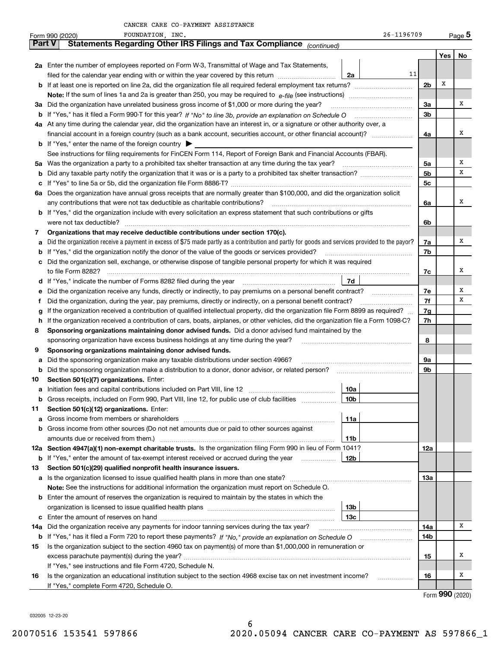|               | 26-1196709<br>FOUNDATION, INC.<br>Form 990 (2020)                                                                                               |                |     | $_{\text{Page}}$ 5 |
|---------------|-------------------------------------------------------------------------------------------------------------------------------------------------|----------------|-----|--------------------|
| <b>Part V</b> | Statements Regarding Other IRS Filings and Tax Compliance (continued)                                                                           |                |     |                    |
|               |                                                                                                                                                 |                | Yes | No                 |
|               | 2a Enter the number of employees reported on Form W-3, Transmittal of Wage and Tax Statements,                                                  |                |     |                    |
|               | 11<br>filed for the calendar year ending with or within the year covered by this return<br>2a                                                   |                |     |                    |
|               |                                                                                                                                                 | 2 <sub>b</sub> | х   |                    |
|               |                                                                                                                                                 |                |     |                    |
|               | 3a Did the organization have unrelated business gross income of \$1,000 or more during the year?                                                | 3a             |     | х                  |
|               |                                                                                                                                                 | 3 <sub>b</sub> |     |                    |
|               | 4a At any time during the calendar year, did the organization have an interest in, or a signature or other authority over, a                    |                |     |                    |
|               |                                                                                                                                                 | 4a             |     | х                  |
|               | <b>b</b> If "Yes," enter the name of the foreign country $\blacktriangleright$                                                                  |                |     |                    |
|               | See instructions for filing requirements for FinCEN Form 114, Report of Foreign Bank and Financial Accounts (FBAR).                             |                |     |                    |
|               | 5a Was the organization a party to a prohibited tax shelter transaction at any time during the tax year?                                        | 5a             |     | Х                  |
|               |                                                                                                                                                 | 5 <sub>b</sub> |     | х                  |
|               |                                                                                                                                                 | 5c             |     |                    |
|               | 6a Does the organization have annual gross receipts that are normally greater than \$100,000, and did the organization solicit                  |                |     |                    |
|               | any contributions that were not tax deductible as charitable contributions?                                                                     | 6a             |     | х                  |
|               | <b>b</b> If "Yes," did the organization include with every solicitation an express statement that such contributions or gifts                   |                |     |                    |
|               | were not tax deductible?                                                                                                                        | 6b             |     |                    |
| 7             | Organizations that may receive deductible contributions under section 170(c).                                                                   |                |     |                    |
| а             | Did the organization receive a payment in excess of \$75 made partly as a contribution and partly for goods and services provided to the payor? | 7a             |     | х                  |
|               | If "Yes," did the organization notify the donor of the value of the goods or services provided?                                                 | 7b             |     |                    |
|               | c Did the organization sell, exchange, or otherwise dispose of tangible personal property for which it was required                             |                |     |                    |
|               |                                                                                                                                                 | 7c             |     | х                  |
|               | 7d                                                                                                                                              |                |     |                    |
| е             | Did the organization receive any funds, directly or indirectly, to pay premiums on a personal benefit contract?<br>$\overline{\phantom{a}}$     | 7e             |     | х                  |
| Ť.            | Did the organization, during the year, pay premiums, directly or indirectly, on a personal benefit contract?                                    | 7f             |     | Х                  |
| g             | If the organization received a contribution of qualified intellectual property, did the organization file Form 8899 as required?                | 7g             |     |                    |
| h.            | If the organization received a contribution of cars, boats, airplanes, or other vehicles, did the organization file a Form 1098-C?              | 7h             |     |                    |
| 8             | Sponsoring organizations maintaining donor advised funds. Did a donor advised fund maintained by the                                            |                |     |                    |
|               | sponsoring organization have excess business holdings at any time during the year?                                                              | 8              |     |                    |
| 9             | Sponsoring organizations maintaining donor advised funds.                                                                                       |                |     |                    |
| а             | Did the sponsoring organization make any taxable distributions under section 4966?                                                              | 9a             |     |                    |
| b             | Did the sponsoring organization make a distribution to a donor, donor advisor, or related person?                                               | 9b             |     |                    |
| 10            | Section 501(c)(7) organizations. Enter:                                                                                                         |                |     |                    |
|               | a Initiation fees and capital contributions included on Part VIII, line 12 [111] [11] [12] [11] [12] [11] [12]<br>10a                           |                |     |                    |
| b             | Gross receipts, included on Form 990, Part VIII, line 12, for public use of club facilities<br>10b                                              |                |     |                    |
| 11            | Section 501(c)(12) organizations. Enter:<br>11a                                                                                                 |                |     |                    |
| а             | Gross income from other sources (Do not net amounts due or paid to other sources against                                                        |                |     |                    |
| b             | amounts due or received from them.)<br>11b                                                                                                      |                |     |                    |
|               | 12a Section 4947(a)(1) non-exempt charitable trusts. Is the organization filing Form 990 in lieu of Form 1041?                                  | 12a            |     |                    |
| b             | If "Yes," enter the amount of tax-exempt interest received or accrued during the year<br>12b                                                    |                |     |                    |
| 13            | Section 501(c)(29) qualified nonprofit health insurance issuers.                                                                                |                |     |                    |
|               | a Is the organization licensed to issue qualified health plans in more than one state?                                                          | 13а            |     |                    |
|               | Note: See the instructions for additional information the organization must report on Schedule O.                                               |                |     |                    |
|               | <b>b</b> Enter the amount of reserves the organization is required to maintain by the states in which the                                       |                |     |                    |
|               | 13b                                                                                                                                             |                |     |                    |
| c             | 13с                                                                                                                                             |                |     |                    |
| 14а           | Did the organization receive any payments for indoor tanning services during the tax year?                                                      | 14a            |     | х                  |
| b             |                                                                                                                                                 | 14b            |     |                    |
| 15            | Is the organization subject to the section 4960 tax on payment(s) of more than \$1,000,000 in remuneration or                                   |                |     |                    |
|               |                                                                                                                                                 | 15             |     | х                  |
|               | If "Yes," see instructions and file Form 4720, Schedule N.                                                                                      |                |     |                    |
| 16            | Is the organization an educational institution subject to the section 4968 excise tax on net investment income?                                 | 16             |     | х                  |
|               | If "Yes," complete Form 4720, Schedule O.                                                                                                       |                |     |                    |
|               |                                                                                                                                                 |                |     | $000 \; \omega$    |

6

Form (2020) **990**

032005 12-23-20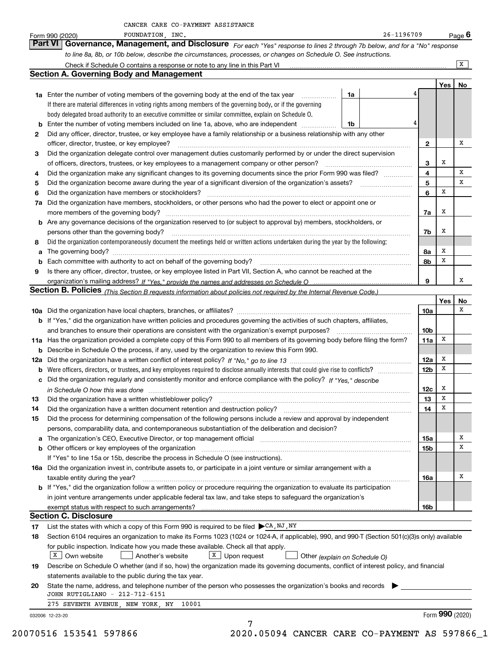|  | CANCER CARE CO-PAYMENT ASSISTANCE |  |
|--|-----------------------------------|--|
|--|-----------------------------------|--|

|     | FOUNDATION, INC.<br>26-1196709<br>Form 990 (2020)                                                                                                                                                                              |     |                 | Page 6                  |
|-----|--------------------------------------------------------------------------------------------------------------------------------------------------------------------------------------------------------------------------------|-----|-----------------|-------------------------|
|     | Part VI   Governance, Management, and Disclosure For each "Yes" response to lines 2 through 7b below, and for a "No" response                                                                                                  |     |                 |                         |
|     | to line 8a, 8b, or 10b below, describe the circumstances, processes, or changes on Schedule O. See instructions.                                                                                                               |     |                 |                         |
|     | Check if Schedule O contains a response or note to any line in this Part VI                                                                                                                                                    |     |                 | $\overline{\mathbf{x}}$ |
|     | <b>Section A. Governing Body and Management</b>                                                                                                                                                                                |     |                 |                         |
|     |                                                                                                                                                                                                                                |     | Yes             | No                      |
|     | <b>1a</b> Enter the number of voting members of the governing body at the end of the tax year<br>1a<br>.                                                                                                                       | 4   |                 |                         |
|     | If there are material differences in voting rights among members of the governing body, or if the governing                                                                                                                    |     |                 |                         |
|     | body delegated broad authority to an executive committee or similar committee, explain on Schedule O.                                                                                                                          |     |                 |                         |
| b   | Enter the number of voting members included on line 1a, above, who are independent<br>1b                                                                                                                                       | 4   |                 |                         |
| 2   | Did any officer, director, trustee, or key employee have a family relationship or a business relationship with any other                                                                                                       |     |                 |                         |
|     | officer, director, trustee, or key employee?<br>.                                                                                                                                                                              | 2   |                 | х                       |
| 3   | Did the organization delegate control over management duties customarily performed by or under the direct supervision                                                                                                          |     |                 |                         |
|     | of officers, directors, trustees, or key employees to a management company or other person?                                                                                                                                    | 3   | х               |                         |
| 4   | Did the organization make any significant changes to its governing documents since the prior Form 990 was filed?                                                                                                               | 4   |                 | х                       |
| 5   |                                                                                                                                                                                                                                | 5   |                 | x                       |
| 6   | Did the organization have members or stockholders?                                                                                                                                                                             | 6   | Х               |                         |
| 7a  | Did the organization have members, stockholders, or other persons who had the power to elect or appoint one or                                                                                                                 |     |                 |                         |
|     | more members of the governing body?                                                                                                                                                                                            | 7a  | х               |                         |
| b   | Are any governance decisions of the organization reserved to (or subject to approval by) members, stockholders, or                                                                                                             |     |                 |                         |
|     | persons other than the governing body?                                                                                                                                                                                         | 7b  | x               |                         |
| 8   | Did the organization contemporaneously document the meetings held or written actions undertaken during the year by the following:                                                                                              |     |                 |                         |
| a   | The governing body? [11] matter contracts and contracts are contracted by the set of the set of the set of the set of the set of the set of the set of the set of the set of the set of the set of the set of the set of the s | 8a  | х               |                         |
| b   | Each committee with authority to act on behalf of the governing body?                                                                                                                                                          | 8b  | X               |                         |
| 9   | Is there any officer, director, trustee, or key employee listed in Part VII, Section A, who cannot be reached at the                                                                                                           |     |                 |                         |
|     |                                                                                                                                                                                                                                | 9   |                 | х                       |
|     | Section B. Policies (This Section B requests information about policies not required by the Internal Revenue Code.)                                                                                                            |     |                 |                         |
|     |                                                                                                                                                                                                                                |     | Yes             | No                      |
|     |                                                                                                                                                                                                                                | 10a |                 | x                       |
|     | b If "Yes," did the organization have written policies and procedures governing the activities of such chapters, affiliates,                                                                                                   |     |                 |                         |
|     | and branches to ensure their operations are consistent with the organization's exempt purposes?                                                                                                                                | 10b |                 |                         |
|     | 11a Has the organization provided a complete copy of this Form 990 to all members of its governing body before filing the form?                                                                                                | 11a | x               |                         |
| b   | Describe in Schedule O the process, if any, used by the organization to review this Form 990.                                                                                                                                  |     |                 |                         |
| 12a |                                                                                                                                                                                                                                | 12a | x               |                         |
| b   |                                                                                                                                                                                                                                | 12b | Х               |                         |
|     | c Did the organization regularly and consistently monitor and enforce compliance with the policy? If "Yes," describe                                                                                                           |     |                 |                         |
|     | in Schedule O how this was done with an announcement contract the state of the state of the state of the state                                                                                                                 | 12c | x               |                         |
|     |                                                                                                                                                                                                                                | 13  | X               |                         |
| 14  | Did the organization have a written document retention and destruction policy?                                                                                                                                                 | 14  | х               |                         |
| 15  | Did the process for determining compensation of the following persons include a review and approval by independent                                                                                                             |     |                 |                         |
|     | persons, comparability data, and contemporaneous substantiation of the deliberation and decision?                                                                                                                              |     |                 |                         |
| a   | The organization's CEO, Executive Director, or top management official manufactured content of the organization's CEO, Executive Director, or top management official                                                          | 15a |                 | x                       |
|     |                                                                                                                                                                                                                                | 15b |                 | х                       |
|     | If "Yes" to line 15a or 15b, describe the process in Schedule O (see instructions).                                                                                                                                            |     |                 |                         |
|     | 16a Did the organization invest in, contribute assets to, or participate in a joint venture or similar arrangement with a                                                                                                      |     |                 |                         |
|     | taxable entity during the year?                                                                                                                                                                                                | 16a |                 | x                       |
|     | b If "Yes," did the organization follow a written policy or procedure requiring the organization to evaluate its participation                                                                                                 |     |                 |                         |
|     | in joint venture arrangements under applicable federal tax law, and take steps to safeguard the organization's                                                                                                                 |     |                 |                         |
|     |                                                                                                                                                                                                                                | 16b |                 |                         |
|     | <b>Section C. Disclosure</b>                                                                                                                                                                                                   |     |                 |                         |
| 17  | List the states with which a copy of this Form 990 is required to be filed $\blacktriangleright$ CA, NJ, NY                                                                                                                    |     |                 |                         |
| 18  | Section 6104 requires an organization to make its Forms 1023 (1024 or 1024-A, if applicable), 990, and 990-T (Section 501(c)(3)s only) available                                                                               |     |                 |                         |
|     | for public inspection. Indicate how you made these available. Check all that apply.                                                                                                                                            |     |                 |                         |
|     | $X$ Own website<br>$X \cup$ Upon request<br>Another's website<br>Other (explain on Schedule O)                                                                                                                                 |     |                 |                         |
| 19  | Describe on Schedule O whether (and if so, how) the organization made its governing documents, conflict of interest policy, and financial                                                                                      |     |                 |                         |
|     | statements available to the public during the tax year.                                                                                                                                                                        |     |                 |                         |
| 20  | State the name, address, and telephone number of the person who possesses the organization's books and records                                                                                                                 |     |                 |                         |
|     | JOHN RUTIGLIANO - 212-712-6151                                                                                                                                                                                                 |     |                 |                         |
|     | 275 SEVENTH AVENUE, NEW YORK, NY 10001                                                                                                                                                                                         |     |                 |                         |
|     | 032006 12-23-20                                                                                                                                                                                                                |     | Form 990 (2020) |                         |
|     | 7                                                                                                                                                                                                                              |     |                 |                         |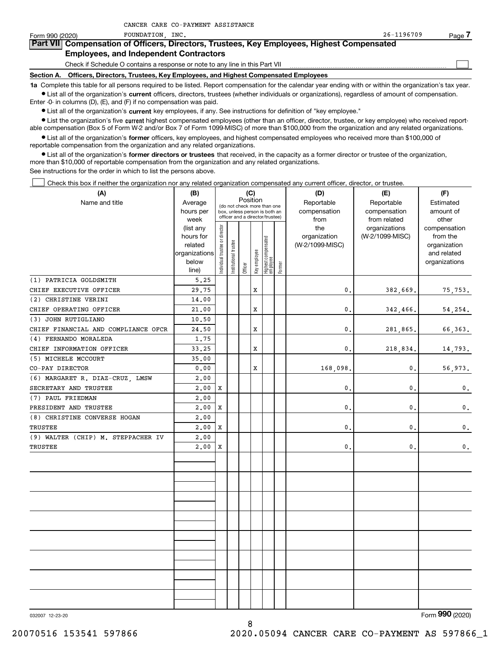| Form 990 (2020)   | INC.<br>FOUNDATION                                                                                                                                         | 26-1196709 | Page / |
|-------------------|------------------------------------------------------------------------------------------------------------------------------------------------------------|------------|--------|
|                   | Part VII Compensation of Officers, Directors, Trustees, Key Employees, Highest Compensated                                                                 |            |        |
|                   | <b>Employees, and Independent Contractors</b>                                                                                                              |            |        |
|                   | Check if Schedule O contains a response or note to any line in this Part VII                                                                               |            |        |
| <b>Section A.</b> | Officers, Directors, Trustees, Key Employees, and Highest Compensated Employees                                                                            |            |        |
|                   | 1a Complete this table for all persons required to be listed. Report compensation for the calendar year ending with or within the organization's tax year. |            |        |
|                   | • List all of the organization's current officers, directors, trustees (whether individuals or organizations), regardless of amount of compensation.       |            |        |

List all of the organization's **current** officers, directors, truste Enter -0- in columns (D), (E), and (F) if no compensation was paid.

 $\bullet$  List all of the organization's  $\,$ current key employees, if any. See instructions for definition of "key employee."

CANCER CARE CO-PAYMENT ASSISTANCE

**•** List the organization's five current highest compensated employees (other than an officer, director, trustee, or key employee) who received reportable compensation (Box 5 of Form W-2 and/or Box 7 of Form 1099-MISC) of more than \$100,000 from the organization and any related organizations.

**•** List all of the organization's former officers, key employees, and highest compensated employees who received more than \$100,000 of reportable compensation from the organization and any related organizations.

**former directors or trustees**  ¥ List all of the organization's that received, in the capacity as a former director or trustee of the organization, more than \$10,000 of reportable compensation from the organization and any related organizations.

See instructions for the order in which to list the persons above.

Check this box if neither the organization nor any related organization compensated any current officer, director, or trustee.  $\mathcal{L}^{\text{max}}$ 

| (A)                                 | (B)                    | (C)<br>Position               |                       | (D)     | (E)          | (F)                                                              |        |                     |                                  |                          |
|-------------------------------------|------------------------|-------------------------------|-----------------------|---------|--------------|------------------------------------------------------------------|--------|---------------------|----------------------------------|--------------------------|
| Name and title                      | Average                |                               |                       |         |              | (do not check more than one                                      |        | Reportable          | Reportable                       | Estimated                |
|                                     | hours per              |                               |                       |         |              | box, unless person is both an<br>officer and a director/trustee) |        | compensation        | compensation                     | amount of                |
|                                     | week                   |                               |                       |         |              |                                                                  |        | from                | from related                     | other                    |
|                                     | (list any<br>hours for |                               |                       |         |              |                                                                  |        | the<br>organization | organizations<br>(W-2/1099-MISC) | compensation<br>from the |
|                                     | related                |                               |                       |         |              |                                                                  |        | (W-2/1099-MISC)     |                                  | organization             |
|                                     | organizations          |                               |                       |         |              |                                                                  |        |                     |                                  | and related              |
|                                     | below                  | ndividual trustee or director | Institutional trustee |         | Key employee |                                                                  |        |                     |                                  | organizations            |
|                                     | line)                  |                               |                       | Officer |              | Highest compensated<br>  employee                                | Former |                     |                                  |                          |
| (1) PATRICIA GOLDSMITH              | 5.25                   |                               |                       |         |              |                                                                  |        |                     |                                  |                          |
| CHIEF EXECUTIVE OFFICER             | 29.75                  |                               |                       |         | X            |                                                                  |        | $\mathbf{0}$ .      | 382,669.                         | 75,753.                  |
| (2) CHRISTINE VERINI                | 14.00                  |                               |                       |         |              |                                                                  |        |                     |                                  |                          |
| CHIEF OPERATING OFFICER             | 21.00                  |                               |                       |         | X            |                                                                  |        | 0.                  | 342,466.                         | 54,254.                  |
| (3) JOHN RUTIGLIANO                 | 10.50                  |                               |                       |         |              |                                                                  |        |                     |                                  |                          |
| CHIEF FINANCIAL AND COMPLIANCE OFCR | 24.50                  |                               |                       |         | X            |                                                                  |        | $\mathbf{0}$ .      | 281,865.                         | 66,363.                  |
| (4) FERNANDO MORALEDA               | 1.75                   |                               |                       |         |              |                                                                  |        |                     |                                  |                          |
| CHIEF INFORMATION OFFICER           | 33.25                  |                               |                       |         | $\mathbf x$  |                                                                  |        | 0.                  | 218,834.                         | 14,793.                  |
| (5) MICHELE MCCOURT                 | 35.00                  |                               |                       |         |              |                                                                  |        |                     |                                  |                          |
| CO-PAY DIRECTOR                     | 0.00                   |                               |                       |         | X            |                                                                  |        | 168,098.            | 0.                               | 56,973.                  |
| (6) MARGARET R. DIAZ-CRUZ, LMSW     | 2.00                   |                               |                       |         |              |                                                                  |        |                     |                                  |                          |
| SECRETARY AND TRUSTEE               | 2,00                   | X                             |                       |         |              |                                                                  |        | $\mathbf{0}$ .      | 0.                               | $0$ .                    |
| (7) PAUL FRIEDMAN                   | 2.00                   |                               |                       |         |              |                                                                  |        |                     |                                  |                          |
| PRESIDENT AND TRUSTEE               | 2.00                   | X                             |                       |         |              |                                                                  |        | $\mathbf{0}$ .      | 0.                               | $\mathbf{0}$ .           |
| (8) CHRISTINE CONVERSE HOGAN        | 2,00                   |                               |                       |         |              |                                                                  |        |                     |                                  |                          |
| TRUSTEE                             | 2,00                   | x                             |                       |         |              |                                                                  |        | $\mathbf{0}$ .      | 0.                               | $\mathbf{0}$ .           |
| (9) WALTER (CHIP) M. STEPPACHER IV  | 2,00                   |                               |                       |         |              |                                                                  |        |                     |                                  |                          |
| TRUSTEE                             | 2,00                   | x                             |                       |         |              |                                                                  |        | 0.                  | 0.                               | 0.                       |
|                                     |                        |                               |                       |         |              |                                                                  |        |                     |                                  |                          |
|                                     |                        |                               |                       |         |              |                                                                  |        |                     |                                  |                          |
|                                     |                        |                               |                       |         |              |                                                                  |        |                     |                                  |                          |
|                                     |                        |                               |                       |         |              |                                                                  |        |                     |                                  |                          |
|                                     |                        |                               |                       |         |              |                                                                  |        |                     |                                  |                          |
|                                     |                        |                               |                       |         |              |                                                                  |        |                     |                                  |                          |
|                                     |                        |                               |                       |         |              |                                                                  |        |                     |                                  |                          |
|                                     |                        |                               |                       |         |              |                                                                  |        |                     |                                  |                          |
|                                     |                        |                               |                       |         |              |                                                                  |        |                     |                                  |                          |
|                                     |                        |                               |                       |         |              |                                                                  |        |                     |                                  |                          |
|                                     |                        |                               |                       |         |              |                                                                  |        |                     |                                  |                          |
|                                     |                        |                               |                       |         |              |                                                                  |        |                     |                                  |                          |
|                                     |                        |                               |                       |         |              |                                                                  |        |                     |                                  |                          |
|                                     |                        |                               |                       |         |              |                                                                  |        |                     |                                  |                          |
|                                     |                        |                               |                       |         |              |                                                                  |        |                     |                                  |                          |
|                                     |                        |                               |                       |         |              |                                                                  |        |                     |                                  |                          |

032007 12-23-20

Form (2020) **990**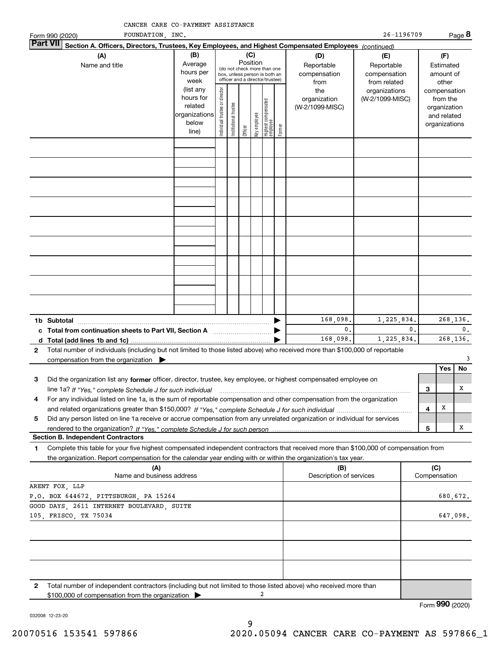| Form 990 (2020)                                                                                                                               | FOUNDATION, INC.                                                                                                                                                                                                                                             |                                                                      |                                |                        |          |              |                                                                                                 |        |                                                                                                | 26-1196709                       |           |                                        |                                                                          | Page 8         |
|-----------------------------------------------------------------------------------------------------------------------------------------------|--------------------------------------------------------------------------------------------------------------------------------------------------------------------------------------------------------------------------------------------------------------|----------------------------------------------------------------------|--------------------------------|------------------------|----------|--------------|-------------------------------------------------------------------------------------------------|--------|------------------------------------------------------------------------------------------------|----------------------------------|-----------|----------------------------------------|--------------------------------------------------------------------------|----------------|
| <b>Part VII</b>                                                                                                                               | Section A. Officers, Directors, Trustees, Key Employees, and Highest Compensated Employees (continued)                                                                                                                                                       |                                                                      |                                |                        |          |              |                                                                                                 |        |                                                                                                |                                  |           |                                        |                                                                          |                |
|                                                                                                                                               | (A)<br>Name and title                                                                                                                                                                                                                                        | (B)<br>Average<br>hours per<br>week                                  |                                |                        | Position | (C)          | (do not check more than one<br>box, unless person is both an<br>officer and a director/trustee) |        | (D)<br>(E)<br>Reportable<br>Reportable<br>compensation<br>compensation<br>from related<br>from |                                  |           | (F)<br>Estimated<br>amount of<br>other |                                                                          |                |
|                                                                                                                                               |                                                                                                                                                                                                                                                              | (list any<br>hours for<br>related<br>organizations<br>below<br>line) | Individual trustee or director | In stitutional trustee | Officer  | Key employee | Highest compensated<br>  employee                                                               | Former | the<br>organization<br>(W-2/1099-MISC)                                                         | organizations<br>(W-2/1099-MISC) |           |                                        | compensation<br>from the<br>organization<br>and related<br>organizations |                |
|                                                                                                                                               |                                                                                                                                                                                                                                                              |                                                                      |                                |                        |          |              |                                                                                                 |        |                                                                                                |                                  |           |                                        |                                                                          |                |
|                                                                                                                                               |                                                                                                                                                                                                                                                              |                                                                      |                                |                        |          |              |                                                                                                 |        |                                                                                                |                                  |           |                                        |                                                                          |                |
|                                                                                                                                               |                                                                                                                                                                                                                                                              |                                                                      |                                |                        |          |              |                                                                                                 |        |                                                                                                |                                  |           |                                        |                                                                          |                |
|                                                                                                                                               |                                                                                                                                                                                                                                                              |                                                                      |                                |                        |          |              |                                                                                                 |        |                                                                                                |                                  |           |                                        |                                                                          |                |
|                                                                                                                                               |                                                                                                                                                                                                                                                              |                                                                      |                                |                        |          |              |                                                                                                 |        |                                                                                                |                                  |           |                                        |                                                                          |                |
|                                                                                                                                               |                                                                                                                                                                                                                                                              |                                                                      |                                |                        |          |              |                                                                                                 |        |                                                                                                |                                  |           |                                        |                                                                          |                |
|                                                                                                                                               |                                                                                                                                                                                                                                                              |                                                                      |                                |                        |          |              |                                                                                                 |        |                                                                                                |                                  |           |                                        |                                                                          |                |
|                                                                                                                                               |                                                                                                                                                                                                                                                              |                                                                      |                                |                        |          |              |                                                                                                 |        |                                                                                                |                                  |           |                                        |                                                                          |                |
|                                                                                                                                               |                                                                                                                                                                                                                                                              |                                                                      |                                |                        |          |              |                                                                                                 |        |                                                                                                |                                  |           |                                        |                                                                          |                |
|                                                                                                                                               | 168,098.<br>1,225,834.<br>1b Subtotal                                                                                                                                                                                                                        |                                                                      |                                |                        |          |              |                                                                                                 |        |                                                                                                |                                  | 268, 136. |                                        |                                                                          |                |
| 0.<br>0.<br>c Total from continuation sheets to Part VII, Section A <b>manual</b> contains the Total from continuum<br>168,098.<br>1,225,834. |                                                                                                                                                                                                                                                              |                                                                      |                                |                        |          |              |                                                                                                 |        |                                                                                                |                                  |           |                                        |                                                                          | 0.<br>268,136. |
| 2                                                                                                                                             | Total number of individuals (including but not limited to those listed above) who received more than \$100,000 of reportable<br>compensation from the organization $\blacktriangleright$                                                                     |                                                                      |                                |                        |          |              |                                                                                                 |        |                                                                                                |                                  |           |                                        |                                                                          | 3              |
|                                                                                                                                               |                                                                                                                                                                                                                                                              |                                                                      |                                |                        |          |              |                                                                                                 |        |                                                                                                |                                  |           |                                        | Yes                                                                      | No             |
| 3                                                                                                                                             | Did the organization list any former officer, director, trustee, key employee, or highest compensated employee on<br>line 1a? If "Yes," complete Schedule J for such individual manufactured contained and the Yes," complete Schedule J for such individual |                                                                      |                                |                        |          |              |                                                                                                 |        |                                                                                                |                                  |           | 3                                      |                                                                          | х              |
| 4                                                                                                                                             | For any individual listed on line 1a, is the sum of reportable compensation and other compensation from the organization                                                                                                                                     |                                                                      |                                |                        |          |              |                                                                                                 |        |                                                                                                |                                  |           | 4                                      | х                                                                        |                |
| 5                                                                                                                                             | Did any person listed on line 1a receive or accrue compensation from any unrelated organization or individual for services                                                                                                                                   |                                                                      |                                |                        |          |              |                                                                                                 |        |                                                                                                |                                  |           |                                        |                                                                          | х              |
|                                                                                                                                               | <b>Section B. Independent Contractors</b>                                                                                                                                                                                                                    |                                                                      |                                |                        |          |              |                                                                                                 |        |                                                                                                |                                  |           | 5                                      |                                                                          |                |
| 1                                                                                                                                             | Complete this table for your five highest compensated independent contractors that received more than \$100,000 of compensation from                                                                                                                         |                                                                      |                                |                        |          |              |                                                                                                 |        |                                                                                                |                                  |           |                                        |                                                                          |                |
|                                                                                                                                               | the organization. Report compensation for the calendar year ending with or within the organization's tax year.<br>(A)                                                                                                                                        |                                                                      |                                |                        |          |              |                                                                                                 |        | (B)                                                                                            |                                  |           | (C)                                    |                                                                          |                |
|                                                                                                                                               | Name and business address                                                                                                                                                                                                                                    |                                                                      |                                |                        |          |              |                                                                                                 |        | Description of services                                                                        |                                  |           |                                        | Compensation                                                             |                |
| ARENT FOX, LLP<br>P.O. BOX 644672, PITTSBURGH, PA 15264                                                                                       |                                                                                                                                                                                                                                                              |                                                                      |                                |                        |          |              |                                                                                                 |        |                                                                                                |                                  |           |                                        | 680,672.                                                                 |                |
| GOOD DAYS, 2611 INTERNET BOULEVARD, SUITE<br>105, FRISCO, TX 75034                                                                            |                                                                                                                                                                                                                                                              |                                                                      |                                |                        |          |              |                                                                                                 |        |                                                                                                |                                  |           |                                        | 647,098.                                                                 |                |
|                                                                                                                                               |                                                                                                                                                                                                                                                              |                                                                      |                                |                        |          |              |                                                                                                 |        |                                                                                                |                                  |           |                                        |                                                                          |                |
|                                                                                                                                               |                                                                                                                                                                                                                                                              |                                                                      |                                |                        |          |              |                                                                                                 |        |                                                                                                |                                  |           |                                        |                                                                          |                |
|                                                                                                                                               |                                                                                                                                                                                                                                                              |                                                                      |                                |                        |          |              |                                                                                                 |        |                                                                                                |                                  |           |                                        |                                                                          |                |
| 2                                                                                                                                             | Total number of independent contractors (including but not limited to those listed above) who received more than<br>\$100,000 of compensation from the organization                                                                                          |                                                                      |                                |                        |          |              | 2                                                                                               |        |                                                                                                |                                  |           |                                        |                                                                          |                |

032008 12-23-20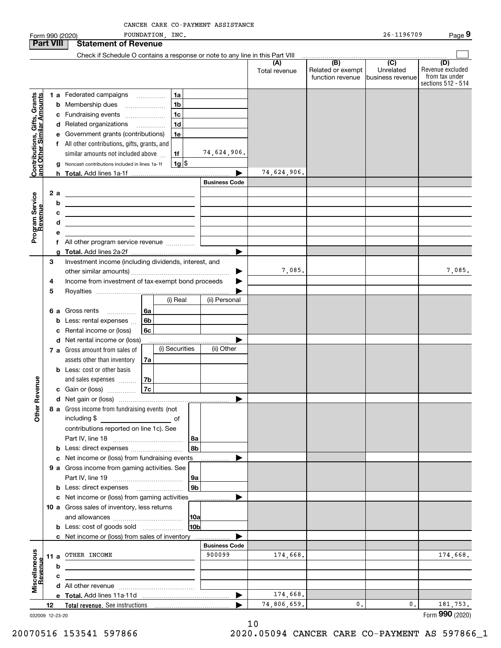|                                                           | Form 990 (2020)  |                                                                                                                        | FOUNDATION, INC. |                |                      |               |                          | 26-1196709                  | Page 9                  |
|-----------------------------------------------------------|------------------|------------------------------------------------------------------------------------------------------------------------|------------------|----------------|----------------------|---------------|--------------------------|-----------------------------|-------------------------|
|                                                           | <b>Part VIII</b> | <b>Statement of Revenue</b>                                                                                            |                  |                |                      |               |                          |                             |                         |
|                                                           |                  | Check if Schedule O contains a response or note to any line in this Part VIII                                          |                  |                |                      |               |                          |                             |                         |
|                                                           |                  |                                                                                                                        |                  |                |                      | (A)           | (B)<br>Related or exempt | $\overline{C}$<br>Unrelated | (D)<br>Revenue excluded |
|                                                           |                  |                                                                                                                        |                  |                |                      | Total revenue | function revenue         | business revenue            | from tax under          |
|                                                           |                  |                                                                                                                        |                  |                |                      |               |                          |                             | sections 512 - 514      |
|                                                           |                  | 1 a Federated campaigns                                                                                                |                  | 1a             |                      |               |                          |                             |                         |
|                                                           |                  | <b>b</b> Membership dues                                                                                               |                  | 1 <sub>b</sub> |                      |               |                          |                             |                         |
|                                                           | с                | Fundraising events                                                                                                     |                  | 1c             |                      |               |                          |                             |                         |
| Contributions, Gifts, Grants<br>and Other Similar Amounts |                  | d Related organizations                                                                                                |                  | 1 <sub>d</sub> |                      |               |                          |                             |                         |
|                                                           | е                | Government grants (contributions)                                                                                      |                  | 1e             |                      |               |                          |                             |                         |
|                                                           |                  | f All other contributions, gifts, grants, and                                                                          |                  |                |                      |               |                          |                             |                         |
|                                                           |                  | similar amounts not included above                                                                                     |                  | 1f             | 74,624,906.          |               |                          |                             |                         |
|                                                           |                  | Noncash contributions included in lines 1a-1f                                                                          |                  | $1g$ \$        |                      |               |                          |                             |                         |
|                                                           |                  |                                                                                                                        |                  |                |                      | 74,624,906.   |                          |                             |                         |
|                                                           |                  |                                                                                                                        |                  |                | <b>Business Code</b> |               |                          |                             |                         |
|                                                           | 2 a              | <u> 1989 - Johann Barn, mars ann an t-Amhain ann an t-Amhain an t-Amhain an t-Amhain an t-Amhain an t-Amhain an t-</u> |                  |                |                      |               |                          |                             |                         |
|                                                           | b                |                                                                                                                        |                  |                |                      |               |                          |                             |                         |
|                                                           | c                | <u> 1989 - Johann Stein, mars et al. (b. 1989)</u>                                                                     |                  |                |                      |               |                          |                             |                         |
|                                                           | d                | <u> 1989 - Johann Barbara, martxa alemaniar a</u>                                                                      |                  |                |                      |               |                          |                             |                         |
| Program Service<br>Revenue                                | е                |                                                                                                                        |                  |                |                      |               |                          |                             |                         |
|                                                           | f                | All other program service revenue                                                                                      |                  |                |                      |               |                          |                             |                         |
|                                                           | a                |                                                                                                                        |                  |                |                      |               |                          |                             |                         |
|                                                           | 3                | Investment income (including dividends, interest, and                                                                  |                  |                |                      |               |                          |                             |                         |
|                                                           |                  |                                                                                                                        |                  |                |                      | 7,085.        |                          |                             | 7,085.                  |
|                                                           | 4                | Income from investment of tax-exempt bond proceeds                                                                     |                  |                |                      |               |                          |                             |                         |
|                                                           | 5                |                                                                                                                        |                  |                |                      |               |                          |                             |                         |
|                                                           |                  |                                                                                                                        |                  | (i) Real       | (ii) Personal        |               |                          |                             |                         |
|                                                           |                  | 6 a Gross rents<br>.                                                                                                   | 6a               |                |                      |               |                          |                             |                         |
|                                                           | b                | Less: rental expenses                                                                                                  | 6b               |                |                      |               |                          |                             |                         |
|                                                           | c                | Rental income or (loss)                                                                                                | 6c               |                |                      |               |                          |                             |                         |
|                                                           |                  | d Net rental income or (loss)                                                                                          |                  |                |                      |               |                          |                             |                         |
|                                                           |                  | 7 a Gross amount from sales of                                                                                         |                  | (i) Securities | (ii) Other           |               |                          |                             |                         |
|                                                           |                  | assets other than inventory                                                                                            | 7a               |                |                      |               |                          |                             |                         |
|                                                           |                  | <b>b</b> Less: cost or other basis                                                                                     |                  |                |                      |               |                          |                             |                         |
|                                                           |                  | and sales expenses                                                                                                     | 7b               |                |                      |               |                          |                             |                         |
| venue                                                     |                  | c Gain or (loss)                                                                                                       | 7c               |                |                      |               |                          |                             |                         |
|                                                           |                  |                                                                                                                        |                  |                |                      |               |                          |                             |                         |
| Other Re                                                  |                  | 8 a Gross income from fundraising events (not                                                                          |                  |                |                      |               |                          |                             |                         |
|                                                           |                  | including \$<br><b>Example 19</b> September 2016                                                                       |                  |                |                      |               |                          |                             |                         |
|                                                           |                  | contributions reported on line 1c). See                                                                                |                  |                |                      |               |                          |                             |                         |
|                                                           |                  |                                                                                                                        |                  | 8a             |                      |               |                          |                             |                         |
|                                                           | b                | Less: direct expenses                                                                                                  |                  | 8b             |                      |               |                          |                             |                         |
|                                                           | с                | Net income or (loss) from fundraising events                                                                           |                  |                |                      |               |                          |                             |                         |
|                                                           |                  | 9 a Gross income from gaming activities. See                                                                           |                  |                |                      |               |                          |                             |                         |
|                                                           |                  |                                                                                                                        |                  | 9a             |                      |               |                          |                             |                         |
|                                                           |                  |                                                                                                                        |                  | 9b             |                      |               |                          |                             |                         |
|                                                           |                  | c Net income or (loss) from gaming activities                                                                          |                  |                |                      |               |                          |                             |                         |
|                                                           |                  | 10 a Gross sales of inventory, less returns                                                                            |                  |                |                      |               |                          |                             |                         |
|                                                           |                  |                                                                                                                        |                  | 10a            |                      |               |                          |                             |                         |
|                                                           |                  | <b>b</b> Less: cost of goods sold                                                                                      |                  | 10b            |                      |               |                          |                             |                         |
|                                                           |                  | c Net income or (loss) from sales of inventory                                                                         |                  |                |                      |               |                          |                             |                         |
|                                                           |                  |                                                                                                                        |                  |                | <b>Business Code</b> |               |                          |                             |                         |
| Miscellaneous<br>Revenue                                  | 11 a             | OTHER INCOME                                                                                                           |                  |                | 900099               | 174,668.      |                          |                             | 174,668.                |
|                                                           | b                |                                                                                                                        |                  |                |                      |               |                          |                             |                         |
|                                                           | с                |                                                                                                                        |                  |                |                      |               |                          |                             |                         |
|                                                           |                  |                                                                                                                        |                  |                |                      |               |                          |                             |                         |
|                                                           |                  |                                                                                                                        |                  |                |                      | 174,668.      |                          |                             |                         |
|                                                           | 12               |                                                                                                                        |                  |                |                      | 74,806,659.   | $\mathbf{0}$ .           | 0.                          | 181,753.                |

032009 12-23-20

Form (2020) **990**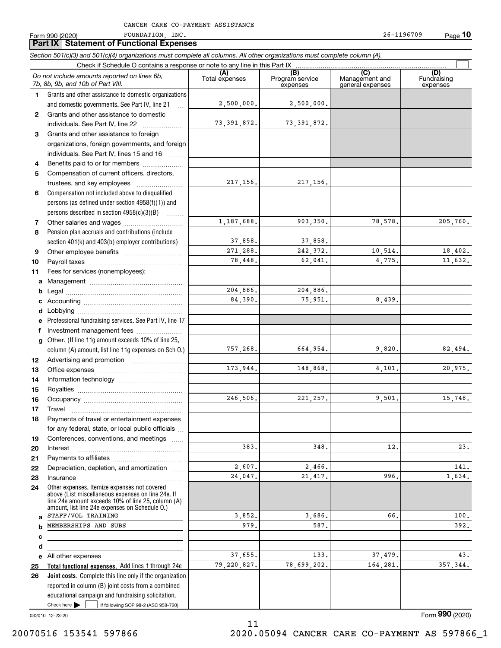|              | CANCER CARE CO-PAYMENT ASSISTANCE                                                                                          |                       |                                    |                                           |                                |
|--------------|----------------------------------------------------------------------------------------------------------------------------|-----------------------|------------------------------------|-------------------------------------------|--------------------------------|
|              | FOUNDATION, INC.<br>Form 990 (2020)                                                                                        |                       |                                    | 26-1196709                                | <u>Pag</u> e 10                |
|              | <b>Part IX   Statement of Functional Expenses</b>                                                                          |                       |                                    |                                           |                                |
|              | Section 501(c)(3) and 501(c)(4) organizations must complete all columns. All other organizations must complete column (A). |                       |                                    |                                           |                                |
|              |                                                                                                                            |                       |                                    |                                           |                                |
|              | Do not include amounts reported on lines 6b,<br>7b, 8b, 9b, and 10b of Part VIII.                                          | (A)<br>Total expenses | (B)<br>Program service<br>expenses | (C)<br>Management and<br>general expenses | (D)<br>Fundraising<br>expenses |
| 1.           | Grants and other assistance to domestic organizations                                                                      |                       |                                    |                                           |                                |
|              | and domestic governments. See Part IV, line 21                                                                             | 2,500,000.            | 2,500,000.                         |                                           |                                |
| $\mathbf{2}$ | Grants and other assistance to domestic                                                                                    |                       |                                    |                                           |                                |
|              | individuals. See Part IV, line 22                                                                                          | 73, 391, 872.         | 73,391,872.                        |                                           |                                |
| З.           | Grants and other assistance to foreign                                                                                     |                       |                                    |                                           |                                |
|              | organizations, foreign governments, and foreign                                                                            |                       |                                    |                                           |                                |
|              | individuals. See Part IV, lines 15 and 16                                                                                  |                       |                                    |                                           |                                |
| 4            | Benefits paid to or for members                                                                                            |                       |                                    |                                           |                                |
| 5            | Compensation of current officers, directors,                                                                               |                       |                                    |                                           |                                |
|              | trustees, and key employees                                                                                                | 217, 156.             | 217, 156.                          |                                           |                                |
| 6            | Compensation not included above to disqualified                                                                            |                       |                                    |                                           |                                |
|              | persons (as defined under section 4958(f)(1)) and                                                                          |                       |                                    |                                           |                                |
|              | persons described in section 4958(c)(3)(B)                                                                                 |                       |                                    |                                           |                                |
| 7            |                                                                                                                            | 1,187,688.            | 903,350.                           | 78,578.                                   | 205,760.                       |
| 8            | Pension plan accruals and contributions (include                                                                           |                       |                                    |                                           |                                |
|              | section 401(k) and 403(b) employer contributions)                                                                          | 37,858.               | 37,858.                            |                                           |                                |
| 9            |                                                                                                                            | 271,288.              | 242,372.                           | 10,514.                                   | 18,402.                        |
| 10           |                                                                                                                            | 78,448.               | 62,041.                            | 4.775.                                    | 11,632.                        |
| 11           | Fees for services (nonemployees):                                                                                          |                       |                                    |                                           |                                |
| a            |                                                                                                                            |                       |                                    |                                           |                                |
| b            |                                                                                                                            | 204,886.              | 204,886.                           |                                           |                                |
| c            |                                                                                                                            | 84.390.               | 75,951.                            | 8,439.                                    |                                |
| d            |                                                                                                                            |                       |                                    |                                           |                                |
| е            | Professional fundraising services. See Part IV, line 17                                                                    |                       |                                    |                                           |                                |
| f<br>g       | Investment management fees<br>Other. (If line 11g amount exceeds 10% of line 25,                                           |                       |                                    |                                           |                                |
|              | column (A) amount, list line 11g expenses on Sch O.)                                                                       | 757,268.              | 664,954.                           | 9,820.                                    | 82,494.                        |
| 12           |                                                                                                                            |                       |                                    |                                           |                                |
| 13           |                                                                                                                            | 173,944.              | 148,868.                           | 4,101.                                    | 20,975.                        |
| 14           |                                                                                                                            |                       |                                    |                                           |                                |
| 15           |                                                                                                                            |                       |                                    |                                           |                                |
| 16           |                                                                                                                            | 246,506.              | 221, 257.                          | 9,501.                                    | 15,748.                        |
| 17           | Travel                                                                                                                     |                       |                                    |                                           |                                |
| 18           | Payments of travel or entertainment expenses                                                                               |                       |                                    |                                           |                                |
|              | for any federal, state, or local public officials                                                                          |                       |                                    |                                           |                                |
| 19           | Conferences, conventions, and meetings                                                                                     |                       |                                    |                                           |                                |
| 20           | Interest                                                                                                                   | 383.                  | 348.                               | 12.                                       | 23.                            |
| 21           |                                                                                                                            |                       |                                    |                                           |                                |
| 22           | Depreciation, depletion, and amortization                                                                                  | 2,607.                | 2,466.                             |                                           | 141.                           |
| 23           | Insurance                                                                                                                  | 24,047.               | 21,417.                            | 996.                                      | 1,634.                         |

3,852. 979.

37,655. 79,220,827.

032010 12-23-20

Check here

**abcde25 26**

Form (2020) **990**

 $37,479.$  43.

392.

All other expenses

STAFF/VOL TRAINING MEMBERSHIPS AND SUBS

Check here  $\bullet$  if following SOP 98-2 (ASC 958-720)

reported in column (B) joint costs from a combined educational campaign and fundraising solicitation.

**Total functional expenses.**  Add lines 1 through 24e **Joint costs.** Complete this line only if the organization

Other expenses. Itemize expenses not covered above (List miscellaneous expenses on line 24e. If line 24e amount exceeds 10% of line 25, column (A) amount, list line 24e expenses on Schedule O.)

11 20070516 153541 597866 2020.05094 CANCER CARE CO-PAYMENT AS 597866\_1

587.

133.

 $3,686.$   $66.$  100.

78,699,202. 164,281. 357,344.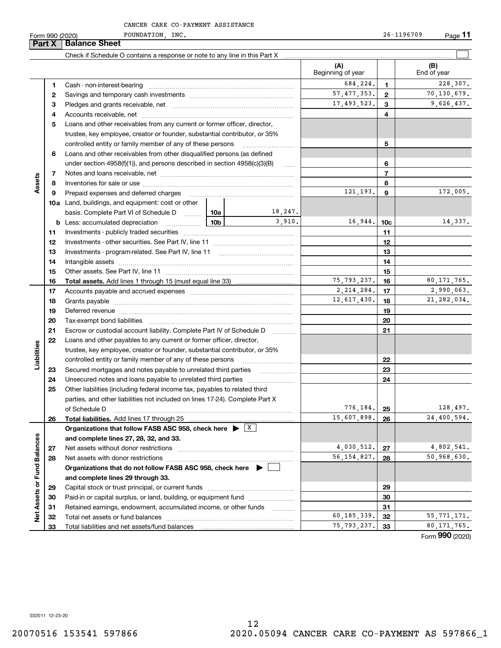**Part X Balance Sheet**<br>**Part X Balance** 

Form 990 (2020) FOUNDATION,INC. 26-1196709 Page **11**

|                             | нап л | <b>Dalafice Street</b>                                                                                                                                                                                                         |     |             |                          |               |                    |
|-----------------------------|-------|--------------------------------------------------------------------------------------------------------------------------------------------------------------------------------------------------------------------------------|-----|-------------|--------------------------|---------------|--------------------|
|                             |       |                                                                                                                                                                                                                                |     |             |                          |               |                    |
|                             |       |                                                                                                                                                                                                                                |     |             | (A)<br>Beginning of year |               | (B)<br>End of year |
|                             | 1.    | Cash - non-interest-bearing                                                                                                                                                                                                    |     |             | 684,224.                 | 1             | 228,307.           |
|                             | 2     |                                                                                                                                                                                                                                |     |             | 57, 477, 353.            | $\mathbf{2}$  | 70,130,679.        |
|                             | з     |                                                                                                                                                                                                                                |     |             | 17,493,523.              | 3             | 9,626,437.         |
|                             | 4     |                                                                                                                                                                                                                                |     |             |                          | 4             |                    |
|                             | 5     | Loans and other receivables from any current or former officer, director,                                                                                                                                                      |     |             |                          |               |                    |
|                             |       | trustee, key employee, creator or founder, substantial contributor, or 35%                                                                                                                                                     |     |             |                          |               |                    |
|                             |       | controlled entity or family member of any of these persons                                                                                                                                                                     |     |             |                          | 5             |                    |
|                             | 6     | Loans and other receivables from other disqualified persons (as defined                                                                                                                                                        |     |             |                          |               |                    |
|                             |       | under section $4958(f)(1)$ , and persons described in section $4958(c)(3)(B)$                                                                                                                                                  |     | 1.1.1.1.1   |                          | 6             |                    |
|                             | 7     |                                                                                                                                                                                                                                |     |             |                          | 7             |                    |
| Assets                      | 8     |                                                                                                                                                                                                                                |     |             |                          | 8             |                    |
|                             | 9     | Prepaid expenses and deferred charges                                                                                                                                                                                          |     |             | 121,193.                 | 9             | 172,005.           |
|                             |       | <b>10a</b> Land, buildings, and equipment: cost or other                                                                                                                                                                       |     |             |                          |               |                    |
|                             |       | basis. Complete Part VI of Schedule D  10a                                                                                                                                                                                     |     | 18,247.     |                          |               |                    |
|                             |       | <b>b</b> Less: accumulated depreciation<br>. 1                                                                                                                                                                                 | 10b | 3,910.      | 16,944.                  | 10c           | 14,337.            |
|                             | 11    |                                                                                                                                                                                                                                |     |             | 11                       |               |                    |
|                             | 12    |                                                                                                                                                                                                                                |     |             | 12                       |               |                    |
|                             | 13    |                                                                                                                                                                                                                                |     |             |                          | 13            |                    |
|                             | 14    | Intangible assets with an annumerous contracts are all the contracts and an analysis of the contracts and the                                                                                                                  |     |             |                          | 14            |                    |
|                             | 15    |                                                                                                                                                                                                                                |     |             |                          | 15            |                    |
|                             | 16    |                                                                                                                                                                                                                                |     |             | 75, 793, 237.            | 16            | 80, 171, 765.      |
|                             | 17    |                                                                                                                                                                                                                                |     |             | 2, 214, 284.             | 17            | 2,990,063.         |
|                             | 18    |                                                                                                                                                                                                                                |     | 12,617,430. | 18                       | 21, 282, 034. |                    |
|                             | 19    | Deferred revenue manual contracts and contracts are all the manual contracts and contracts are contracted and contracts are contracted and contract are contracted and contract are contracted and contract are contracted and |     | 19          |                          |               |                    |
|                             | 20    |                                                                                                                                                                                                                                |     |             | 20                       |               |                    |
|                             | 21    | Escrow or custodial account liability. Complete Part IV of Schedule D                                                                                                                                                          |     |             | 21                       |               |                    |
|                             | 22    | Loans and other payables to any current or former officer, director,                                                                                                                                                           |     |             |                          |               |                    |
| Liabilities                 |       | trustee, key employee, creator or founder, substantial contributor, or 35%                                                                                                                                                     |     |             |                          |               |                    |
|                             |       | controlled entity or family member of any of these persons                                                                                                                                                                     |     |             |                          | 22            |                    |
|                             | 23    | Secured mortgages and notes payable to unrelated third parties                                                                                                                                                                 |     |             |                          | 23            |                    |
|                             | 24    |                                                                                                                                                                                                                                |     |             |                          | 24            |                    |
|                             | 25    | Other liabilities (including federal income tax, payables to related third                                                                                                                                                     |     |             |                          |               |                    |
|                             |       | parties, and other liabilities not included on lines 17-24). Complete Part X                                                                                                                                                   |     |             |                          |               |                    |
|                             |       | of Schedule D                                                                                                                                                                                                                  |     |             | 776,184.                 | 25            | 128,497.           |
|                             | 26    |                                                                                                                                                                                                                                |     |             | 15,607,898.              | 26            | 24,400,594.        |
|                             |       | Organizations that follow FASB ASC 958, check here $\blacktriangleright \begin{array}{c} \perp \mathbf{X} \end{array}$                                                                                                         |     |             |                          |               |                    |
|                             |       | and complete lines 27, 28, 32, and 33.                                                                                                                                                                                         |     |             |                          |               |                    |
|                             | 27    | Net assets without donor restrictions                                                                                                                                                                                          |     |             | 4,030,512.               | 27            | 4,802,541.         |
|                             | 28    |                                                                                                                                                                                                                                |     |             | 56, 154, 827.            | 28            | 50,968,630.        |
|                             |       | Organizations that do not follow FASB ASC 958, check here ▶ │                                                                                                                                                                  |     |             |                          |               |                    |
| Net Assets or Fund Balances |       | and complete lines 29 through 33.                                                                                                                                                                                              |     |             |                          |               |                    |
|                             | 29    |                                                                                                                                                                                                                                |     |             |                          | 29            |                    |
|                             | 30    | Paid-in or capital surplus, or land, building, or equipment fund                                                                                                                                                               |     |             |                          | 30            |                    |
|                             | 31    | Retained earnings, endowment, accumulated income, or other funds                                                                                                                                                               |     | .           |                          | 31            |                    |
|                             | 32    |                                                                                                                                                                                                                                |     |             | 60,185,339.              | 32            | 55, 771, 171.      |
|                             | 33    | Total liabilities and net assets/fund balances                                                                                                                                                                                 |     |             | 75, 793, 237.            | 33            | 80,171,765.        |

Form (2020) **990**

032011 12-23-20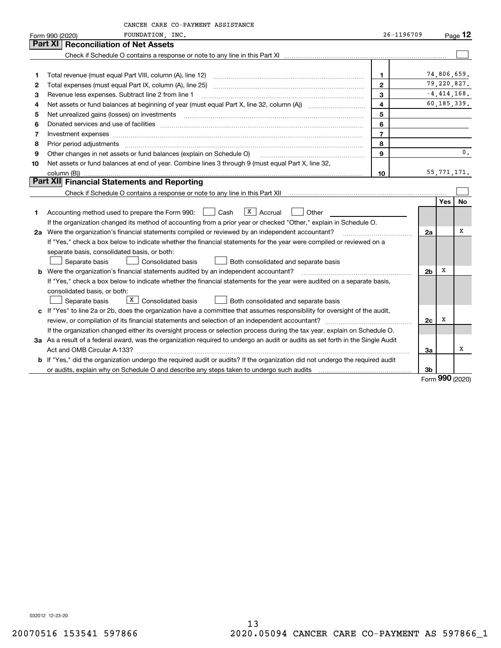| 26-1196709<br>FOUNDATION, INC.<br>$P_{\text{aqe}}$ 12<br>Form 990 (2020)<br>Part XI   Reconciliation of Net Assets<br>74,806,659.<br>$\mathbf{1}$<br>1<br>79,220,827.<br>$\overline{2}$<br>2<br>$-4,414,168$ .<br>3<br>Revenue less expenses. Subtract line 2 from line 1<br>з<br>$\overline{4}$<br>60,185,339.<br>4<br>5<br>5<br>6<br>Donated services and use of facilities [111] matter contracts and the service of facilities [11] matter contracts and use of facilities [11] matter contracts and the service of facilities [11] matter contracts and the serv<br>6<br>$\overline{7}$<br>7<br>Investment expenses<br>8<br>8<br>Prior period adjustments www.communication.communication.communication.com/<br>$\mathbf{0}$ .<br>9<br>Other changes in net assets or fund balances (explain on Schedule O)<br>9<br>Net assets or fund balances at end of year. Combine lines 3 through 9 (must equal Part X, line 32,<br>10<br>55, 771, 171.<br>10<br>column (B))<br>Part XII Financial Statements and Reporting<br>Yes<br>No<br>$\overline{X}$   Accrual<br>Accounting method used to prepare the Form 990: <u>June</u> Cash<br>Other<br>1.<br>If the organization changed its method of accounting from a prior year or checked "Other," explain in Schedule O.<br>х<br>2a Were the organization's financial statements compiled or reviewed by an independent accountant?<br>2a<br>If "Yes," check a box below to indicate whether the financial statements for the year were compiled or reviewed on a<br>separate basis, consolidated basis, or both:<br><b>Consolidated basis</b><br>Separate basis<br>Both consolidated and separate basis<br>х<br><b>b</b> Were the organization's financial statements audited by an independent accountant?<br>2 <sub>b</sub><br>If "Yes," check a box below to indicate whether the financial statements for the year were audited on a separate basis,<br>consolidated basis, or both:<br>$\boxed{\text{X}}$ Consolidated basis<br>Separate basis<br><b>Both consolidated and separate basis</b> | CANCER CARE CO-PAYMENT ASSISTANCE                                                                                           |  |  |
|----------------------------------------------------------------------------------------------------------------------------------------------------------------------------------------------------------------------------------------------------------------------------------------------------------------------------------------------------------------------------------------------------------------------------------------------------------------------------------------------------------------------------------------------------------------------------------------------------------------------------------------------------------------------------------------------------------------------------------------------------------------------------------------------------------------------------------------------------------------------------------------------------------------------------------------------------------------------------------------------------------------------------------------------------------------------------------------------------------------------------------------------------------------------------------------------------------------------------------------------------------------------------------------------------------------------------------------------------------------------------------------------------------------------------------------------------------------------------------------------------------------------------------------------------------------------------------------------------------------------------------------------------------------------------------------------------------------------------------------------------------------------------------------------------------------------------------------------------------------------------------------------------------------------------------------------------------------------------------------------------------------------------------------------------|-----------------------------------------------------------------------------------------------------------------------------|--|--|
|                                                                                                                                                                                                                                                                                                                                                                                                                                                                                                                                                                                                                                                                                                                                                                                                                                                                                                                                                                                                                                                                                                                                                                                                                                                                                                                                                                                                                                                                                                                                                                                                                                                                                                                                                                                                                                                                                                                                                                                                                                                    |                                                                                                                             |  |  |
|                                                                                                                                                                                                                                                                                                                                                                                                                                                                                                                                                                                                                                                                                                                                                                                                                                                                                                                                                                                                                                                                                                                                                                                                                                                                                                                                                                                                                                                                                                                                                                                                                                                                                                                                                                                                                                                                                                                                                                                                                                                    |                                                                                                                             |  |  |
|                                                                                                                                                                                                                                                                                                                                                                                                                                                                                                                                                                                                                                                                                                                                                                                                                                                                                                                                                                                                                                                                                                                                                                                                                                                                                                                                                                                                                                                                                                                                                                                                                                                                                                                                                                                                                                                                                                                                                                                                                                                    |                                                                                                                             |  |  |
|                                                                                                                                                                                                                                                                                                                                                                                                                                                                                                                                                                                                                                                                                                                                                                                                                                                                                                                                                                                                                                                                                                                                                                                                                                                                                                                                                                                                                                                                                                                                                                                                                                                                                                                                                                                                                                                                                                                                                                                                                                                    |                                                                                                                             |  |  |
|                                                                                                                                                                                                                                                                                                                                                                                                                                                                                                                                                                                                                                                                                                                                                                                                                                                                                                                                                                                                                                                                                                                                                                                                                                                                                                                                                                                                                                                                                                                                                                                                                                                                                                                                                                                                                                                                                                                                                                                                                                                    |                                                                                                                             |  |  |
|                                                                                                                                                                                                                                                                                                                                                                                                                                                                                                                                                                                                                                                                                                                                                                                                                                                                                                                                                                                                                                                                                                                                                                                                                                                                                                                                                                                                                                                                                                                                                                                                                                                                                                                                                                                                                                                                                                                                                                                                                                                    |                                                                                                                             |  |  |
|                                                                                                                                                                                                                                                                                                                                                                                                                                                                                                                                                                                                                                                                                                                                                                                                                                                                                                                                                                                                                                                                                                                                                                                                                                                                                                                                                                                                                                                                                                                                                                                                                                                                                                                                                                                                                                                                                                                                                                                                                                                    |                                                                                                                             |  |  |
|                                                                                                                                                                                                                                                                                                                                                                                                                                                                                                                                                                                                                                                                                                                                                                                                                                                                                                                                                                                                                                                                                                                                                                                                                                                                                                                                                                                                                                                                                                                                                                                                                                                                                                                                                                                                                                                                                                                                                                                                                                                    |                                                                                                                             |  |  |
|                                                                                                                                                                                                                                                                                                                                                                                                                                                                                                                                                                                                                                                                                                                                                                                                                                                                                                                                                                                                                                                                                                                                                                                                                                                                                                                                                                                                                                                                                                                                                                                                                                                                                                                                                                                                                                                                                                                                                                                                                                                    |                                                                                                                             |  |  |
|                                                                                                                                                                                                                                                                                                                                                                                                                                                                                                                                                                                                                                                                                                                                                                                                                                                                                                                                                                                                                                                                                                                                                                                                                                                                                                                                                                                                                                                                                                                                                                                                                                                                                                                                                                                                                                                                                                                                                                                                                                                    |                                                                                                                             |  |  |
|                                                                                                                                                                                                                                                                                                                                                                                                                                                                                                                                                                                                                                                                                                                                                                                                                                                                                                                                                                                                                                                                                                                                                                                                                                                                                                                                                                                                                                                                                                                                                                                                                                                                                                                                                                                                                                                                                                                                                                                                                                                    |                                                                                                                             |  |  |
|                                                                                                                                                                                                                                                                                                                                                                                                                                                                                                                                                                                                                                                                                                                                                                                                                                                                                                                                                                                                                                                                                                                                                                                                                                                                                                                                                                                                                                                                                                                                                                                                                                                                                                                                                                                                                                                                                                                                                                                                                                                    |                                                                                                                             |  |  |
|                                                                                                                                                                                                                                                                                                                                                                                                                                                                                                                                                                                                                                                                                                                                                                                                                                                                                                                                                                                                                                                                                                                                                                                                                                                                                                                                                                                                                                                                                                                                                                                                                                                                                                                                                                                                                                                                                                                                                                                                                                                    |                                                                                                                             |  |  |
|                                                                                                                                                                                                                                                                                                                                                                                                                                                                                                                                                                                                                                                                                                                                                                                                                                                                                                                                                                                                                                                                                                                                                                                                                                                                                                                                                                                                                                                                                                                                                                                                                                                                                                                                                                                                                                                                                                                                                                                                                                                    |                                                                                                                             |  |  |
|                                                                                                                                                                                                                                                                                                                                                                                                                                                                                                                                                                                                                                                                                                                                                                                                                                                                                                                                                                                                                                                                                                                                                                                                                                                                                                                                                                                                                                                                                                                                                                                                                                                                                                                                                                                                                                                                                                                                                                                                                                                    |                                                                                                                             |  |  |
|                                                                                                                                                                                                                                                                                                                                                                                                                                                                                                                                                                                                                                                                                                                                                                                                                                                                                                                                                                                                                                                                                                                                                                                                                                                                                                                                                                                                                                                                                                                                                                                                                                                                                                                                                                                                                                                                                                                                                                                                                                                    |                                                                                                                             |  |  |
|                                                                                                                                                                                                                                                                                                                                                                                                                                                                                                                                                                                                                                                                                                                                                                                                                                                                                                                                                                                                                                                                                                                                                                                                                                                                                                                                                                                                                                                                                                                                                                                                                                                                                                                                                                                                                                                                                                                                                                                                                                                    |                                                                                                                             |  |  |
|                                                                                                                                                                                                                                                                                                                                                                                                                                                                                                                                                                                                                                                                                                                                                                                                                                                                                                                                                                                                                                                                                                                                                                                                                                                                                                                                                                                                                                                                                                                                                                                                                                                                                                                                                                                                                                                                                                                                                                                                                                                    |                                                                                                                             |  |  |
|                                                                                                                                                                                                                                                                                                                                                                                                                                                                                                                                                                                                                                                                                                                                                                                                                                                                                                                                                                                                                                                                                                                                                                                                                                                                                                                                                                                                                                                                                                                                                                                                                                                                                                                                                                                                                                                                                                                                                                                                                                                    |                                                                                                                             |  |  |
|                                                                                                                                                                                                                                                                                                                                                                                                                                                                                                                                                                                                                                                                                                                                                                                                                                                                                                                                                                                                                                                                                                                                                                                                                                                                                                                                                                                                                                                                                                                                                                                                                                                                                                                                                                                                                                                                                                                                                                                                                                                    |                                                                                                                             |  |  |
|                                                                                                                                                                                                                                                                                                                                                                                                                                                                                                                                                                                                                                                                                                                                                                                                                                                                                                                                                                                                                                                                                                                                                                                                                                                                                                                                                                                                                                                                                                                                                                                                                                                                                                                                                                                                                                                                                                                                                                                                                                                    |                                                                                                                             |  |  |
|                                                                                                                                                                                                                                                                                                                                                                                                                                                                                                                                                                                                                                                                                                                                                                                                                                                                                                                                                                                                                                                                                                                                                                                                                                                                                                                                                                                                                                                                                                                                                                                                                                                                                                                                                                                                                                                                                                                                                                                                                                                    |                                                                                                                             |  |  |
|                                                                                                                                                                                                                                                                                                                                                                                                                                                                                                                                                                                                                                                                                                                                                                                                                                                                                                                                                                                                                                                                                                                                                                                                                                                                                                                                                                                                                                                                                                                                                                                                                                                                                                                                                                                                                                                                                                                                                                                                                                                    |                                                                                                                             |  |  |
|                                                                                                                                                                                                                                                                                                                                                                                                                                                                                                                                                                                                                                                                                                                                                                                                                                                                                                                                                                                                                                                                                                                                                                                                                                                                                                                                                                                                                                                                                                                                                                                                                                                                                                                                                                                                                                                                                                                                                                                                                                                    |                                                                                                                             |  |  |
|                                                                                                                                                                                                                                                                                                                                                                                                                                                                                                                                                                                                                                                                                                                                                                                                                                                                                                                                                                                                                                                                                                                                                                                                                                                                                                                                                                                                                                                                                                                                                                                                                                                                                                                                                                                                                                                                                                                                                                                                                                                    |                                                                                                                             |  |  |
|                                                                                                                                                                                                                                                                                                                                                                                                                                                                                                                                                                                                                                                                                                                                                                                                                                                                                                                                                                                                                                                                                                                                                                                                                                                                                                                                                                                                                                                                                                                                                                                                                                                                                                                                                                                                                                                                                                                                                                                                                                                    |                                                                                                                             |  |  |
|                                                                                                                                                                                                                                                                                                                                                                                                                                                                                                                                                                                                                                                                                                                                                                                                                                                                                                                                                                                                                                                                                                                                                                                                                                                                                                                                                                                                                                                                                                                                                                                                                                                                                                                                                                                                                                                                                                                                                                                                                                                    |                                                                                                                             |  |  |
|                                                                                                                                                                                                                                                                                                                                                                                                                                                                                                                                                                                                                                                                                                                                                                                                                                                                                                                                                                                                                                                                                                                                                                                                                                                                                                                                                                                                                                                                                                                                                                                                                                                                                                                                                                                                                                                                                                                                                                                                                                                    |                                                                                                                             |  |  |
|                                                                                                                                                                                                                                                                                                                                                                                                                                                                                                                                                                                                                                                                                                                                                                                                                                                                                                                                                                                                                                                                                                                                                                                                                                                                                                                                                                                                                                                                                                                                                                                                                                                                                                                                                                                                                                                                                                                                                                                                                                                    | c If "Yes" to line 2a or 2b, does the organization have a committee that assumes responsibility for oversight of the audit, |  |  |
| х<br>2c                                                                                                                                                                                                                                                                                                                                                                                                                                                                                                                                                                                                                                                                                                                                                                                                                                                                                                                                                                                                                                                                                                                                                                                                                                                                                                                                                                                                                                                                                                                                                                                                                                                                                                                                                                                                                                                                                                                                                                                                                                            |                                                                                                                             |  |  |
| If the organization changed either its oversight process or selection process during the tax year, explain on Schedule O.                                                                                                                                                                                                                                                                                                                                                                                                                                                                                                                                                                                                                                                                                                                                                                                                                                                                                                                                                                                                                                                                                                                                                                                                                                                                                                                                                                                                                                                                                                                                                                                                                                                                                                                                                                                                                                                                                                                          |                                                                                                                             |  |  |
| 3a As a result of a federal award, was the organization required to undergo an audit or audits as set forth in the Single Audit                                                                                                                                                                                                                                                                                                                                                                                                                                                                                                                                                                                                                                                                                                                                                                                                                                                                                                                                                                                                                                                                                                                                                                                                                                                                                                                                                                                                                                                                                                                                                                                                                                                                                                                                                                                                                                                                                                                    |                                                                                                                             |  |  |
| х<br>За                                                                                                                                                                                                                                                                                                                                                                                                                                                                                                                                                                                                                                                                                                                                                                                                                                                                                                                                                                                                                                                                                                                                                                                                                                                                                                                                                                                                                                                                                                                                                                                                                                                                                                                                                                                                                                                                                                                                                                                                                                            |                                                                                                                             |  |  |
| b If "Yes," did the organization undergo the required audit or audits? If the organization did not undergo the required audit                                                                                                                                                                                                                                                                                                                                                                                                                                                                                                                                                                                                                                                                                                                                                                                                                                                                                                                                                                                                                                                                                                                                                                                                                                                                                                                                                                                                                                                                                                                                                                                                                                                                                                                                                                                                                                                                                                                      |                                                                                                                             |  |  |
| or audits, explain why on Schedule O and describe any steps taken to undergo such audits [11] outcome manuscrimon<br>3b<br>nnn                                                                                                                                                                                                                                                                                                                                                                                                                                                                                                                                                                                                                                                                                                                                                                                                                                                                                                                                                                                                                                                                                                                                                                                                                                                                                                                                                                                                                                                                                                                                                                                                                                                                                                                                                                                                                                                                                                                     |                                                                                                                             |  |  |

Form (2020) **990**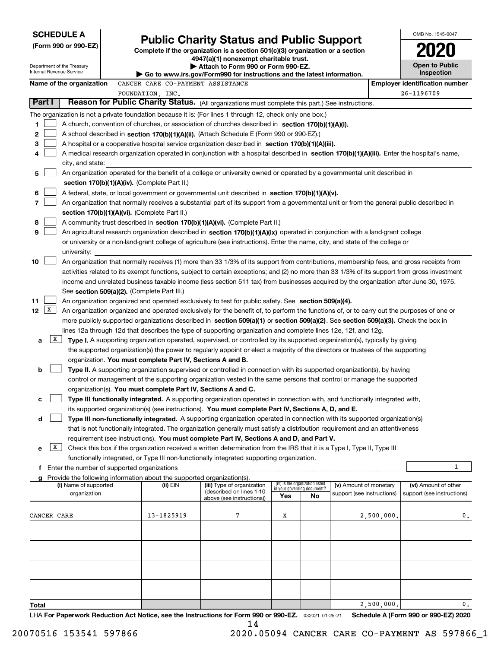| <b>SCHEDULE A</b>                                      |                                                                                                                                                                                            | <b>Public Charity Status and Public Support</b>                               |     |                                                                |                            | OMB No. 1545-0047                     |  |  |
|--------------------------------------------------------|--------------------------------------------------------------------------------------------------------------------------------------------------------------------------------------------|-------------------------------------------------------------------------------|-----|----------------------------------------------------------------|----------------------------|---------------------------------------|--|--|
| (Form 990 or 990-EZ)                                   |                                                                                                                                                                                            | Complete if the organization is a section 501(c)(3) organization or a section |     |                                                                |                            |                                       |  |  |
|                                                        |                                                                                                                                                                                            | 4947(a)(1) nonexempt charitable trust.                                        |     |                                                                |                            |                                       |  |  |
| Department of the Treasury<br>Internal Revenue Service |                                                                                                                                                                                            | Attach to Form 990 or Form 990-EZ.                                            |     |                                                                |                            | <b>Open to Public</b>                 |  |  |
|                                                        |                                                                                                                                                                                            | Go to www.irs.gov/Form990 for instructions and the latest information.        |     |                                                                |                            | Inspection                            |  |  |
| Name of the organization                               | CANCER CARE CO-PAYMENT ASSISTANCE                                                                                                                                                          |                                                                               |     |                                                                |                            | <b>Employer identification number</b> |  |  |
|                                                        | FOUNDATION, INC.                                                                                                                                                                           |                                                                               |     |                                                                |                            | 26-1196709                            |  |  |
| Part I                                                 | Reason for Public Charity Status. (All organizations must complete this part.) See instructions.                                                                                           |                                                                               |     |                                                                |                            |                                       |  |  |
|                                                        | The organization is not a private foundation because it is: (For lines 1 through 12, check only one box.)                                                                                  |                                                                               |     |                                                                |                            |                                       |  |  |
| 1                                                      | A church, convention of churches, or association of churches described in section 170(b)(1)(A)(i).                                                                                         |                                                                               |     |                                                                |                            |                                       |  |  |
| 2                                                      | A school described in section 170(b)(1)(A)(ii). (Attach Schedule E (Form 990 or 990-EZ).)                                                                                                  |                                                                               |     |                                                                |                            |                                       |  |  |
| 3                                                      | A hospital or a cooperative hospital service organization described in section 170(b)(1)(A)(iii).                                                                                          |                                                                               |     |                                                                |                            |                                       |  |  |
| 4                                                      | A medical research organization operated in conjunction with a hospital described in section 170(b)(1)(A)(iii). Enter the hospital's name,                                                 |                                                                               |     |                                                                |                            |                                       |  |  |
| city, and state:                                       |                                                                                                                                                                                            |                                                                               |     |                                                                |                            |                                       |  |  |
| 5                                                      | An organization operated for the benefit of a college or university owned or operated by a governmental unit described in                                                                  |                                                                               |     |                                                                |                            |                                       |  |  |
|                                                        | section 170(b)(1)(A)(iv). (Complete Part II.)                                                                                                                                              |                                                                               |     |                                                                |                            |                                       |  |  |
| 6<br>7                                                 | A federal, state, or local government or governmental unit described in section 170(b)(1)(A)(v).                                                                                           |                                                                               |     |                                                                |                            |                                       |  |  |
|                                                        | An organization that normally receives a substantial part of its support from a governmental unit or from the general public described in<br>section 170(b)(1)(A)(vi). (Complete Part II.) |                                                                               |     |                                                                |                            |                                       |  |  |
| 8                                                      | A community trust described in section 170(b)(1)(A)(vi). (Complete Part II.)                                                                                                               |                                                                               |     |                                                                |                            |                                       |  |  |
| 9                                                      | An agricultural research organization described in section 170(b)(1)(A)(ix) operated in conjunction with a land-grant college                                                              |                                                                               |     |                                                                |                            |                                       |  |  |
|                                                        | or university or a non-land-grant college of agriculture (see instructions). Enter the name, city, and state of the college or                                                             |                                                                               |     |                                                                |                            |                                       |  |  |
| university:                                            |                                                                                                                                                                                            |                                                                               |     |                                                                |                            |                                       |  |  |
| 10                                                     | An organization that normally receives (1) more than 33 1/3% of its support from contributions, membership fees, and gross receipts from                                                   |                                                                               |     |                                                                |                            |                                       |  |  |
|                                                        | activities related to its exempt functions, subject to certain exceptions; and (2) no more than 33 1/3% of its support from gross investment                                               |                                                                               |     |                                                                |                            |                                       |  |  |
|                                                        | income and unrelated business taxable income (less section 511 tax) from businesses acquired by the organization after June 30, 1975.                                                      |                                                                               |     |                                                                |                            |                                       |  |  |
|                                                        | See section 509(a)(2). (Complete Part III.)                                                                                                                                                |                                                                               |     |                                                                |                            |                                       |  |  |
| 11                                                     | An organization organized and operated exclusively to test for public safety. See section 509(a)(4).                                                                                       |                                                                               |     |                                                                |                            |                                       |  |  |
| X<br>12                                                | An organization organized and operated exclusively for the benefit of, to perform the functions of, or to carry out the purposes of one or                                                 |                                                                               |     |                                                                |                            |                                       |  |  |
|                                                        | more publicly supported organizations described in section 509(a)(1) or section 509(a)(2). See section 509(a)(3). Check the box in                                                         |                                                                               |     |                                                                |                            |                                       |  |  |
|                                                        | lines 12a through 12d that describes the type of supporting organization and complete lines 12e, 12f, and 12g.                                                                             |                                                                               |     |                                                                |                            |                                       |  |  |
| X <br>a                                                | Type I. A supporting organization operated, supervised, or controlled by its supported organization(s), typically by giving                                                                |                                                                               |     |                                                                |                            |                                       |  |  |
|                                                        | the supported organization(s) the power to regularly appoint or elect a majority of the directors or trustees of the supporting                                                            |                                                                               |     |                                                                |                            |                                       |  |  |
|                                                        | organization. You must complete Part IV, Sections A and B.                                                                                                                                 |                                                                               |     |                                                                |                            |                                       |  |  |
| b                                                      | Type II. A supporting organization supervised or controlled in connection with its supported organization(s), by having                                                                    |                                                                               |     |                                                                |                            |                                       |  |  |
|                                                        | control or management of the supporting organization vested in the same persons that control or manage the supported                                                                       |                                                                               |     |                                                                |                            |                                       |  |  |
|                                                        | organization(s). You must complete Part IV, Sections A and C.                                                                                                                              |                                                                               |     |                                                                |                            |                                       |  |  |
| с                                                      | Type III functionally integrated. A supporting organization operated in connection with, and functionally integrated with,                                                                 |                                                                               |     |                                                                |                            |                                       |  |  |
|                                                        | its supported organization(s) (see instructions). You must complete Part IV, Sections A, D, and E.                                                                                         |                                                                               |     |                                                                |                            |                                       |  |  |
| d                                                      | Type III non-functionally integrated. A supporting organization operated in connection with its supported organization(s)                                                                  |                                                                               |     |                                                                |                            |                                       |  |  |
|                                                        | that is not functionally integrated. The organization generally must satisfy a distribution requirement and an attentiveness                                                               |                                                                               |     |                                                                |                            |                                       |  |  |
|                                                        | requirement (see instructions). You must complete Part IV, Sections A and D, and Part V.                                                                                                   |                                                                               |     |                                                                |                            |                                       |  |  |
| X<br>е                                                 | Check this box if the organization received a written determination from the IRS that it is a Type I, Type II, Type III                                                                    |                                                                               |     |                                                                |                            |                                       |  |  |
|                                                        | functionally integrated, or Type III non-functionally integrated supporting organization.<br>f Enter the number of supported organizations                                                 |                                                                               |     |                                                                |                            | 1                                     |  |  |
|                                                        | Provide the following information about the supported organization(s).                                                                                                                     |                                                                               |     |                                                                |                            |                                       |  |  |
| (i) Name of supported                                  | (ii) EIN                                                                                                                                                                                   | (iii) Type of organization                                                    |     | (iv) Is the organization listed<br>in your governing document? | (v) Amount of monetary     | (vi) Amount of other                  |  |  |
| organization                                           |                                                                                                                                                                                            | (described on lines 1-10<br>above (see instructions))                         | Yes | No                                                             | support (see instructions) | support (see instructions)            |  |  |
|                                                        |                                                                                                                                                                                            |                                                                               |     |                                                                |                            |                                       |  |  |
| CANCER CARE                                            | 13-1825919                                                                                                                                                                                 | 7                                                                             | Х   |                                                                | 2,500,000.                 | 0.                                    |  |  |
|                                                        |                                                                                                                                                                                            |                                                                               |     |                                                                |                            |                                       |  |  |
|                                                        |                                                                                                                                                                                            |                                                                               |     |                                                                |                            |                                       |  |  |
|                                                        |                                                                                                                                                                                            |                                                                               |     |                                                                |                            |                                       |  |  |
|                                                        |                                                                                                                                                                                            |                                                                               |     |                                                                |                            |                                       |  |  |
|                                                        |                                                                                                                                                                                            |                                                                               |     |                                                                |                            |                                       |  |  |
|                                                        |                                                                                                                                                                                            |                                                                               |     |                                                                |                            |                                       |  |  |
|                                                        |                                                                                                                                                                                            |                                                                               |     |                                                                |                            |                                       |  |  |
|                                                        |                                                                                                                                                                                            |                                                                               |     |                                                                |                            |                                       |  |  |
| Total                                                  |                                                                                                                                                                                            |                                                                               |     |                                                                | 2,500,000.                 | 0.                                    |  |  |
|                                                        | $HA$ For Danonuark Poduction Act Notice, see the Instructions for Form 880 or 880-F7 $\approx$ 888881, 88.81                                                                               |                                                                               |     |                                                                |                            | Schodule A (Form 000 or 000 F7) 2020  |  |  |

LHA For Paperwork Reduction Act Notice, see the Instructions for Form 990 or 990-EZ. <sub>032021</sub> o1-25-21 Schedule A (Form 990 or 990-EZ) 2020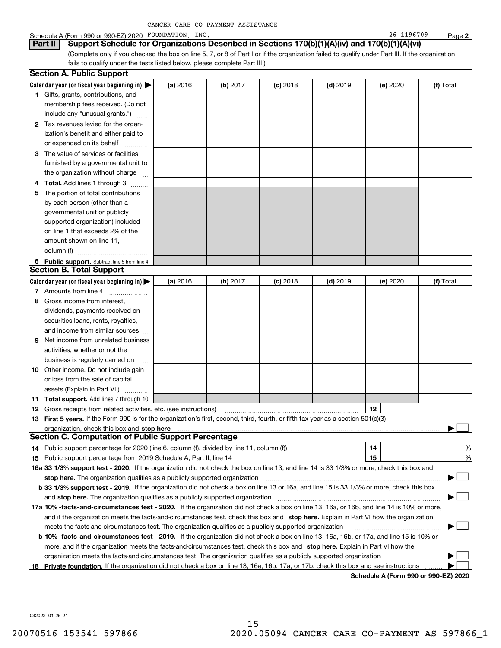|  |  | CANCER CARE CO-PAYMENT ASSISTANCE |  |
|--|--|-----------------------------------|--|
|--|--|-----------------------------------|--|

#### Schedule A (Form 990 or 990-EZ) 2020 POUNDATION,INC. 26-1196709 Page

(Complete only if you checked the box on line 5, 7, or 8 of Part I or if the organization failed to qualify under Part III. If the organization fails to qualify under the tests listed below, please complete Part III.) **Part II Support Schedule for Organizations Described in Sections 170(b)(1)(A)(iv) and 170(b)(1)(A)(vi)**

|    | <b>Section A. Public Support</b>                                                                                                                                                                                               |          |          |            |            |          |           |
|----|--------------------------------------------------------------------------------------------------------------------------------------------------------------------------------------------------------------------------------|----------|----------|------------|------------|----------|-----------|
|    | Calendar year (or fiscal year beginning in) $\blacktriangleright$                                                                                                                                                              | (a) 2016 | (b) 2017 | $(c)$ 2018 | $(d)$ 2019 | (e) 2020 | (f) Total |
|    | 1 Gifts, grants, contributions, and                                                                                                                                                                                            |          |          |            |            |          |           |
|    | membership fees received. (Do not                                                                                                                                                                                              |          |          |            |            |          |           |
|    | include any "unusual grants.")                                                                                                                                                                                                 |          |          |            |            |          |           |
|    | 2 Tax revenues levied for the organ-                                                                                                                                                                                           |          |          |            |            |          |           |
|    | ization's benefit and either paid to                                                                                                                                                                                           |          |          |            |            |          |           |
|    | or expended on its behalf                                                                                                                                                                                                      |          |          |            |            |          |           |
| З  | The value of services or facilities                                                                                                                                                                                            |          |          |            |            |          |           |
|    | furnished by a governmental unit to                                                                                                                                                                                            |          |          |            |            |          |           |
|    | the organization without charge                                                                                                                                                                                                |          |          |            |            |          |           |
|    | Total. Add lines 1 through 3                                                                                                                                                                                                   |          |          |            |            |          |           |
| 5  | The portion of total contributions                                                                                                                                                                                             |          |          |            |            |          |           |
|    | by each person (other than a                                                                                                                                                                                                   |          |          |            |            |          |           |
|    | governmental unit or publicly                                                                                                                                                                                                  |          |          |            |            |          |           |
|    | supported organization) included                                                                                                                                                                                               |          |          |            |            |          |           |
|    | on line 1 that exceeds 2% of the                                                                                                                                                                                               |          |          |            |            |          |           |
|    | amount shown on line 11,                                                                                                                                                                                                       |          |          |            |            |          |           |
|    | column (f)                                                                                                                                                                                                                     |          |          |            |            |          |           |
|    | 6 Public support. Subtract line 5 from line 4.                                                                                                                                                                                 |          |          |            |            |          |           |
|    | Section B. Total Support                                                                                                                                                                                                       |          |          |            |            |          |           |
|    | Calendar year (or fiscal year beginning in) $\blacktriangleright$                                                                                                                                                              | (a) 2016 | (b) 2017 | $(c)$ 2018 | $(d)$ 2019 | (e) 2020 | (f) Total |
|    | 7 Amounts from line 4                                                                                                                                                                                                          |          |          |            |            |          |           |
| 8. | Gross income from interest,                                                                                                                                                                                                    |          |          |            |            |          |           |
|    | dividends, payments received on                                                                                                                                                                                                |          |          |            |            |          |           |
|    | securities loans, rents, royalties,                                                                                                                                                                                            |          |          |            |            |          |           |
|    | and income from similar sources                                                                                                                                                                                                |          |          |            |            |          |           |
| 9  | Net income from unrelated business                                                                                                                                                                                             |          |          |            |            |          |           |
|    | activities, whether or not the                                                                                                                                                                                                 |          |          |            |            |          |           |
|    | business is regularly carried on                                                                                                                                                                                               |          |          |            |            |          |           |
|    | 10 Other income. Do not include gain                                                                                                                                                                                           |          |          |            |            |          |           |
|    | or loss from the sale of capital                                                                                                                                                                                               |          |          |            |            |          |           |
|    | assets (Explain in Part VI.)                                                                                                                                                                                                   |          |          |            |            |          |           |
|    | <b>11 Total support.</b> Add lines 7 through 10                                                                                                                                                                                |          |          |            |            |          |           |
|    | 12 Gross receipts from related activities, etc. (see instructions)                                                                                                                                                             |          |          |            |            | 12       |           |
|    | 13 First 5 years. If the Form 990 is for the organization's first, second, third, fourth, or fifth tax year as a section 501(c)(3)                                                                                             |          |          |            |            |          |           |
|    | organization, check this box and stop here manufactured and the content of the state of the state of the content of the content of the content of the content of the content of the content of the content of the content of t |          |          |            |            |          |           |
|    | <b>Section C. Computation of Public Support Percentage</b>                                                                                                                                                                     |          |          |            |            |          |           |
|    |                                                                                                                                                                                                                                |          |          |            |            | 14       | %         |
|    |                                                                                                                                                                                                                                |          |          |            |            | 15       | %         |
|    | 16a 33 1/3% support test - 2020. If the organization did not check the box on line 13, and line 14 is 33 1/3% or more, check this box and                                                                                      |          |          |            |            |          |           |
|    | stop here. The organization qualifies as a publicly supported organization                                                                                                                                                     |          |          |            |            |          |           |
|    | b 33 1/3% support test - 2019. If the organization did not check a box on line 13 or 16a, and line 15 is 33 1/3% or more, check this box                                                                                       |          |          |            |            |          |           |
|    | and stop here. The organization qualifies as a publicly supported organization                                                                                                                                                 |          |          |            |            |          |           |
|    | 17a 10% -facts-and-circumstances test - 2020. If the organization did not check a box on line 13, 16a, or 16b, and line 14 is 10% or more,                                                                                     |          |          |            |            |          |           |
|    | and if the organization meets the facts-and-circumstances test, check this box and stop here. Explain in Part VI how the organization                                                                                          |          |          |            |            |          |           |
|    | meets the facts-and-circumstances test. The organization qualifies as a publicly supported organization                                                                                                                        |          |          |            |            |          |           |
|    | <b>b 10% -facts-and-circumstances test - 2019.</b> If the organization did not check a box on line 13, 16a, 16b, or 17a, and line 15 is 10% or                                                                                 |          |          |            |            |          |           |
|    | more, and if the organization meets the facts-and-circumstances test, check this box and stop here. Explain in Part VI how the                                                                                                 |          |          |            |            |          |           |
|    | organization meets the facts-and-circumstances test. The organization qualifies as a publicly supported organization                                                                                                           |          |          |            |            |          |           |
| 18 | Private foundation. If the organization did not check a box on line 13, 16a, 16b, 17a, or 17b, check this box and see instructions                                                                                             |          |          |            |            |          |           |

**Schedule A (Form 990 or 990-EZ) 2020**

032022 01-25-21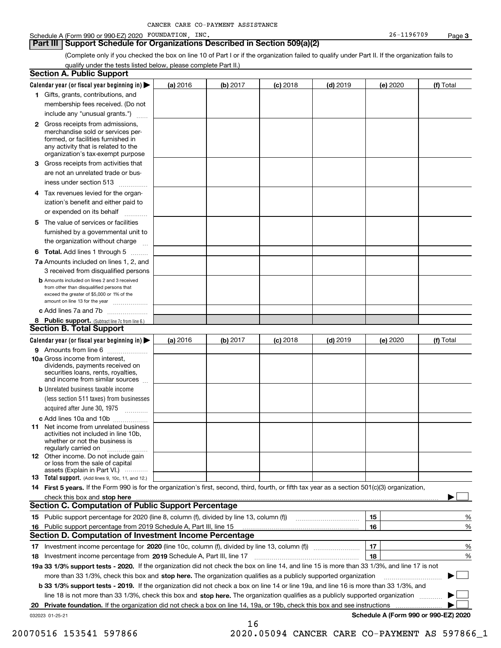#### Schedule A (Form 990 or 990-EZ) 2020 POUNDATION,INC. 26-1196709 Page

**3**

(Complete only if you checked the box on line 10 of Part I or if the organization failed to qualify under Part II. If the organization fails to qualify under the tests listed below, please complete Part II.)

|    | <b>Section A. Public Support</b>                                                                                                                                                                |          |          |            |            |          |                                      |
|----|-------------------------------------------------------------------------------------------------------------------------------------------------------------------------------------------------|----------|----------|------------|------------|----------|--------------------------------------|
|    | Calendar year (or fiscal year beginning in) $\blacktriangleright$                                                                                                                               | (a) 2016 | (b) 2017 | $(c)$ 2018 | $(d)$ 2019 | (e) 2020 | (f) Total                            |
|    | 1 Gifts, grants, contributions, and                                                                                                                                                             |          |          |            |            |          |                                      |
|    | membership fees received. (Do not                                                                                                                                                               |          |          |            |            |          |                                      |
|    | include any "unusual grants.")                                                                                                                                                                  |          |          |            |            |          |                                      |
|    | <b>2</b> Gross receipts from admissions,<br>merchandise sold or services per-<br>formed, or facilities furnished in<br>any activity that is related to the<br>organization's tax-exempt purpose |          |          |            |            |          |                                      |
|    | 3 Gross receipts from activities that<br>are not an unrelated trade or bus-<br>iness under section 513                                                                                          |          |          |            |            |          |                                      |
|    | 4 Tax revenues levied for the organ-<br>ization's benefit and either paid to<br>or expended on its behalf<br>.                                                                                  |          |          |            |            |          |                                      |
|    | 5 The value of services or facilities<br>furnished by a governmental unit to<br>the organization without charge                                                                                 |          |          |            |            |          |                                      |
|    | <b>6 Total.</b> Add lines 1 through 5                                                                                                                                                           |          |          |            |            |          |                                      |
|    | 7a Amounts included on lines 1, 2, and<br>3 received from disqualified persons                                                                                                                  |          |          |            |            |          |                                      |
|    | <b>b</b> Amounts included on lines 2 and 3 received<br>from other than disqualified persons that<br>exceed the greater of \$5,000 or 1% of the                                                  |          |          |            |            |          |                                      |
|    | amount on line 13 for the year                                                                                                                                                                  |          |          |            |            |          |                                      |
|    | c Add lines 7a and 7b                                                                                                                                                                           |          |          |            |            |          |                                      |
|    | 8 Public support. (Subtract line 7c from line 6.)                                                                                                                                               |          |          |            |            |          |                                      |
|    | <b>Section B. Total Support</b>                                                                                                                                                                 |          |          |            |            |          |                                      |
|    | Calendar year (or fiscal year beginning in) $\blacktriangleright$                                                                                                                               | (a) 2016 | (b) 2017 | $(c)$ 2018 | $(d)$ 2019 | (e) 2020 | (f) Total                            |
|    | 9 Amounts from line 6                                                                                                                                                                           |          |          |            |            |          |                                      |
|    | <b>10a</b> Gross income from interest,<br>dividends, payments received on<br>securities loans, rents, royalties,<br>and income from similar sources                                             |          |          |            |            |          |                                      |
|    | <b>b</b> Unrelated business taxable income                                                                                                                                                      |          |          |            |            |          |                                      |
|    | (less section 511 taxes) from businesses<br>acquired after June 30, 1975                                                                                                                        |          |          |            |            |          |                                      |
|    | c Add lines 10a and 10b<br>11 Net income from unrelated business<br>activities not included in line 10b,<br>whether or not the business is<br>regularly carried on                              |          |          |            |            |          |                                      |
|    | 12 Other income. Do not include gain<br>or loss from the sale of capital<br>assets (Explain in Part VI.)                                                                                        |          |          |            |            |          |                                      |
|    | 13 Total support. (Add lines 9, 10c, 11, and 12.)                                                                                                                                               |          |          |            |            |          |                                      |
|    | 14 First 5 years. If the Form 990 is for the organization's first, second, third, fourth, or fifth tax year as a section 501(c)(3) organization,                                                |          |          |            |            |          |                                      |
|    | check this box and stop here <i>macuum macuum macuum macuum macuum macuum macuum macuum macuum</i>                                                                                              |          |          |            |            |          |                                      |
|    | <b>Section C. Computation of Public Support Percentage</b>                                                                                                                                      |          |          |            |            |          |                                      |
|    |                                                                                                                                                                                                 |          |          |            |            | 15       | %                                    |
| 16 | Public support percentage from 2019 Schedule A, Part III, line 15                                                                                                                               |          |          |            |            | 16       | %                                    |
|    | Section D. Computation of Investment Income Percentage                                                                                                                                          |          |          |            |            |          |                                      |
|    |                                                                                                                                                                                                 |          |          |            |            | 17       | %                                    |
|    | 18 Investment income percentage from 2019 Schedule A, Part III, line 17                                                                                                                         |          |          |            |            | 18       | %                                    |
|    | 19a 33 1/3% support tests - 2020. If the organization did not check the box on line 14, and line 15 is more than 33 1/3%, and line 17 is not                                                    |          |          |            |            |          |                                      |
|    | more than 33 1/3%, check this box and stop here. The organization qualifies as a publicly supported organization                                                                                |          |          |            |            |          | $\sim$<br>▶                          |
|    | b 33 1/3% support tests - 2019. If the organization did not check a box on line 14 or line 19a, and line 16 is more than 33 1/3%, and                                                           |          |          |            |            |          |                                      |
|    | line 18 is not more than 33 1/3%, check this box and stop here. The organization qualifies as a publicly supported organization                                                                 |          |          |            |            |          |                                      |
| 20 | Private foundation. If the organization did not check a box on line 14, 19a, or 19b, check this box and see instructions                                                                        |          |          |            |            |          |                                      |
|    | 032023 01-25-21                                                                                                                                                                                 |          |          |            |            |          | Schedule A (Form 990 or 990-EZ) 2020 |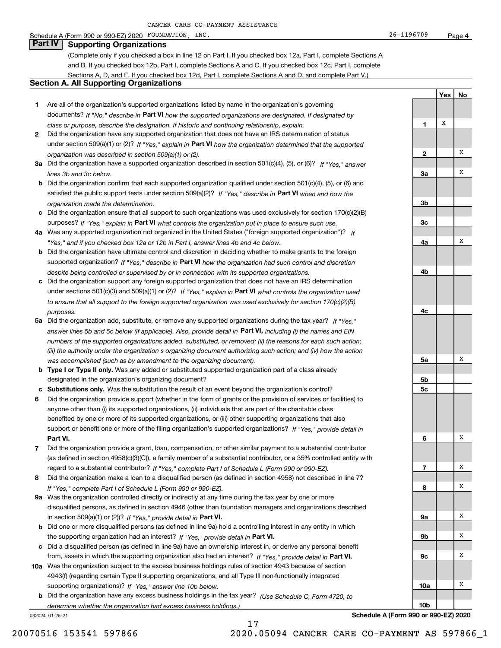#### Schedule A (Form 990 or 990-EZ) 2020 POUNDATION,INC. 26-1196709 Page

(Complete only if you checked a box in line 12 on Part I. If you checked box 12a, Part I, complete Sections A and B. If you checked box 12b, Part I, complete Sections A and C. If you checked box 12c, Part I, complete Sections A, D, and E. If you checked box 12d, Part I, complete Sections A and D, and complete Part V.)

### **Section A. All Supporting Organizations**

- **1** Are all of the organization's supported organizations listed by name in the organization's governing documents? If "No," describe in **Part VI** how the supported organizations are designated. If designated by *class or purpose, describe the designation. If historic and continuing relationship, explain.*
- **2** Did the organization have any supported organization that does not have an IRS determination of status under section 509(a)(1) or (2)? If "Yes," explain in Part VI how the organization determined that the supported *organization was described in section 509(a)(1) or (2).*
- **3a** Did the organization have a supported organization described in section 501(c)(4), (5), or (6)? If "Yes," answer *lines 3b and 3c below.*
- **b** Did the organization confirm that each supported organization qualified under section 501(c)(4), (5), or (6) and satisfied the public support tests under section 509(a)(2)? If "Yes," describe in **Part VI** when and how the *organization made the determination.*
- **c**Did the organization ensure that all support to such organizations was used exclusively for section 170(c)(2)(B) purposes? If "Yes," explain in **Part VI** what controls the organization put in place to ensure such use.
- **4a***If* Was any supported organization not organized in the United States ("foreign supported organization")? *"Yes," and if you checked box 12a or 12b in Part I, answer lines 4b and 4c below.*
- **b** Did the organization have ultimate control and discretion in deciding whether to make grants to the foreign supported organization? If "Yes," describe in **Part VI** how the organization had such control and discretion *despite being controlled or supervised by or in connection with its supported organizations.*
- **c** Did the organization support any foreign supported organization that does not have an IRS determination under sections 501(c)(3) and 509(a)(1) or (2)? If "Yes," explain in **Part VI** what controls the organization used *to ensure that all support to the foreign supported organization was used exclusively for section 170(c)(2)(B) purposes.*
- **5a** Did the organization add, substitute, or remove any supported organizations during the tax year? If "Yes," answer lines 5b and 5c below (if applicable). Also, provide detail in **Part VI,** including (i) the names and EIN *numbers of the supported organizations added, substituted, or removed; (ii) the reasons for each such action; (iii) the authority under the organization's organizing document authorizing such action; and (iv) how the action was accomplished (such as by amendment to the organizing document).*
- **b** Type I or Type II only. Was any added or substituted supported organization part of a class already designated in the organization's organizing document?
- **cSubstitutions only.**  Was the substitution the result of an event beyond the organization's control?
- **6** Did the organization provide support (whether in the form of grants or the provision of services or facilities) to **Part VI.** *If "Yes," provide detail in* support or benefit one or more of the filing organization's supported organizations? anyone other than (i) its supported organizations, (ii) individuals that are part of the charitable class benefited by one or more of its supported organizations, or (iii) other supporting organizations that also
- **7**Did the organization provide a grant, loan, compensation, or other similar payment to a substantial contributor *If "Yes," complete Part I of Schedule L (Form 990 or 990-EZ).* regard to a substantial contributor? (as defined in section 4958(c)(3)(C)), a family member of a substantial contributor, or a 35% controlled entity with
- **8** Did the organization make a loan to a disqualified person (as defined in section 4958) not described in line 7? *If "Yes," complete Part I of Schedule L (Form 990 or 990-EZ).*
- **9a** Was the organization controlled directly or indirectly at any time during the tax year by one or more in section 509(a)(1) or (2))? If "Yes," *provide detail in* <code>Part VI.</code> disqualified persons, as defined in section 4946 (other than foundation managers and organizations described
- **b**the supporting organization had an interest? If "Yes," provide detail in P**art VI**. Did one or more disqualified persons (as defined in line 9a) hold a controlling interest in any entity in which
- **c**Did a disqualified person (as defined in line 9a) have an ownership interest in, or derive any personal benefit from, assets in which the supporting organization also had an interest? If "Yes," provide detail in P**art VI.**
- **10a** Was the organization subject to the excess business holdings rules of section 4943 because of section supporting organizations)? If "Yes," answer line 10b below. 4943(f) (regarding certain Type II supporting organizations, and all Type III non-functionally integrated
- **b** Did the organization have any excess business holdings in the tax year? (Use Schedule C, Form 4720, to *determine whether the organization had excess business holdings.)*

17

032024 01-25-21

**5b5c6789a 9b9c10a10b**XXXXXXX

**1**

**2**

**3a**

**3b**

**3c**

**4a**

**4b**

**4c**

**5a**

**YesNo**

X

X

X

X

X

**Schedule A (Form 990 or 990-EZ) 2020**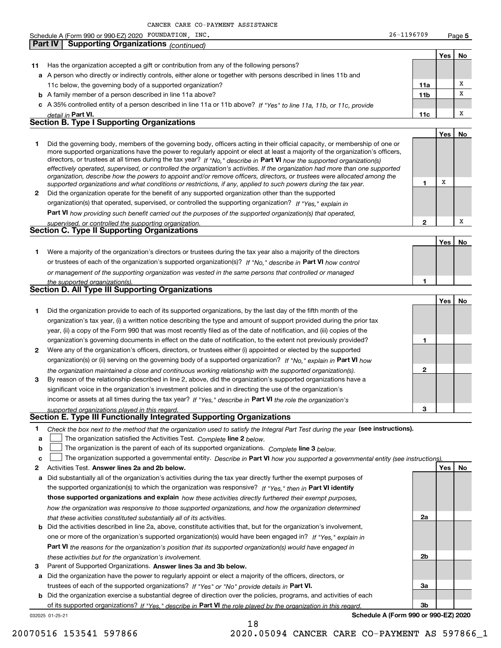**5Yes No 11** Has the organization accepted a gift or contribution from any of the following persons? **a**A person who directly or indirectly controls, either alone or together with persons described in lines 11b and **b** A family member of a person described in line 11a above? **c** A 35% controlled entity of a person described in line 11a or 11b above? If "Yes" to line 11a, 11b, or 11c, provide **11a11bPart VI. 11c Yes No 12** Did the organization operate for the benefit of any supported organization other than the supported directors, or trustees at all times during the tax year? If "No," describe in **Part VI** how the supported organization(s) **12Part VI**  *how providing such benefit carried out the purposes of the supported organization(s) that operated,* **Yes No 1** Were a majority of the organization's directors or trustees during the tax year also a majority of the directors or trustees of each of the organization's supported organization(s)? If "No," describe in **Part VI** how control **1Yes No 1** Did the organization provide to each of its supported organizations, by the last day of the fifth month of the **2** Were any of the organization's officers, directors, or trustees either (i) appointed or elected by the supported **3123**organization(s) or (ii) serving on the governing body of a supported organization? If "No," explain in **Part VI** how income or assets at all times during the tax year? If "Yes," describe in **Part VI** the role the organization's **1**Check the box next to the method that the organization used to satisfy the Integral Part Test during the year (see instructions). *detail in effectively operated, supervised, or controlled the organization's activities. If the organization had more than one supported organization, describe how the powers to appoint and/or remove officers, directors, or trustees were allocated among the supported organizations and what conditions or restrictions, if any, applied to such powers during the tax year. If "Yes," explain in* organization(s) that operated, supervised, or controlled the supporting organization? *supervised, or controlled the supporting organization. or management of the supporting organization was vested in the same persons that controlled or managed the supported organization(s). the organization maintained a close and continuous working relationship with the supported organization(s). supported organizations played in this regard.* Schedule A (Form 990 or 990-EZ) 2020 POUNDATION,INC. 26-1196709 Page 11c below, the governing body of a supported organization? Did the governing body, members of the governing body, officers acting in their official capacity, or membership of one or more supported organizations have the power to regularly appoint or elect at least a majority of the organization's officers, organization's tax year, (i) a written notice describing the type and amount of support provided during the prior tax year, (ii) a copy of the Form 990 that was most recently filed as of the date of notification, and (iii) copies of the organization's governing documents in effect on the date of notification, to the extent not previously provided? By reason of the relationship described in line 2, above, did the organization's supported organizations have a significant voice in the organization's investment policies and in directing the use of the organization's **Part IV Supporting Organizations** *(continued)* **Section B. Type I Supporting Organizations Section C. Type II Supporting Organizations Section D. All Type III Supporting Organizations Section E. Type III Functionally Integrated Supporting Organizations** XXXXX

- **a**The organization satisfied the Activities Test. *Complete* line 2 below.  $\mathcal{L}^{\text{max}}$
- **b**The organization is the parent of each of its supported organizations. *Complete* line 3 *below.*  $\mathcal{L}^{\text{max}}$

|  | The organization supported a governmental entity. Describe in Part VI how you supported a governmental entity (see instructions). |  |
|--|-----------------------------------------------------------------------------------------------------------------------------------|--|
|  |                                                                                                                                   |  |

18

- **2Answer lines 2a and 2b below. Yes No** Activities Test.
- **a** Did substantially all of the organization's activities during the tax year directly further the exempt purposes of **b** Did the activities described in line 2a, above, constitute activities that, but for the organization's involvement, the supported organization(s) to which the organization was responsive? If "Yes," then in **Part VI identify those supported organizations and explain**  *how these activities directly furthered their exempt purposes, how the organization was responsive to those supported organizations, and how the organization determined that these activities constituted substantially all of its activities.*
- **Part VI**  *the reasons for the organization's position that its supported organization(s) would have engaged in* one or more of the organization's supported organization(s) would have been engaged in? If "Yes," e*xplain in these activities but for the organization's involvement.*
- **3** Parent of Supported Organizations. Answer lines 3a and 3b below.

**a** Did the organization have the power to regularly appoint or elect a majority of the officers, directors, or trustees of each of the supported organizations? If "Yes" or "No" provide details in **Part VI.** 

032025 01-25-21 **b** Did the organization exercise a substantial degree of direction over the policies, programs, and activities of each of its supported organizations? If "Yes," describe in Part VI the role played by the organization in this regard.

**Schedule A (Form 990 or 990-EZ) 2020**

**2a**

**2b**

**3a**

**3b**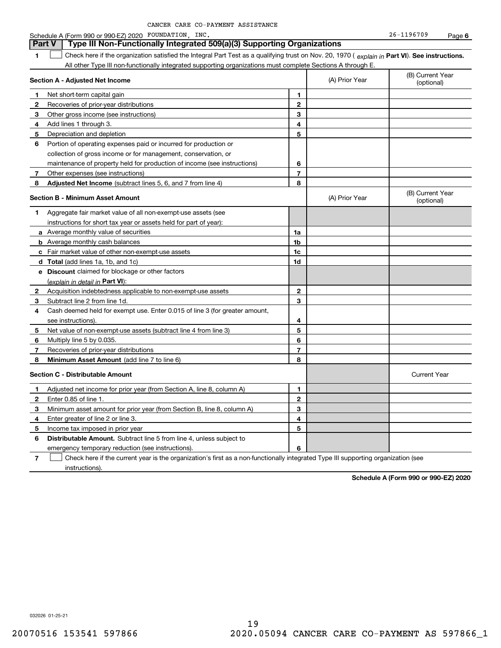| CANCER CARE CO-PAYMENT ASSISTANCE |  |
|-----------------------------------|--|
|-----------------------------------|--|

#### **1Part VI** Check here if the organization satisfied the Integral Part Test as a qualifying trust on Nov. 20, 1970 ( *explain in* Part **VI**). See instructions. **Section A - Adjusted Net Income 12** Recoveries of prior-year distributions **3** Other gross income (see instructions) **4**Add lines 1 through 3. **56** Portion of operating expenses paid or incurred for production or **7** Other expenses (see instructions) **8** Adjusted Net Income (subtract lines 5, 6, and 7 from line 4) **8 8 1234567Section B - Minimum Asset Amount 1**Aggregate fair market value of all non-exempt-use assets (see **2**Acquisition indebtedness applicable to non-exempt-use assets **3** Subtract line 2 from line 1d. **4**Cash deemed held for exempt use. Enter 0.015 of line 3 (for greater amount, **5** Net value of non-exempt-use assets (subtract line 4 from line 3) **678a** Average monthly value of securities **b** Average monthly cash balances **c**Fair market value of other non-exempt-use assets **dTotal**  (add lines 1a, 1b, and 1c) **eDiscount** claimed for blockage or other factors **1a1b1c1d2345678**(explain in detail in Part VI): **Minimum Asset Amount**  (add line 7 to line 6) **Section C - Distributable Amount 12**Enter 0.85 of line 1. **3456123456Distributable Amount.** Subtract line 5 from line 4, unless subject to All other Type III non-functionally integrated supporting organizations must complete Sections A through E. (B) Current Year (optional)(A) Prior Year Net short-term capital gain Depreciation and depletion collection of gross income or for management, conservation, or maintenance of property held for production of income (see instructions) (B) Current Year (optional)(A) Prior Year instructions for short tax year or assets held for part of year): see instructions). Multiply line 5 by 0.035. Recoveries of prior-year distributions Current Year Adjusted net income for prior year (from Section A, line 8, column A) Minimum asset amount for prior year (from Section B, line 8, column A) Enter greater of line 2 or line 3. Income tax imposed in prior year emergency temporary reduction (see instructions). **Part V Type III Non-Functionally Integrated 509(a)(3) Supporting Organizations**   $\mathcal{L}^{\text{max}}$

**7**Check here if the current year is the organization's first as a non-functionally integrated Type III supporting organization (see instructions). $\mathcal{L}^{\text{max}}$ 

**Schedule A (Form 990 or 990-EZ) 2020**

032026 01-25-21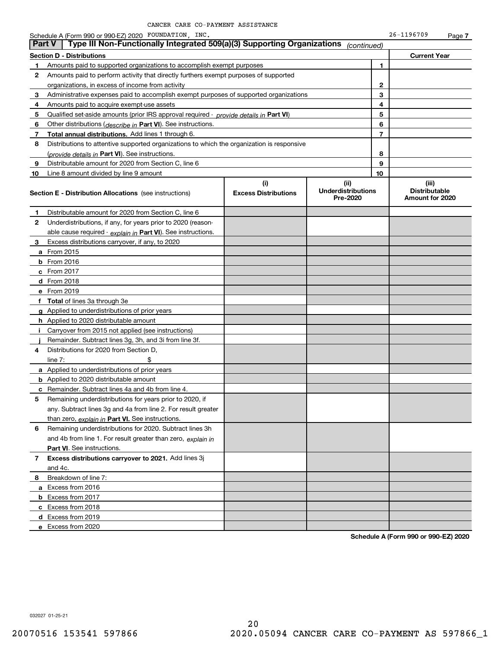Schedule A (Form 990 or 990-EZ) 2020 POUNDATION,INC. 26-1196709 Page

|              | Type III Non-Functionally Integrated 509(a)(3) Supporting Organizations<br><b>Part V</b>   |                             | (continued)                           |    |                                         |
|--------------|--------------------------------------------------------------------------------------------|-----------------------------|---------------------------------------|----|-----------------------------------------|
|              | Section D - Distributions                                                                  |                             |                                       |    | <b>Current Year</b>                     |
| 1            | Amounts paid to supported organizations to accomplish exempt purposes                      |                             |                                       | 1  |                                         |
| 2            | Amounts paid to perform activity that directly furthers exempt purposes of supported       |                             |                                       |    |                                         |
|              | organizations, in excess of income from activity                                           |                             |                                       | 2  |                                         |
| 3            | Administrative expenses paid to accomplish exempt purposes of supported organizations      |                             |                                       | 3  |                                         |
| 4            | Amounts paid to acquire exempt-use assets                                                  |                             |                                       | 4  |                                         |
| 5            | Qualified set aside amounts (prior IRS approval required - provide details in Part VI)     |                             |                                       | 5  |                                         |
| 6            | Other distributions ( <i>describe in</i> Part VI). See instructions.                       |                             |                                       | 6  |                                         |
| 7            | Total annual distributions. Add lines 1 through 6.                                         |                             |                                       | 7  |                                         |
| 8            | Distributions to attentive supported organizations to which the organization is responsive |                             |                                       |    |                                         |
|              | (provide details in Part VI). See instructions.                                            |                             |                                       | 8  |                                         |
| 9            | Distributable amount for 2020 from Section C, line 6                                       |                             |                                       | 9  |                                         |
| 10           | Line 8 amount divided by line 9 amount                                                     |                             |                                       | 10 |                                         |
|              |                                                                                            | (i)                         | (ii)                                  |    | (iii)                                   |
|              | <b>Section E - Distribution Allocations</b> (see instructions)                             | <b>Excess Distributions</b> | <b>Underdistributions</b><br>Pre-2020 |    | <b>Distributable</b><br>Amount for 2020 |
| 1            | Distributable amount for 2020 from Section C, line 6                                       |                             |                                       |    |                                         |
| $\mathbf{2}$ | Underdistributions, if any, for years prior to 2020 (reason-                               |                             |                                       |    |                                         |
|              | able cause required - explain in Part VI). See instructions.                               |                             |                                       |    |                                         |
| 3            | Excess distributions carryover, if any, to 2020                                            |                             |                                       |    |                                         |
|              | a From 2015                                                                                |                             |                                       |    |                                         |
|              | $b$ From 2016                                                                              |                             |                                       |    |                                         |
|              | c From 2017                                                                                |                             |                                       |    |                                         |
|              | d From 2018                                                                                |                             |                                       |    |                                         |
|              | e From 2019                                                                                |                             |                                       |    |                                         |
|              | f Total of lines 3a through 3e                                                             |                             |                                       |    |                                         |
|              | g Applied to underdistributions of prior years                                             |                             |                                       |    |                                         |
|              | h Applied to 2020 distributable amount                                                     |                             |                                       |    |                                         |
|              | Carryover from 2015 not applied (see instructions)                                         |                             |                                       |    |                                         |
|              | Remainder. Subtract lines 3g, 3h, and 3i from line 3f.                                     |                             |                                       |    |                                         |
| 4            | Distributions for 2020 from Section D,                                                     |                             |                                       |    |                                         |
|              | line $7:$                                                                                  |                             |                                       |    |                                         |
|              | a Applied to underdistributions of prior years                                             |                             |                                       |    |                                         |
|              | <b>b</b> Applied to 2020 distributable amount                                              |                             |                                       |    |                                         |
|              | c Remainder. Subtract lines 4a and 4b from line 4.                                         |                             |                                       |    |                                         |
| 5            | Remaining underdistributions for years prior to 2020, if                                   |                             |                                       |    |                                         |
|              | any. Subtract lines 3g and 4a from line 2. For result greater                              |                             |                                       |    |                                         |
|              | than zero, explain in Part VI. See instructions.                                           |                             |                                       |    |                                         |
| 6            | Remaining underdistributions for 2020. Subtract lines 3h                                   |                             |                                       |    |                                         |
|              | and 4b from line 1. For result greater than zero, explain in                               |                             |                                       |    |                                         |
|              | Part VI. See instructions.                                                                 |                             |                                       |    |                                         |
| 7            | Excess distributions carryover to 2021. Add lines 3j                                       |                             |                                       |    |                                         |
|              | and 4c.                                                                                    |                             |                                       |    |                                         |
| 8            | Breakdown of line 7:                                                                       |                             |                                       |    |                                         |
|              | a Excess from 2016                                                                         |                             |                                       |    |                                         |
|              | <b>b</b> Excess from 2017                                                                  |                             |                                       |    |                                         |
|              | c Excess from 2018                                                                         |                             |                                       |    |                                         |
|              | d Excess from 2019                                                                         |                             |                                       |    |                                         |
|              | e Excess from 2020                                                                         |                             |                                       |    |                                         |
|              |                                                                                            |                             |                                       |    |                                         |

**Schedule A (Form 990 or 990-EZ) 2020**

**7**

032027 01-25-21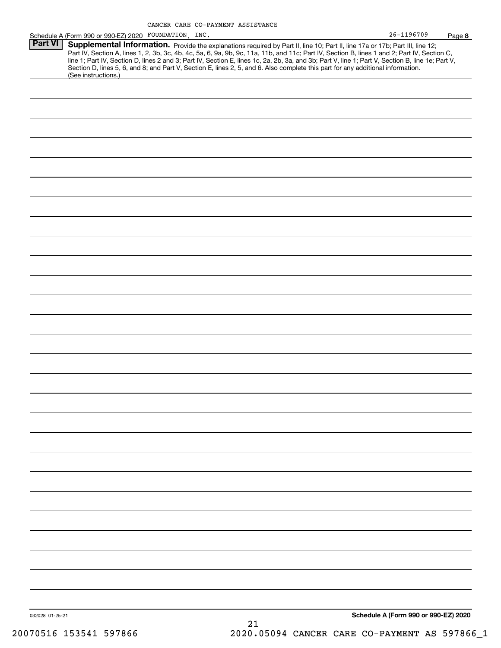|                |                                                        | CANCER CARE CO-PAYMENT ASSISTANCE |                                                                                                                                                                                                                                                                                                                                                                                                                                                                                                                                                                      |                |        |
|----------------|--------------------------------------------------------|-----------------------------------|----------------------------------------------------------------------------------------------------------------------------------------------------------------------------------------------------------------------------------------------------------------------------------------------------------------------------------------------------------------------------------------------------------------------------------------------------------------------------------------------------------------------------------------------------------------------|----------------|--------|
|                | Schedule A (Form 990 or 990-EZ) 2020 FOUNDATION , INC. |                                   |                                                                                                                                                                                                                                                                                                                                                                                                                                                                                                                                                                      | $26 - 1196709$ | Page 8 |
| <b>Part VI</b> | (See instructions.)                                    |                                   | Supplemental Information. Provide the explanations required by Part II, line 10; Part II, line 17a or 17b; Part III, line 12;<br>Part IV, Section A, lines 1, 2, 3b, 3c, 4b, 4c, 5a, 6, 9a, 9b, 9c, 11a, 11b, and 11c; Part IV, Section B, lines 1 and 2; Part IV, Section C,<br>line 1; Part IV, Section D, lines 2 and 3; Part IV, Section E, lines 1c, 2a, 2b, 3a, and 3b; Part V, line 1; Part V, Section B, line 1e; Part V,<br>Section D, lines 5, 6, and 8; and Part V, Section E, lines 2, 5, and 6. Also complete this part for any additional information. |                |        |
|                |                                                        |                                   |                                                                                                                                                                                                                                                                                                                                                                                                                                                                                                                                                                      |                |        |
|                |                                                        |                                   |                                                                                                                                                                                                                                                                                                                                                                                                                                                                                                                                                                      |                |        |
|                |                                                        |                                   |                                                                                                                                                                                                                                                                                                                                                                                                                                                                                                                                                                      |                |        |
|                |                                                        |                                   |                                                                                                                                                                                                                                                                                                                                                                                                                                                                                                                                                                      |                |        |
|                |                                                        |                                   |                                                                                                                                                                                                                                                                                                                                                                                                                                                                                                                                                                      |                |        |
|                |                                                        |                                   |                                                                                                                                                                                                                                                                                                                                                                                                                                                                                                                                                                      |                |        |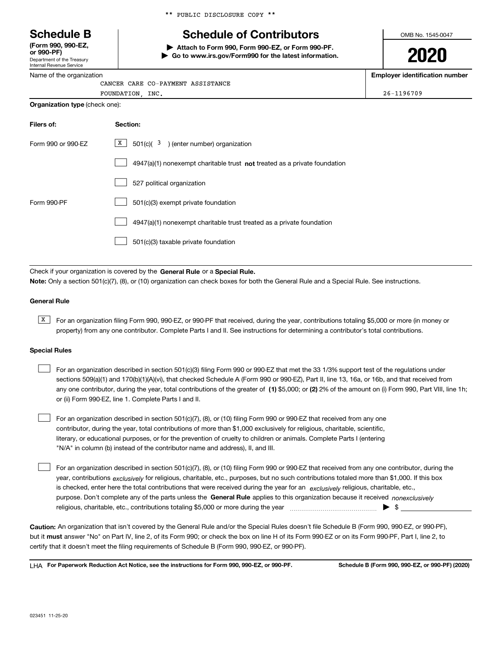Department of the Treasury **(Form 990, 990-EZ, or 990-PF)**

Internal Revenue Service Name of the organization \*\* PUBLIC DISCLOSURE COPY \*\*

# **Schedule B Schedule of Contributors**

**| Attach to Form 990, Form 990-EZ, or Form 990-PF. | Go to www.irs.gov/Form990 for the latest information.** OMB No. 1545-0047

**2020**

**Employer identification number**

| . .<br>CANCER CARE CO-PAYMENT ASSISTANCE |            |
|------------------------------------------|------------|
| INC.<br>FOUNDATION                       | 26-1196709 |
| <b>Organization type (check one):</b>    |            |

| Filers of:         | Section:                                                                           |
|--------------------|------------------------------------------------------------------------------------|
| Form 990 or 990-EZ | $X$ 501(c)( $3$ ) (enter number) organization                                      |
|                    | $4947(a)(1)$ nonexempt charitable trust <b>not</b> treated as a private foundation |
|                    | 527 political organization                                                         |
| Form 990-PF        | 501(c)(3) exempt private foundation                                                |
|                    | 4947(a)(1) nonexempt charitable trust treated as a private foundation              |
|                    | 501(c)(3) taxable private foundation                                               |

Check if your organization is covered by the **General Rule** or a **Special Rule. Note:**  Only a section 501(c)(7), (8), or (10) organization can check boxes for both the General Rule and a Special Rule. See instructions.

#### **General Rule**

 $\overline{X}$  For an organization filing Form 990, 990-EZ, or 990-PF that received, during the year, contributions totaling \$5,000 or more (in money or property) from any one contributor. Complete Parts I and II. See instructions for determining a contributor's total contributions.

#### **Special Rules**

| For an organization described in section 501(c)(3) filing Form 990 or 990-EZ that met the 33 1/3% support test of the regulations under               |
|-------------------------------------------------------------------------------------------------------------------------------------------------------|
| sections 509(a)(1) and 170(b)(1)(A)(vi), that checked Schedule A (Form 990 or 990-EZ), Part II, line 13, 16a, or 16b, and that received from          |
| any one contributor, during the year, total contributions of the greater of (1) \$5,000; or (2) 2% of the amount on (i) Form 990, Part VIII, line 1h; |
| or (ii) Form 990-EZ, line 1. Complete Parts I and II.                                                                                                 |

For an organization described in section 501(c)(7), (8), or (10) filing Form 990 or 990-EZ that received from any one contributor, during the year, total contributions of more than \$1,000 exclusively for religious, charitable, scientific, literary, or educational purposes, or for the prevention of cruelty to children or animals. Complete Parts I (entering "N/A" in column (b) instead of the contributor name and address), II, and III.  $\mathcal{L}^{\text{max}}$ 

purpose. Don't complete any of the parts unless the **General Rule** applies to this organization because it received *nonexclusively* year, contributions <sub>exclusively</sub> for religious, charitable, etc., purposes, but no such contributions totaled more than \$1,000. If this box is checked, enter here the total contributions that were received during the year for an  $\;$ exclusively religious, charitable, etc., For an organization described in section 501(c)(7), (8), or (10) filing Form 990 or 990-EZ that received from any one contributor, during the religious, charitable, etc., contributions totaling \$5,000 or more during the year  $\Box$ — $\Box$   $\Box$  $\mathcal{L}^{\text{max}}$ 

**Caution:**  An organization that isn't covered by the General Rule and/or the Special Rules doesn't file Schedule B (Form 990, 990-EZ, or 990-PF),  **must** but it answer "No" on Part IV, line 2, of its Form 990; or check the box on line H of its Form 990-EZ or on its Form 990-PF, Part I, line 2, to certify that it doesn't meet the filing requirements of Schedule B (Form 990, 990-EZ, or 990-PF).

**For Paperwork Reduction Act Notice, see the instructions for Form 990, 990-EZ, or 990-PF. Schedule B (Form 990, 990-EZ, or 990-PF) (2020)** LHA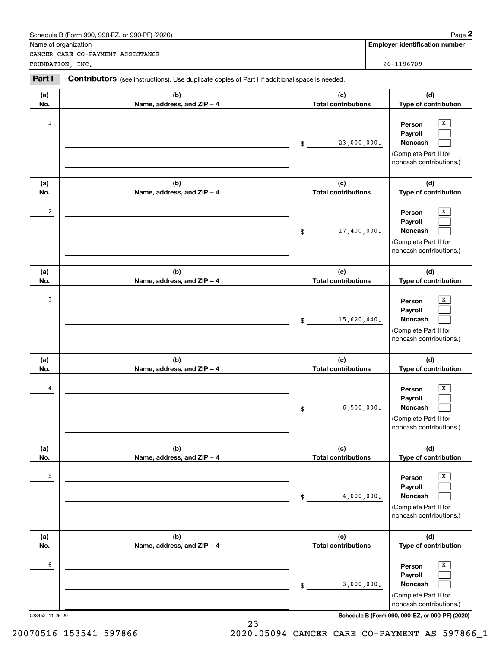|                 | Schedule B (Form 990, 990-EZ, or 990-PF) (2020)                                                |                                   | Page 2                                                                                |
|-----------------|------------------------------------------------------------------------------------------------|-----------------------------------|---------------------------------------------------------------------------------------|
|                 | Name of organization                                                                           |                                   | <b>Employer identification number</b>                                                 |
|                 | CANCER CARE CO-PAYMENT ASSISTANCE<br>FOUNDATION, INC.                                          |                                   | 26-1196709                                                                            |
| Part I          | Contributors (see instructions). Use duplicate copies of Part I if additional space is needed. |                                   |                                                                                       |
| (a)<br>No.      | (b)<br>Name, address, and ZIP + 4                                                              | (c)<br><b>Total contributions</b> | (d)<br>Type of contribution                                                           |
| 1               |                                                                                                | 23,000,000.<br>\$                 | x<br>Person<br>Payroll<br>Noncash<br>(Complete Part II for<br>noncash contributions.) |
| (a)<br>No.      | (b)<br>Name, address, and ZIP + 4                                                              | (c)<br><b>Total contributions</b> | (d)<br>Type of contribution                                                           |
| 2               |                                                                                                | 17,400,000.<br>\$                 | x<br>Person<br>Payroll<br>Noncash<br>(Complete Part II for<br>noncash contributions.) |
| (a)<br>No.      | (b)<br>Name, address, and ZIP + 4                                                              | (c)<br><b>Total contributions</b> | (d)<br>Type of contribution                                                           |
| 3               |                                                                                                | 15,620,440.<br>\$                 | x<br>Person<br>Payroll<br>Noncash<br>(Complete Part II for<br>noncash contributions.) |
| (a)<br>No.      | (b)<br>Name, address, and ZIP + 4                                                              | (c)<br><b>Total contributions</b> | (d)<br>Type of contribution                                                           |
| 4               |                                                                                                | 6,500,000.<br>\$                  | X<br>Person<br>Payroll<br>Noncash<br>(Complete Part II for<br>noncash contributions.) |
| (a)<br>No.      | (b)<br>Name, address, and ZIP + 4                                                              | (c)<br><b>Total contributions</b> | (d)<br>Type of contribution                                                           |
| 5               |                                                                                                | 4,000,000.<br>\$                  | X<br>Person<br>Payroll<br>Noncash<br>(Complete Part II for<br>noncash contributions.) |
| (a)<br>No.      | (b)<br>Name, address, and ZIP + 4                                                              | (c)<br><b>Total contributions</b> | (d)<br>Type of contribution                                                           |
| 6               |                                                                                                | 3,000,000.<br>\$                  | x<br>Person<br>Payroll<br>Noncash<br>(Complete Part II for<br>noncash contributions.) |
| 023452 11-25-20 |                                                                                                |                                   | Schedule B (Form 990, 990-EZ, or 990-PF) (2020)                                       |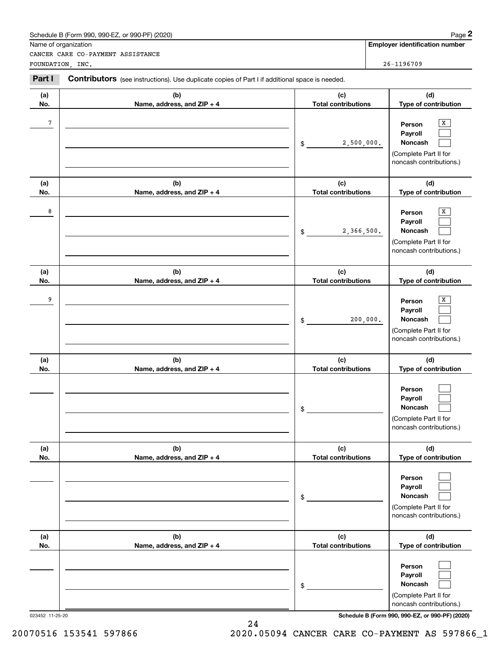|                 | Schedule B (Form 990, 990-EZ, or 990-PF) (2020)                                                |                                   | Page 2                                                                                |
|-----------------|------------------------------------------------------------------------------------------------|-----------------------------------|---------------------------------------------------------------------------------------|
|                 | Name of organization<br>CANCER CARE CO-PAYMENT ASSISTANCE                                      |                                   | <b>Employer identification number</b>                                                 |
|                 | FOUNDATION, INC.                                                                               |                                   | 26-1196709                                                                            |
| Part I          | Contributors (see instructions). Use duplicate copies of Part I if additional space is needed. |                                   |                                                                                       |
| (a)<br>No.      | (b)<br>Name, address, and ZIP + 4                                                              | (c)<br><b>Total contributions</b> | (d)<br>Type of contribution                                                           |
| 7               |                                                                                                | 2,500,000.<br>\$                  | X<br>Person<br>Payroll<br>Noncash<br>(Complete Part II for<br>noncash contributions.) |
| (a)<br>No.      | (b)<br>Name, address, and ZIP + 4                                                              | (c)<br><b>Total contributions</b> | (d)<br>Type of contribution                                                           |
| 8               |                                                                                                | 2,366,500.<br>\$                  | х<br>Person<br>Payroll<br>Noncash<br>(Complete Part II for<br>noncash contributions.) |
| (a)<br>No.      | (b)<br>Name, address, and ZIP + 4                                                              | (c)<br><b>Total contributions</b> | (d)<br>Type of contribution                                                           |
| 9               |                                                                                                | 200,000.<br>\$                    | x<br>Person<br>Payroll<br>Noncash<br>(Complete Part II for<br>noncash contributions.) |
| (a)<br>No.      | (b)<br>Name, address, and ZIP + 4                                                              | (c)<br><b>Total contributions</b> | (d)<br>Type of contribution                                                           |
|                 |                                                                                                | \$                                | Person<br>Payroll<br>Noncash<br>(Complete Part II for<br>noncash contributions.)      |
| (a)<br>No.      | (b)<br>Name, address, and ZIP + 4                                                              | (c)<br><b>Total contributions</b> | (d)<br>Type of contribution                                                           |
|                 |                                                                                                | \$                                | Person<br>Payroll<br>Noncash<br>(Complete Part II for<br>noncash contributions.)      |
| (a)<br>No.      | (b)<br>Name, address, and ZIP + 4                                                              | (c)<br><b>Total contributions</b> | (d)<br>Type of contribution                                                           |
|                 |                                                                                                | \$                                | Person<br>Payroll<br>Noncash<br>(Complete Part II for<br>noncash contributions.)      |
| 023452 11-25-20 |                                                                                                |                                   | Schedule B (Form 990, 990-EZ, or 990-PF) (2020)                                       |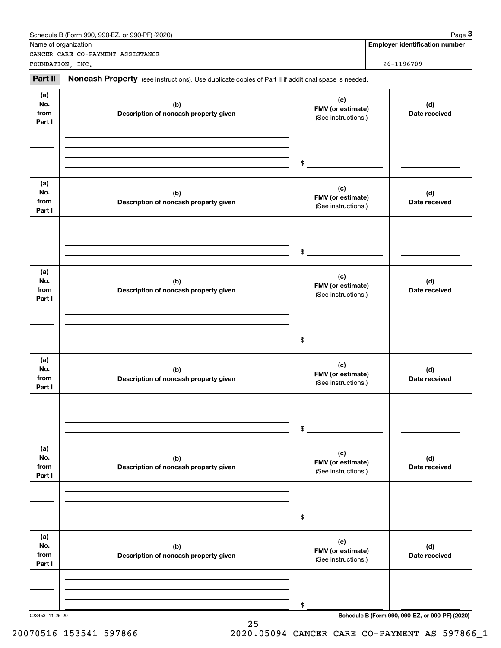| Name of organization         | Schedule B (Form 990, 990-EZ, or 990-PF) (2020)                                                     |                                                 | Page 3<br><b>Employer identification number</b> |
|------------------------------|-----------------------------------------------------------------------------------------------------|-------------------------------------------------|-------------------------------------------------|
| FOUNDATION, INC.             | CANCER CARE CO-PAYMENT ASSISTANCE                                                                   |                                                 | 26-1196709                                      |
| Part II                      | Noncash Property (see instructions). Use duplicate copies of Part II if additional space is needed. |                                                 |                                                 |
| (a)<br>No.<br>from<br>Part I | (b)<br>Description of noncash property given                                                        | (c)<br>FMV (or estimate)<br>(See instructions.) | (d)<br>Date received                            |
|                              |                                                                                                     | \$                                              |                                                 |
| (a)<br>No.<br>from<br>Part I | (b)<br>Description of noncash property given                                                        | (c)<br>FMV (or estimate)<br>(See instructions.) | (d)<br>Date received                            |
|                              |                                                                                                     | \$                                              |                                                 |
| (a)<br>No.<br>from<br>Part I | (b)<br>Description of noncash property given                                                        | (c)<br>FMV (or estimate)<br>(See instructions.) | (d)<br>Date received                            |
|                              |                                                                                                     | \$                                              |                                                 |
| (a)<br>No.<br>from<br>Part I | (b)<br>Description of noncash property given                                                        | (c)<br>FMV (or estimate)<br>(See instructions.) | (d)<br>Date received                            |
|                              |                                                                                                     | \$                                              |                                                 |
| (a)<br>No.<br>from<br>Part I | (b)<br>Description of noncash property given                                                        | (c)<br>FMV (or estimate)<br>(See instructions.) | (d)<br>Date received                            |
|                              |                                                                                                     | \$                                              |                                                 |
| (a)<br>No.<br>from<br>Part I | (b)<br>Description of noncash property given                                                        | (c)<br>FMV (or estimate)<br>(See instructions.) | (d)<br>Date received                            |
|                              |                                                                                                     | \$                                              |                                                 |
| 023453 11-25-20              |                                                                                                     |                                                 | Schedule B (Form 990, 990-EZ, or 990-PF) (2020) |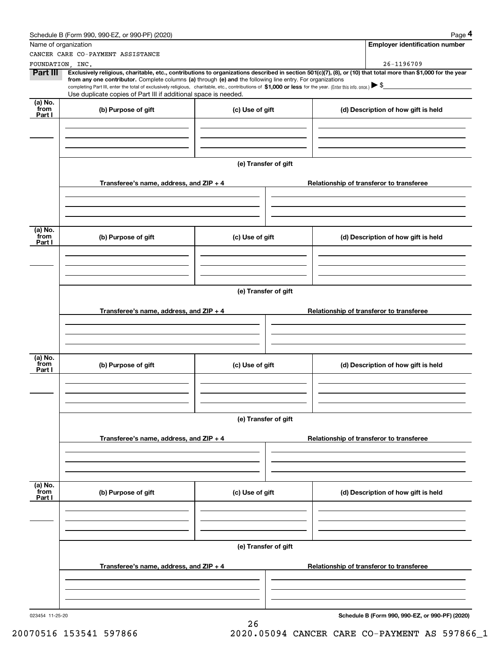|                                               | Schedule B (Form 990, 990-EZ, or 990-PF) (2020)                                                                                                                                                                                                                              |                 |                                          |  | Page 4                                          |  |
|-----------------------------------------------|------------------------------------------------------------------------------------------------------------------------------------------------------------------------------------------------------------------------------------------------------------------------------|-----------------|------------------------------------------|--|-------------------------------------------------|--|
| Name of organization                          |                                                                                                                                                                                                                                                                              |                 |                                          |  | <b>Employer identification number</b>           |  |
|                                               | CANCER CARE CO-PAYMENT ASSISTANCE                                                                                                                                                                                                                                            |                 |                                          |  |                                                 |  |
| FOUNDATION, INC.                              |                                                                                                                                                                                                                                                                              |                 |                                          |  | 26-1196709                                      |  |
| Part III                                      | Exclusively religious, charitable, etc., contributions to organizations described in section 501(c)(7), (8), or (10) that total more than \$1,000 for the year<br>from any one contributor. Complete columns (a) through (e) and the following line entry. For organizations |                 |                                          |  |                                                 |  |
|                                               | completing Part III, enter the total of exclusively religious, charitable, etc., contributions of \$1,000 or less for the year. (Enter this info. once.) \\$                                                                                                                 |                 |                                          |  |                                                 |  |
|                                               | Use duplicate copies of Part III if additional space is needed.                                                                                                                                                                                                              |                 |                                          |  |                                                 |  |
| (a) $\overline{\text{No.}}$<br>from<br>Part I | (b) Purpose of gift                                                                                                                                                                                                                                                          | (c) Use of gift |                                          |  | (d) Description of how gift is held             |  |
|                                               |                                                                                                                                                                                                                                                                              |                 |                                          |  |                                                 |  |
|                                               |                                                                                                                                                                                                                                                                              |                 |                                          |  |                                                 |  |
|                                               |                                                                                                                                                                                                                                                                              |                 | (e) Transfer of gift                     |  |                                                 |  |
|                                               | Transferee's name, address, and $ZIP + 4$                                                                                                                                                                                                                                    |                 |                                          |  | Relationship of transferor to transferee        |  |
|                                               |                                                                                                                                                                                                                                                                              |                 |                                          |  |                                                 |  |
|                                               |                                                                                                                                                                                                                                                                              |                 |                                          |  |                                                 |  |
| $(a)$ No.<br>from                             | (b) Purpose of gift                                                                                                                                                                                                                                                          | (c) Use of gift |                                          |  | (d) Description of how gift is held             |  |
| Part I                                        |                                                                                                                                                                                                                                                                              |                 |                                          |  |                                                 |  |
|                                               |                                                                                                                                                                                                                                                                              |                 |                                          |  |                                                 |  |
|                                               |                                                                                                                                                                                                                                                                              |                 | (e) Transfer of gift                     |  |                                                 |  |
|                                               |                                                                                                                                                                                                                                                                              |                 | Relationship of transferor to transferee |  |                                                 |  |
|                                               | Transferee's name, address, and $ZIP + 4$                                                                                                                                                                                                                                    |                 |                                          |  |                                                 |  |
|                                               |                                                                                                                                                                                                                                                                              |                 |                                          |  |                                                 |  |
| $(a)$ No.<br>from<br>Part I                   | (b) Purpose of gift                                                                                                                                                                                                                                                          | (c) Use of gift |                                          |  | (d) Description of how gift is held             |  |
|                                               |                                                                                                                                                                                                                                                                              |                 |                                          |  |                                                 |  |
|                                               |                                                                                                                                                                                                                                                                              |                 | (e) Transfer of gift                     |  |                                                 |  |
|                                               | Transferee's name, address, and $ZIP + 4$                                                                                                                                                                                                                                    |                 |                                          |  | Relationship of transferor to transferee        |  |
|                                               |                                                                                                                                                                                                                                                                              |                 |                                          |  |                                                 |  |
|                                               |                                                                                                                                                                                                                                                                              |                 |                                          |  |                                                 |  |
| (a) No.<br>from<br>Part I                     | (b) Purpose of gift                                                                                                                                                                                                                                                          | (c) Use of gift |                                          |  | (d) Description of how gift is held             |  |
|                                               |                                                                                                                                                                                                                                                                              |                 |                                          |  |                                                 |  |
|                                               |                                                                                                                                                                                                                                                                              |                 |                                          |  |                                                 |  |
|                                               |                                                                                                                                                                                                                                                                              |                 | (e) Transfer of gift                     |  |                                                 |  |
|                                               | Transferee's name, address, and $ZIP + 4$                                                                                                                                                                                                                                    |                 | Relationship of transferor to transferee |  |                                                 |  |
|                                               |                                                                                                                                                                                                                                                                              |                 |                                          |  |                                                 |  |
|                                               |                                                                                                                                                                                                                                                                              |                 |                                          |  |                                                 |  |
| 023454 11-25-20                               |                                                                                                                                                                                                                                                                              |                 |                                          |  | Schedule B (Form 990, 990-EZ, or 990-PF) (2020) |  |

**Schedule B (Form 990, 990-EZ, or 990-PF) (2020)**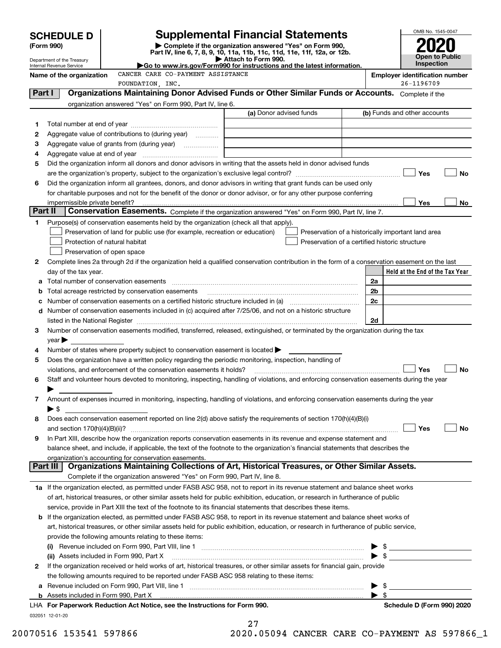|         |                                                                                                                        |                                                                                                                                                                                                                                                                                                                                            |    | OMB No. 1545-0047                                   |  |  |  |  |
|---------|------------------------------------------------------------------------------------------------------------------------|--------------------------------------------------------------------------------------------------------------------------------------------------------------------------------------------------------------------------------------------------------------------------------------------------------------------------------------------|----|-----------------------------------------------------|--|--|--|--|
|         | <b>SCHEDULE D</b>                                                                                                      | <b>Supplemental Financial Statements</b>                                                                                                                                                                                                                                                                                                   |    |                                                     |  |  |  |  |
|         | (Form 990)                                                                                                             | Complete if the organization answered "Yes" on Form 990,<br>Part IV, line 6, 7, 8, 9, 10, 11a, 11b, 11c, 11d, 11e, 11f, 12a, or 12b.                                                                                                                                                                                                       |    |                                                     |  |  |  |  |
|         | Department of the Treasury                                                                                             | Attach to Form 990.                                                                                                                                                                                                                                                                                                                        |    | <b>Open to Public</b><br>Inspection                 |  |  |  |  |
|         | Internal Revenue Service                                                                                               | Go to www.irs.gov/Form990 for instructions and the latest information.<br>CANCER CARE CO-PAYMENT ASSISTANCE                                                                                                                                                                                                                                |    |                                                     |  |  |  |  |
|         | Name of the organization                                                                                               | FOUNDATION, INC.                                                                                                                                                                                                                                                                                                                           |    | <b>Employer identification number</b><br>26-1196709 |  |  |  |  |
| Part I  |                                                                                                                        | Organizations Maintaining Donor Advised Funds or Other Similar Funds or Accounts. Complete if the                                                                                                                                                                                                                                          |    |                                                     |  |  |  |  |
|         |                                                                                                                        | organization answered "Yes" on Form 990, Part IV, line 6.                                                                                                                                                                                                                                                                                  |    |                                                     |  |  |  |  |
|         |                                                                                                                        | (a) Donor advised funds                                                                                                                                                                                                                                                                                                                    |    | (b) Funds and other accounts                        |  |  |  |  |
| 1       |                                                                                                                        |                                                                                                                                                                                                                                                                                                                                            |    |                                                     |  |  |  |  |
| 2       |                                                                                                                        | Aggregate value of contributions to (during year)  [                                                                                                                                                                                                                                                                                       |    |                                                     |  |  |  |  |
| 3       |                                                                                                                        |                                                                                                                                                                                                                                                                                                                                            |    |                                                     |  |  |  |  |
| 4       |                                                                                                                        |                                                                                                                                                                                                                                                                                                                                            |    |                                                     |  |  |  |  |
| 5       |                                                                                                                        | Did the organization inform all donors and donor advisors in writing that the assets held in donor advised funds                                                                                                                                                                                                                           |    |                                                     |  |  |  |  |
|         |                                                                                                                        | are the organization's property, subject to the organization's exclusive legal control? <i>manual control</i> and the organization's property,                                                                                                                                                                                             |    | Yes<br><b>No</b>                                    |  |  |  |  |
| 6       |                                                                                                                        | Did the organization inform all grantees, donors, and donor advisors in writing that grant funds can be used only                                                                                                                                                                                                                          |    |                                                     |  |  |  |  |
|         | for charitable purposes and not for the benefit of the donor or donor advisor, or for any other purpose conferring     |                                                                                                                                                                                                                                                                                                                                            |    |                                                     |  |  |  |  |
| Part II | impermissible private benefit?                                                                                         | Conservation Easements. Complete if the organization answered "Yes" on Form 990, Part IV, line 7.                                                                                                                                                                                                                                          |    | Yes<br>No                                           |  |  |  |  |
|         |                                                                                                                        | Purpose(s) of conservation easements held by the organization (check all that apply).                                                                                                                                                                                                                                                      |    |                                                     |  |  |  |  |
| 1       |                                                                                                                        | Preservation of a historically important land area                                                                                                                                                                                                                                                                                         |    |                                                     |  |  |  |  |
|         |                                                                                                                        | Preservation of land for public use (for example, recreation or education)<br>Protection of natural habitat<br>Preservation of a certified historic structure                                                                                                                                                                              |    |                                                     |  |  |  |  |
|         |                                                                                                                        | Preservation of open space                                                                                                                                                                                                                                                                                                                 |    |                                                     |  |  |  |  |
| 2       |                                                                                                                        | Complete lines 2a through 2d if the organization held a qualified conservation contribution in the form of a conservation easement on the last                                                                                                                                                                                             |    |                                                     |  |  |  |  |
|         | day of the tax year.                                                                                                   |                                                                                                                                                                                                                                                                                                                                            |    | Held at the End of the Tax Year                     |  |  |  |  |
| а       |                                                                                                                        | Total number of conservation easements                                                                                                                                                                                                                                                                                                     | 2a |                                                     |  |  |  |  |
| b       | Total acreage restricted by conservation easements                                                                     | 2b                                                                                                                                                                                                                                                                                                                                         |    |                                                     |  |  |  |  |
|         | Number of conservation easements on a certified historic structure included in (a) manufacture included in (a)         | 2c                                                                                                                                                                                                                                                                                                                                         |    |                                                     |  |  |  |  |
| d       |                                                                                                                        |                                                                                                                                                                                                                                                                                                                                            |    |                                                     |  |  |  |  |
|         |                                                                                                                        | Number of conservation easements included in (c) acquired after 7/25/06, and not on a historic structure<br>listed in the National Register [1,1,2000] [1,2000] [1,2000] [1,2000] [1,2000] [1,2000] [1,2000] [1,2000] [1,2000] [1,2000] [1,2000] [1,2000] [1,2000] [1,2000] [1,2000] [1,2000] [1,2000] [1,2000] [1,2000] [1,2000] [1,2000] | 2d |                                                     |  |  |  |  |
| 3       |                                                                                                                        | Number of conservation easements modified, transferred, released, extinguished, or terminated by the organization during the tax                                                                                                                                                                                                           |    |                                                     |  |  |  |  |
|         | $year \blacktriangleright$                                                                                             |                                                                                                                                                                                                                                                                                                                                            |    |                                                     |  |  |  |  |
| 4       |                                                                                                                        | Number of states where property subject to conservation easement is located $\blacktriangleright$                                                                                                                                                                                                                                          |    |                                                     |  |  |  |  |
| 5       |                                                                                                                        | Does the organization have a written policy regarding the periodic monitoring, inspection, handling of                                                                                                                                                                                                                                     |    |                                                     |  |  |  |  |
|         |                                                                                                                        | violations, and enforcement of the conservation easements it holds?                                                                                                                                                                                                                                                                        |    | Yes<br><b>No</b>                                    |  |  |  |  |
| 6       |                                                                                                                        | Staff and volunteer hours devoted to monitoring, inspecting, handling of violations, and enforcing conservation easements during the year                                                                                                                                                                                                  |    |                                                     |  |  |  |  |
|         |                                                                                                                        |                                                                                                                                                                                                                                                                                                                                            |    |                                                     |  |  |  |  |
| 7       |                                                                                                                        | Amount of expenses incurred in monitoring, inspecting, handling of violations, and enforcing conservation easements during the year                                                                                                                                                                                                        |    |                                                     |  |  |  |  |
|         | $\blacktriangleright$ \$                                                                                               |                                                                                                                                                                                                                                                                                                                                            |    |                                                     |  |  |  |  |
| 8       |                                                                                                                        | Does each conservation easement reported on line $2(d)$ above satisfy the requirements of section 170(h)(4)(B)(i)                                                                                                                                                                                                                          |    |                                                     |  |  |  |  |
|         |                                                                                                                        |                                                                                                                                                                                                                                                                                                                                            |    | Yes<br>No                                           |  |  |  |  |
| 9       |                                                                                                                        | In Part XIII, describe how the organization reports conservation easements in its revenue and expense statement and                                                                                                                                                                                                                        |    |                                                     |  |  |  |  |
|         |                                                                                                                        | balance sheet, and include, if applicable, the text of the footnote to the organization's financial statements that describes the                                                                                                                                                                                                          |    |                                                     |  |  |  |  |
|         |                                                                                                                        | organization's accounting for conservation easements.                                                                                                                                                                                                                                                                                      |    |                                                     |  |  |  |  |
|         | Part III                                                                                                               | Organizations Maintaining Collections of Art, Historical Treasures, or Other Similar Assets.                                                                                                                                                                                                                                               |    |                                                     |  |  |  |  |
|         |                                                                                                                        | Complete if the organization answered "Yes" on Form 990, Part IV, line 8.                                                                                                                                                                                                                                                                  |    |                                                     |  |  |  |  |
|         |                                                                                                                        | 1a If the organization elected, as permitted under FASB ASC 958, not to report in its revenue statement and balance sheet works                                                                                                                                                                                                            |    |                                                     |  |  |  |  |
|         |                                                                                                                        | of art, historical treasures, or other similar assets held for public exhibition, education, or research in furtherance of public                                                                                                                                                                                                          |    |                                                     |  |  |  |  |
|         |                                                                                                                        | service, provide in Part XIII the text of the footnote to its financial statements that describes these items.                                                                                                                                                                                                                             |    |                                                     |  |  |  |  |
| b       |                                                                                                                        | If the organization elected, as permitted under FASB ASC 958, to report in its revenue statement and balance sheet works of                                                                                                                                                                                                                |    |                                                     |  |  |  |  |
|         |                                                                                                                        | art, historical treasures, or other similar assets held for public exhibition, education, or research in furtherance of public service,                                                                                                                                                                                                    |    |                                                     |  |  |  |  |
|         | provide the following amounts relating to these items:                                                                 |                                                                                                                                                                                                                                                                                                                                            |    |                                                     |  |  |  |  |
|         | (i) Revenue included on Form 990, Part VIII, line 1 [2000] [2010] Contract the included on Form 990, Part VIII, line 1 |                                                                                                                                                                                                                                                                                                                                            |    |                                                     |  |  |  |  |
|         | (ii) Assets included in Form 990, Part X                                                                               |                                                                                                                                                                                                                                                                                                                                            |    |                                                     |  |  |  |  |
| 2       |                                                                                                                        | If the organization received or held works of art, historical treasures, or other similar assets for financial gain, provide                                                                                                                                                                                                               |    |                                                     |  |  |  |  |
|         |                                                                                                                        | the following amounts required to be reported under FASB ASC 958 relating to these items:                                                                                                                                                                                                                                                  |    |                                                     |  |  |  |  |
| а       |                                                                                                                        | Revenue included on Form 990, Part VIII, line 1 [2000] [2000] [2000] [2000] [3000] [3000] [3000] [3000] [3000                                                                                                                                                                                                                              |    | - \$                                                |  |  |  |  |
| b       |                                                                                                                        | Assets included in Form 990, Part X <i>maching and accountant content in the set</i> sincluded in Form 990, Part X                                                                                                                                                                                                                         |    |                                                     |  |  |  |  |
|         |                                                                                                                        | LHA For Paperwork Reduction Act Notice, see the Instructions for Form 990.                                                                                                                                                                                                                                                                 |    | Schedule D (Form 990) 2020                          |  |  |  |  |
|         | 032051 12-01-20                                                                                                        |                                                                                                                                                                                                                                                                                                                                            |    |                                                     |  |  |  |  |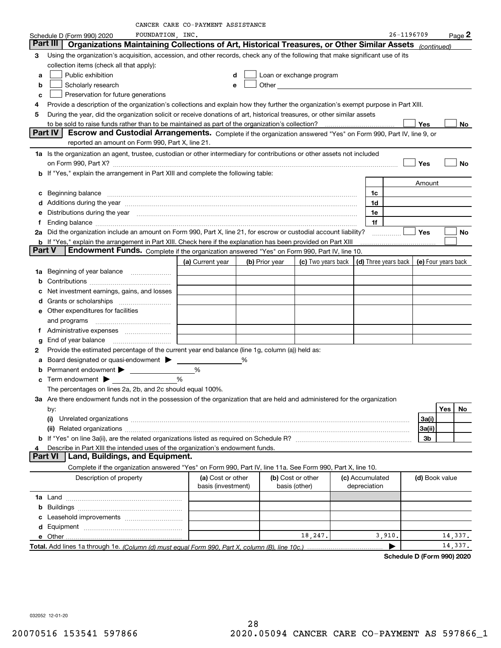|  | CANCER CARE CO-PAYMENT ASSISTANCE |
|--|-----------------------------------|
|--|-----------------------------------|

|               | FOUNDATION, INC.<br>Schedule D (Form 990) 2020                                                                                                                                                                                 |                    |   |                                    |                    |                      | 26-1196709 |                | Page 2              |
|---------------|--------------------------------------------------------------------------------------------------------------------------------------------------------------------------------------------------------------------------------|--------------------|---|------------------------------------|--------------------|----------------------|------------|----------------|---------------------|
|               | Organizations Maintaining Collections of Art, Historical Treasures, or Other Similar Assets<br>Part III                                                                                                                        |                    |   |                                    |                    |                      |            | (continued)    |                     |
| 3             | Using the organization's acquisition, accession, and other records, check any of the following that make significant use of its                                                                                                |                    |   |                                    |                    |                      |            |                |                     |
|               | collection items (check all that apply):                                                                                                                                                                                       |                    |   |                                    |                    |                      |            |                |                     |
| a             | Public exhibition                                                                                                                                                                                                              | d                  |   | Loan or exchange program           |                    |                      |            |                |                     |
| b             | Scholarly research                                                                                                                                                                                                             | е                  |   | Other                              |                    |                      |            |                |                     |
| c             | Preservation for future generations                                                                                                                                                                                            |                    |   |                                    |                    |                      |            |                |                     |
| 4             | Provide a description of the organization's collections and explain how they further the organization's exempt purpose in Part XIII.                                                                                           |                    |   |                                    |                    |                      |            |                |                     |
| 5             | During the year, did the organization solicit or receive donations of art, historical treasures, or other similar assets                                                                                                       |                    |   |                                    |                    |                      |            |                |                     |
|               |                                                                                                                                                                                                                                |                    |   |                                    |                    |                      | Yes        |                | No.                 |
|               | <b>Part IV</b><br>Escrow and Custodial Arrangements. Complete if the organization answered "Yes" on Form 990, Part IV, line 9, or                                                                                              |                    |   |                                    |                    |                      |            |                |                     |
|               | reported an amount on Form 990, Part X, line 21.                                                                                                                                                                               |                    |   |                                    |                    |                      |            |                |                     |
|               | 1a Is the organization an agent, trustee, custodian or other intermediary for contributions or other assets not included                                                                                                       |                    |   |                                    |                    |                      |            |                |                     |
|               |                                                                                                                                                                                                                                |                    |   |                                    |                    |                      | Yes        |                | No                  |
|               | b If "Yes," explain the arrangement in Part XIII and complete the following table:                                                                                                                                             |                    |   |                                    |                    |                      |            |                |                     |
|               |                                                                                                                                                                                                                                |                    |   |                                    |                    |                      | Amount     |                |                     |
| c             | Beginning balance material continuum contracts and all the contracts of the contracts of the contracts of the contracts of the contracts of the contracts of the contracts of the contracts of the contracts of the contracts  |                    |   |                                    |                    | 1c                   |            |                |                     |
|               | d Additions during the year measurement contains and a container container and a container container and a container container and a container and a container container and a container container and a container container a |                    |   |                                    |                    | 1d                   |            |                |                     |
|               | Distributions during the year manufactured and continuum and continuum and continuum and continuum and continuum                                                                                                               |                    |   |                                    |                    | 1e                   |            |                |                     |
| f             | Ending balance <i>www.communicality.communicality.communicality.communicality.communicality.communicality.communicality.com</i>                                                                                                |                    |   |                                    |                    | 1f                   |            |                |                     |
|               | 2a Did the organization include an amount on Form 990, Part X, line 21, for escrow or custodial account liability?                                                                                                             |                    |   |                                    |                    |                      | Yes        |                | No                  |
|               | <b>b</b> If "Yes," explain the arrangement in Part XIII. Check here if the explanation has been provided on Part XIII                                                                                                          |                    |   |                                    |                    |                      |            |                |                     |
| <b>Part V</b> | Endowment Funds. Complete if the organization answered "Yes" on Form 990, Part IV, line 10.                                                                                                                                    |                    |   |                                    |                    |                      |            |                |                     |
|               |                                                                                                                                                                                                                                | (a) Current year   |   | (b) Prior year                     | (c) Two years back | (d) Three years back |            |                | (e) Four years back |
|               | 1a Beginning of year balance                                                                                                                                                                                                   |                    |   |                                    |                    |                      |            |                |                     |
| b             |                                                                                                                                                                                                                                |                    |   |                                    |                    |                      |            |                |                     |
|               | Net investment earnings, gains, and losses                                                                                                                                                                                     |                    |   |                                    |                    |                      |            |                |                     |
| d             |                                                                                                                                                                                                                                |                    |   |                                    |                    |                      |            |                |                     |
|               | Other expenditures for facilities                                                                                                                                                                                              |                    |   |                                    |                    |                      |            |                |                     |
|               | and programs                                                                                                                                                                                                                   |                    |   |                                    |                    |                      |            |                |                     |
| Ť.            | Administrative expenses                                                                                                                                                                                                        |                    |   |                                    |                    |                      |            |                |                     |
| g             | End of year balance                                                                                                                                                                                                            |                    |   |                                    |                    |                      |            |                |                     |
| 2             | Provide the estimated percentage of the current year end balance (line 1g, column (a)) held as:                                                                                                                                |                    |   |                                    |                    |                      |            |                |                     |
| а             | Board designated or quasi-endowment                                                                                                                                                                                            |                    | % |                                    |                    |                      |            |                |                     |
| b             | Permanent endowment >                                                                                                                                                                                                          | %                  |   |                                    |                    |                      |            |                |                     |
|               | Term endowment $\blacktriangleright$                                                                                                                                                                                           | %                  |   |                                    |                    |                      |            |                |                     |
|               | The percentages on lines 2a, 2b, and 2c should equal 100%.                                                                                                                                                                     |                    |   |                                    |                    |                      |            |                |                     |
|               | 3a Are there endowment funds not in the possession of the organization that are held and administered for the organization                                                                                                     |                    |   |                                    |                    |                      |            |                |                     |
|               | by:                                                                                                                                                                                                                            |                    |   |                                    |                    |                      |            |                | Yes<br>No           |
|               |                                                                                                                                                                                                                                |                    |   |                                    |                    |                      | 3a(i)      |                |                     |
|               |                                                                                                                                                                                                                                |                    |   |                                    |                    |                      | 3a(ii)     |                |                     |
|               |                                                                                                                                                                                                                                |                    |   |                                    |                    |                      |            | 3b             |                     |
| 4             | Describe in Part XIII the intended uses of the organization's endowment funds.                                                                                                                                                 |                    |   |                                    |                    |                      |            |                |                     |
|               | Land, Buildings, and Equipment.<br><b>Part VI</b>                                                                                                                                                                              |                    |   |                                    |                    |                      |            |                |                     |
|               | Complete if the organization answered "Yes" on Form 990, Part IV, line 11a. See Form 990, Part X, line 10.                                                                                                                     |                    |   |                                    |                    |                      |            |                |                     |
|               | Description of property                                                                                                                                                                                                        | (a) Cost or other  |   | (b) Cost or other<br>basis (other) |                    | (c) Accumulated      |            | (d) Book value |                     |
|               |                                                                                                                                                                                                                                | basis (investment) |   |                                    |                    | depreciation         |            |                |                     |
|               |                                                                                                                                                                                                                                |                    |   |                                    |                    |                      |            |                |                     |
|               |                                                                                                                                                                                                                                |                    |   |                                    |                    |                      |            |                |                     |
|               |                                                                                                                                                                                                                                |                    |   |                                    |                    |                      |            |                |                     |
|               |                                                                                                                                                                                                                                |                    |   |                                    | 18,247.            | 3,910.               |            |                | 14,337.             |
|               |                                                                                                                                                                                                                                |                    |   |                                    |                    | ▶                    |            |                | 14,337.             |
|               |                                                                                                                                                                                                                                |                    |   |                                    |                    |                      |            |                |                     |

**Schedule D (Form 990) 2020**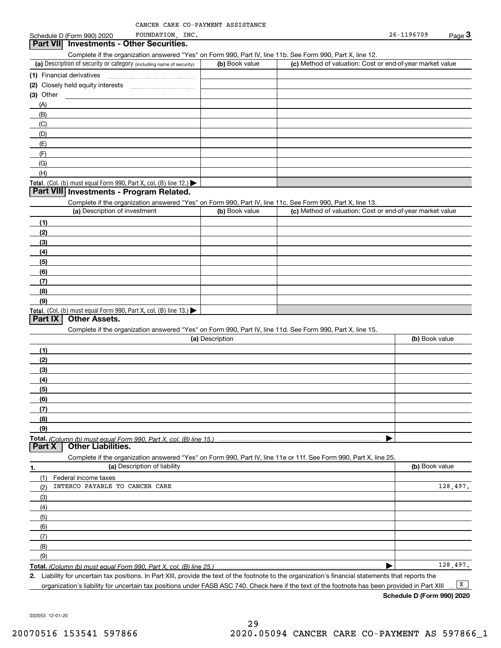|                 | Schedule D (Form 990) 2020 | INC<br>FOUNDATION               | 26-1196709 | $P$ age $\ddot{\bullet}$ |
|-----------------|----------------------------|---------------------------------|------------|--------------------------|
| <b>Part VII</b> |                            | Investments - Other Securities. |            |                          |

Complete if the organization answered "Yes" on Form 990, Part IV, line 11b. See Form 990, Part X, line 12.

| (a) Description of security or category (including name of security)                          | (b) Book value | (c) Method of valuation: Cost or end-of-year market value |
|-----------------------------------------------------------------------------------------------|----------------|-----------------------------------------------------------|
| (1) Financial derivatives                                                                     |                |                                                           |
| (2) Closely held equity interests                                                             |                |                                                           |
| (3) Other                                                                                     |                |                                                           |
| (A)                                                                                           |                |                                                           |
| (B)                                                                                           |                |                                                           |
| (C)                                                                                           |                |                                                           |
| (D)                                                                                           |                |                                                           |
| (E)                                                                                           |                |                                                           |
| (F)                                                                                           |                |                                                           |
| (G)                                                                                           |                |                                                           |
| (H)                                                                                           |                |                                                           |
| <b>Total.</b> (Col. (b) must equal Form 990, Part X, col. (B) line 12.) $\blacktriangleright$ |                |                                                           |

#### **Part VIII Investments - Program Related.**

Complete if the organization answered "Yes" on Form 990, Part IV, line 11c. See Form 990, Part X, line 13.

| (a) Description of investment                                    | (b) Book value | (c) Method of valuation: Cost or end-of-year market value |
|------------------------------------------------------------------|----------------|-----------------------------------------------------------|
| (1)                                                              |                |                                                           |
| (2)                                                              |                |                                                           |
| $\frac{1}{2}$                                                    |                |                                                           |
| (4)                                                              |                |                                                           |
| $\frac{1}{2}$                                                    |                |                                                           |
| (6)                                                              |                |                                                           |
| (7)                                                              |                |                                                           |
| (8)                                                              |                |                                                           |
| (9)                                                              |                |                                                           |
| Total. (Col. (b) must equal Form 990, Part X, col. (B) line 13.) |                |                                                           |

### **Part IX Other Assets.**

Complete if the organization answered "Yes" on Form 990, Part IV, line 11d. See Form 990, Part X, line 15.

| (a) Description                                                                                                                       | (b) Book value |
|---------------------------------------------------------------------------------------------------------------------------------------|----------------|
| (1)                                                                                                                                   |                |
| (2)                                                                                                                                   |                |
| (3)                                                                                                                                   |                |
| (4)                                                                                                                                   |                |
| (5)                                                                                                                                   |                |
| (6)                                                                                                                                   |                |
|                                                                                                                                       |                |
| (8)                                                                                                                                   |                |
| (9)                                                                                                                                   |                |
|                                                                                                                                       |                |
| Total. (Column (b) must equal Form 990, Part X, col. (B) line 15.) ………………………………………………………………………………………<br>  Part X   Other Liabilities. |                |

**1.(a)** Description of liability **Book value** Book value Book value Book value Book value **Total.**  *(Column (b) must equal Form 990, Part X, col. (B) line 25.)* Complete if the organization answered "Yes" on Form 990, Part IV, line 11e or 11f. See Form 990, Part X, line 25. (1)(2)(3)(4)(5)(6)(7)(8)(9)Federal income taxes  $\blacktriangleright$ INTERCO PAYABLE TO CANCER CARE 128,497. 128,497.

**2.**Liability for uncertain tax positions. In Part XIII, provide the text of the footnote to the organization's financial statements that reports the

organization's liability for uncertain tax positions under FASB ASC 740. Check here if the text of the footnote has been provided in Part XIII  $\boxed{\mathbf{X}}$ 

**Schedule D (Form 990) 2020**

032053 12-01-20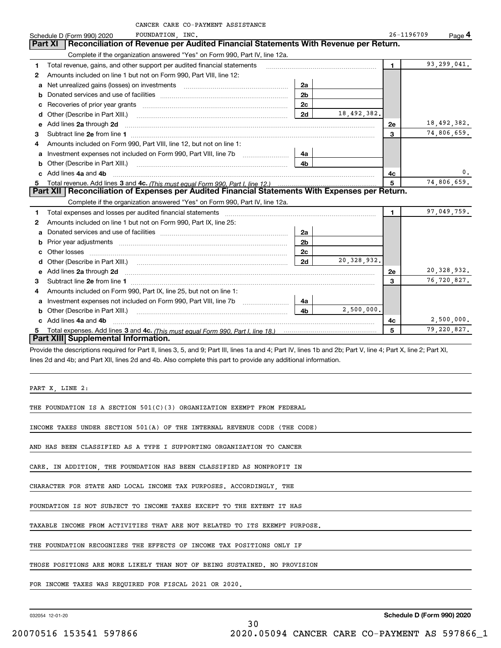|    | CANCER CARE CO-PAYMENT ASSISTANCE                                                                                                                                                                                              |                |               |                |                    |
|----|--------------------------------------------------------------------------------------------------------------------------------------------------------------------------------------------------------------------------------|----------------|---------------|----------------|--------------------|
|    | FOUNDATION, INC.<br>Schedule D (Form 990) 2020                                                                                                                                                                                 |                |               | 26-1196709     | $_{\text{Page}}$ 4 |
|    | Reconciliation of Revenue per Audited Financial Statements With Revenue per Return.<br>Part XI                                                                                                                                 |                |               |                |                    |
|    | Complete if the organization answered "Yes" on Form 990, Part IV, line 12a.                                                                                                                                                    |                |               |                |                    |
| 1  | Total revenue, gains, and other support per audited financial statements                                                                                                                                                       |                |               | 1.             | 93,299,041.        |
| 2  | Amounts included on line 1 but not on Form 990, Part VIII, line 12:                                                                                                                                                            |                |               |                |                    |
| a  | Net unrealized gains (losses) on investments [100011] [100011] Net unrealized gains (losses) on investments [100011] [100011] [100011] [100011] [100011] [100011] [100011] [100011] [100011] [100011] [100011] [100011] [10001 | 2a             |               |                |                    |
| b  |                                                                                                                                                                                                                                | 2 <sub>b</sub> |               |                |                    |
| c  |                                                                                                                                                                                                                                | 2 <sub>c</sub> |               |                |                    |
| d  |                                                                                                                                                                                                                                | 2d             | 18,492,382.   |                |                    |
| е  | Add lines 2a through 2d                                                                                                                                                                                                        |                |               | 2е             | 18,492,382.        |
| 3  |                                                                                                                                                                                                                                |                |               | $\overline{3}$ | 74,806,659.        |
| 4  | Amounts included on Form 990, Part VIII, line 12, but not on line 1:                                                                                                                                                           |                |               |                |                    |
| a  |                                                                                                                                                                                                                                | 4a             |               |                |                    |
| b  | Other (Describe in Part XIII.) [100] [100] [100] [100] [100] [100] [100] [100] [100] [100] [100] [100] [100] [                                                                                                                 | 4 <sub>b</sub> |               |                |                    |
|    | c Add lines 4a and 4b                                                                                                                                                                                                          |                |               | 4c             | 0.                 |
| 5. |                                                                                                                                                                                                                                | 5              | 74,806,659.   |                |                    |
|    | Part XII   Reconciliation of Expenses per Audited Financial Statements With Expenses per Return.                                                                                                                               |                |               |                |                    |
|    | Complete if the organization answered "Yes" on Form 990, Part IV, line 12a.                                                                                                                                                    |                |               |                |                    |
| 1  | Total expenses and losses per audited financial statements [11,11] [11] Total expenses and losses per audited financial statements [11] [11] Total expenses and losses per audited financial statements                        |                |               | $\mathbf{1}$   | 97,049,759.        |
| 2  | Amounts included on line 1 but not on Form 990, Part IX, line 25:                                                                                                                                                              |                |               |                |                    |
| a  |                                                                                                                                                                                                                                | 2a             |               |                |                    |
| b  |                                                                                                                                                                                                                                | 2 <sub>b</sub> |               |                |                    |
| c  |                                                                                                                                                                                                                                | 2c             |               |                |                    |
| d  |                                                                                                                                                                                                                                | 2d             | 20, 328, 932. |                |                    |
| е  | Add lines 2a through 2d                                                                                                                                                                                                        |                |               | 2е             | 20, 328, 932.      |
| 3  | Subtract line 2e from line 1 <b>Manual Community and Community</b> Subtract line 2e from line 1                                                                                                                                |                |               | 3              | 76,720,827.        |
| 4  | Amounts included on Form 990, Part IX, line 25, but not on line 1:                                                                                                                                                             |                |               |                |                    |
| a  | Investment expenses not included on Form 990, Part VIII, line 7b                                                                                                                                                               | 4a             |               |                |                    |
| b  |                                                                                                                                                                                                                                | 4 <sub>b</sub> | 2,500,000.    |                |                    |
| c. | Add lines 4a and 4b                                                                                                                                                                                                            |                |               | 4с             | 2,500,000.         |
| 5. |                                                                                                                                                                                                                                |                |               | 5              | 79,220,827.        |
|    | Part XIII Supplemental Information.                                                                                                                                                                                            |                |               |                |                    |
|    | Provide the descriptions required for Part II, lines 3, 5, and Q: Part III, lines 10, and 4: Part IV, lines 1b, and 2b: Part V, line 4: Part Y, line 2: Part YI                                                                |                |               |                |                    |

de the descriptions required for Part II, lines 3, 5, and 9; Part III, lines 1a and 4; Part IV, lines 1b and 2b; Part V, line 4; Part X, line 2; Part XI, lines 2d and 4b; and Part XII, lines 2d and 4b. Also complete this part to provide any additional information.

30

PART X, LINE 2:

THE FOUNDATION IS A SECTION 501(C)(3) ORGANIZATION EXEMPT FROM FEDERAL

INCOME TAXES UNDER SECTION 501(A) OF THE INTERNAL REVENUE CODE (THE CODE)

AND HAS BEEN CLASSIFIED AS A TYPE I SUPPORTING ORGANIZATION TO CANCER

CARE. IN ADDITION, THE FOUNDATION HAS BEEN CLASSIFIED AS NONPROFIT IN

CHARACTER FOR STATE AND LOCAL INCOME TAX PURPOSES. ACCORDINGLY, THE

FOUNDATION IS NOT SUBJECT TO INCOME TAXES EXCEPT TO THE EXTENT IT HAS

TAXABLE INCOME FROM ACTIVITIES THAT ARE NOT RELATED TO ITS EXEMPT PURPOSE.

THE FOUNDATION RECOGNIZES THE EFFECTS OF INCOME TAX POSITIONS ONLY IF

THOSE POSITIONS ARE MORE LIKELY THAN NOT OF BEING SUSTAINED. NO PROVISION

FOR INCOME TAXES WAS REQUIRED FOR FISCAL 2021 OR 2020.

032054 12-01-20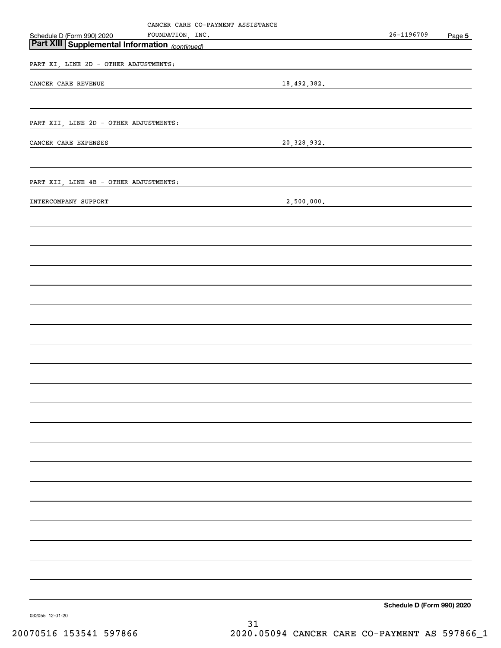|                                                       |                  | CANCER CARE CO-PAYMENT ASSISTANCE |                                                                 |                            |        |
|-------------------------------------------------------|------------------|-----------------------------------|-----------------------------------------------------------------|----------------------------|--------|
| Schedule D (Form 990) 2020                            | FOUNDATION, INC. |                                   | <u> 1980 - Johann Barn, mars an t-Amerikaansk kommunister (</u> | 26-1196709                 | Page 5 |
| <b>Part XIII Supplemental Information</b> (continued) |                  |                                   | <u> 1989 - Johann Stoff, Amerikaansk politiker (</u>            |                            |        |
| PART XI, LINE 2D - OTHER ADJUSTMENTS:                 |                  |                                   |                                                                 |                            |        |
| CANCER CARE REVENUE                                   |                  |                                   |                                                                 |                            |        |
|                                                       |                  |                                   |                                                                 | 18,492,382.                |        |
|                                                       |                  |                                   |                                                                 |                            |        |
| PART XII, LINE 2D - OTHER ADJUSTMENTS:                |                  |                                   |                                                                 |                            |        |
|                                                       |                  |                                   |                                                                 |                            |        |
| CANCER CARE EXPENSES                                  |                  |                                   |                                                                 | 20,328,932.                |        |
|                                                       |                  |                                   |                                                                 |                            |        |
| PART XII, LINE 4B - OTHER ADJUSTMENTS:                |                  |                                   |                                                                 |                            |        |
|                                                       |                  |                                   |                                                                 |                            |        |
| INTERCOMPANY SUPPORT                                  |                  |                                   |                                                                 | 2,500,000.                 |        |
|                                                       |                  |                                   |                                                                 |                            |        |
|                                                       |                  |                                   |                                                                 |                            |        |
|                                                       |                  |                                   |                                                                 |                            |        |
|                                                       |                  |                                   |                                                                 |                            |        |
|                                                       |                  |                                   |                                                                 |                            |        |
|                                                       |                  |                                   |                                                                 |                            |        |
|                                                       |                  |                                   |                                                                 |                            |        |
|                                                       |                  |                                   |                                                                 |                            |        |
|                                                       |                  |                                   |                                                                 |                            |        |
|                                                       |                  |                                   |                                                                 |                            |        |
|                                                       |                  |                                   |                                                                 |                            |        |
|                                                       |                  |                                   |                                                                 |                            |        |
|                                                       |                  |                                   |                                                                 |                            |        |
|                                                       |                  |                                   |                                                                 |                            |        |
|                                                       |                  |                                   |                                                                 |                            |        |
|                                                       |                  |                                   |                                                                 |                            |        |
|                                                       |                  |                                   |                                                                 |                            |        |
|                                                       |                  |                                   |                                                                 |                            |        |
|                                                       |                  |                                   |                                                                 |                            |        |
|                                                       |                  |                                   |                                                                 |                            |        |
|                                                       |                  |                                   |                                                                 |                            |        |
|                                                       |                  |                                   |                                                                 |                            |        |
|                                                       |                  |                                   |                                                                 |                            |        |
|                                                       |                  |                                   |                                                                 |                            |        |
|                                                       |                  |                                   |                                                                 |                            |        |
|                                                       |                  |                                   |                                                                 |                            |        |
|                                                       |                  |                                   |                                                                 |                            |        |
|                                                       |                  |                                   |                                                                 |                            |        |
|                                                       |                  |                                   |                                                                 |                            |        |
|                                                       |                  |                                   |                                                                 |                            |        |
|                                                       |                  |                                   |                                                                 |                            |        |
|                                                       |                  |                                   |                                                                 |                            |        |
|                                                       |                  |                                   |                                                                 | Schedule D (Form 990) 2020 |        |

032055 12-01-20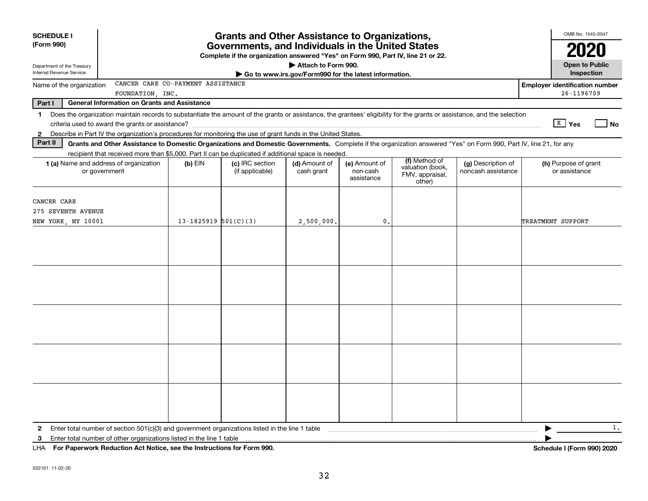| <b>SCHEDULE I</b><br>(Form 990)                                                                                                                                                                                                                                                                                                                                                                                                                                                                 | <b>Grants and Other Assistance to Organizations,</b><br>Governments, and Individuals in the United States<br>Complete if the organization answered "Yes" on Form 990, Part IV, line 21 or 22. |                                    |                                                                              |                                         |                                                                |                                          |                                                     |  |  |
|-------------------------------------------------------------------------------------------------------------------------------------------------------------------------------------------------------------------------------------------------------------------------------------------------------------------------------------------------------------------------------------------------------------------------------------------------------------------------------------------------|-----------------------------------------------------------------------------------------------------------------------------------------------------------------------------------------------|------------------------------------|------------------------------------------------------------------------------|-----------------------------------------|----------------------------------------------------------------|------------------------------------------|-----------------------------------------------------|--|--|
| Department of the Treasury<br>Internal Revenue Service                                                                                                                                                                                                                                                                                                                                                                                                                                          |                                                                                                                                                                                               |                                    | Attach to Form 990.<br>Go to www.irs.gov/Form990 for the latest information. |                                         |                                                                |                                          | <b>Open to Public</b><br>Inspection                 |  |  |
| CANCER CARE CO-PAYMENT ASSISTANCE<br>Name of the organization<br>FOUNDATION, INC.                                                                                                                                                                                                                                                                                                                                                                                                               |                                                                                                                                                                                               |                                    |                                                                              |                                         |                                                                |                                          | <b>Employer identification number</b><br>26-1196709 |  |  |
| Part I<br><b>General Information on Grants and Assistance</b>                                                                                                                                                                                                                                                                                                                                                                                                                                   |                                                                                                                                                                                               |                                    |                                                                              |                                         |                                                                |                                          |                                                     |  |  |
| Does the organization maintain records to substantiate the amount of the grants or assistance, the grantees' eligibility for the grants or assistance, and the selection<br>1<br>Describe in Part IV the organization's procedures for monitoring the use of grant funds in the United States.<br>$\mathbf{2}$<br>Part II<br>Grants and Other Assistance to Domestic Organizations and Domestic Governments. Complete if the organization answered "Yes" on Form 990, Part IV, line 21, for any |                                                                                                                                                                                               |                                    |                                                                              |                                         |                                                                |                                          | $\boxed{\text{X}}$ Yes<br>  No                      |  |  |
| recipient that received more than \$5,000. Part II can be duplicated if additional space is needed.<br><b>1 (a)</b> Name and address of organization<br>or government                                                                                                                                                                                                                                                                                                                           | $(b)$ EIN                                                                                                                                                                                     | (c) IRC section<br>(if applicable) | (d) Amount of<br>cash grant                                                  | (e) Amount of<br>non-cash<br>assistance | (f) Method of<br>valuation (book,<br>FMV, appraisal,<br>other) | (g) Description of<br>noncash assistance | (h) Purpose of grant<br>or assistance               |  |  |
| CANCER CARE<br>275 SEVENTH AVENUE<br>NEW YORK, NY 10001                                                                                                                                                                                                                                                                                                                                                                                                                                         | $13 - 1825919$ $501(C)(3)$                                                                                                                                                                    |                                    | 2,500,000.                                                                   | $\mathbf 0$                             |                                                                |                                          | TREATMENT SUPPORT                                   |  |  |
|                                                                                                                                                                                                                                                                                                                                                                                                                                                                                                 |                                                                                                                                                                                               |                                    |                                                                              |                                         |                                                                |                                          |                                                     |  |  |
|                                                                                                                                                                                                                                                                                                                                                                                                                                                                                                 |                                                                                                                                                                                               |                                    |                                                                              |                                         |                                                                |                                          |                                                     |  |  |
|                                                                                                                                                                                                                                                                                                                                                                                                                                                                                                 |                                                                                                                                                                                               |                                    |                                                                              |                                         |                                                                |                                          |                                                     |  |  |
|                                                                                                                                                                                                                                                                                                                                                                                                                                                                                                 |                                                                                                                                                                                               |                                    |                                                                              |                                         |                                                                |                                          |                                                     |  |  |
| Enter total number of section 501(c)(3) and government organizations listed in the line 1 table<br>$\mathbf{2}$<br>Enter total number of other organizations listed in the line 1 table<br>3<br>LHA For Paperwork Reduction Act Notice, see the Instructions for Form 990.                                                                                                                                                                                                                      |                                                                                                                                                                                               |                                    |                                                                              |                                         |                                                                |                                          | 1.<br><b>Schedule I (Form 990) 2020</b>             |  |  |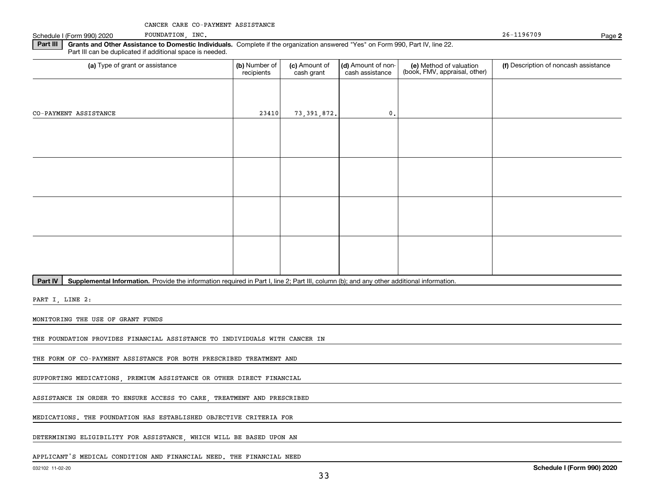Schedule I (Form 990) 2020 POUNDATION, INC. POSSESSED ASSESSED A REPORT OF A SERVICE 26-1196709

FOUNDATION, INC.

**2**

**Part III | Grants and Other Assistance to Domestic Individuals. Complete if the organization answered "Yes" on Form 990, Part IV, line 22.** Part III can be duplicated if additional space is needed.

| (a) Type of grant or assistance | (b) Number of<br>recipients | (c) Amount of<br>cash grant | (d) Amount of non-<br>cash assistance | (e) Method of valuation<br>(book, FMV, appraisal, other) | (f) Description of noncash assistance |
|---------------------------------|-----------------------------|-----------------------------|---------------------------------------|----------------------------------------------------------|---------------------------------------|
|                                 |                             |                             |                                       |                                                          |                                       |
| CO-PAYMENT ASSISTANCE           | 23410                       | 73,391,872.                 | $0$ .                                 |                                                          |                                       |
|                                 |                             |                             |                                       |                                                          |                                       |
|                                 |                             |                             |                                       |                                                          |                                       |
|                                 |                             |                             |                                       |                                                          |                                       |
|                                 |                             |                             |                                       |                                                          |                                       |
|                                 |                             |                             |                                       |                                                          |                                       |
|                                 |                             |                             |                                       |                                                          |                                       |
|                                 |                             |                             |                                       |                                                          |                                       |
|                                 |                             |                             |                                       |                                                          |                                       |

Part IV | Supplemental Information. Provide the information required in Part I, line 2; Part III, column (b); and any other additional information.

PART I, LINE 2:

MONITORING THE USE OF GRANT FUNDS

THE FOUNDATION PROVIDES FINANCIAL ASSISTANCE TO INDIVIDUALS WITH CANCER IN

THE FORM OF CO-PAYMENT ASSISTANCE FOR BOTH PRESCRIBED TREATMENT AND

SUPPORTING MEDICATIONS, PREMIUM ASSISTANCE OR OTHER DIRECT FINANCIAL

ASSISTANCE IN ORDER TO ENSURE ACCESS TO CARE, TREATMENT AND PRESCRIBED

MEDICATIONS. THE FOUNDATION HAS ESTABLISHED OBJECTIVE CRITERIA FOR

DETERMINING ELIGIBILITY FOR ASSISTANCE, WHICH WILL BE BASED UPON AN

APPLICANT'S MEDICAL CONDITION AND FINANCIAL NEED. THE FINANCIAL NEED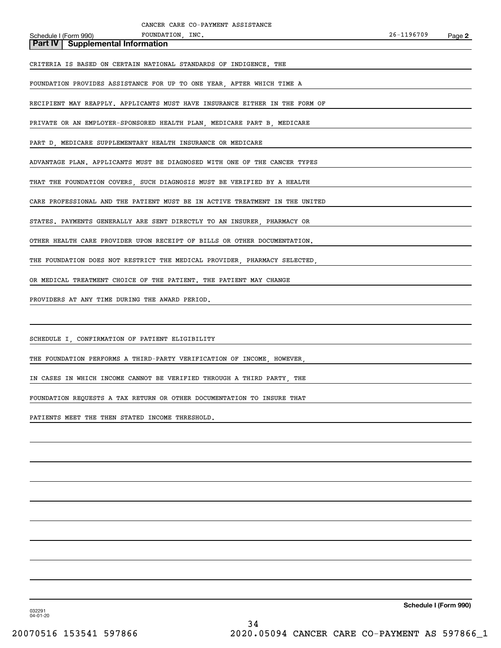Schedule I (Form 990) POUNDATION, INC. **Part IV Supplemental Information**

CRITERIA IS BASED ON CERTAIN NATIONAL STANDARDS OF INDIGENCE. THE

FOUNDATION PROVIDES ASSISTANCE FOR UP TO ONE YEAR, AFTER WHICH TIME A

FOUNDATION, INC.

RECIPIENT MAY REAPPLY. APPLICANTS MUST HAVE INSURANCE EITHER IN THE FORM OF

PRIVATE OR AN EMPLOYER-SPONSORED HEALTH PLAN, MEDICARE PART B, MEDICARE

PART D, MEDICARE SUPPLEMENTARY HEALTH INSURANCE OR MEDICARE

ADVANTAGE PLAN. APPLICANTS MUST BE DIAGNOSED WITH ONE OF THE CANCER TYPES

THAT THE FOUNDATION COVERS, SUCH DIAGNOSIS MUST BE VERIFIED BY A HEALTH

CARE PROFESSIONAL AND THE PATIENT MUST BE IN ACTIVE TREATMENT IN THE UNITED

STATES. PAYMENTS GENERALLY ARE SENT DIRECTLY TO AN INSURER, PHARMACY OR

OTHER HEALTH CARE PROVIDER UPON RECEIPT OF BILLS OR OTHER DOCUMENTATION.

THE FOUNDATION DOES NOT RESTRICT THE MEDICAL PROVIDER, PHARMACY SELECTED,

OR MEDICAL TREATMENT CHOICE OF THE PATIENT. THE PATIENT MAY CHANGE

PROVIDERS AT ANY TIME DURING THE AWARD PERIOD.

SCHEDULE I, CONFIRMATION OF PATIENT ELIGIBILITY

THE FOUNDATION PERFORMS A THIRD-PARTY VERIFICATION OF INCOME, HOWEVER,

IN CASES IN WHICH INCOME CANNOT BE VERIFIED THROUGH A THIRD PARTY, THE

FOUNDATION REQUESTS A TAX RETURN OR OTHER DOCUMENTATION TO INSURE THAT

PATIENTS MEET THE THEN STATED INCOME THRESHOLD.

**Schedule I (Form 990)**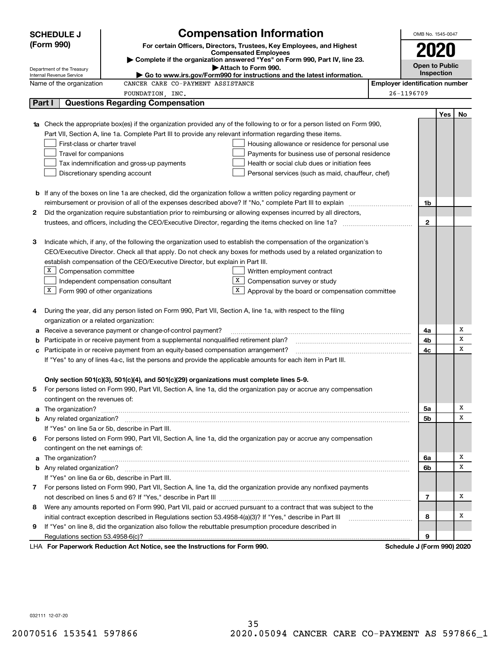|   | <b>Compensation Information</b><br><b>SCHEDULE J</b> |                                                                                                                        |  |                                       |     | OMB No. 1545-0047 |
|---|------------------------------------------------------|------------------------------------------------------------------------------------------------------------------------|--|---------------------------------------|-----|-------------------|
|   | (Form 990)                                           | For certain Officers, Directors, Trustees, Key Employees, and Highest                                                  |  |                                       |     |                   |
|   |                                                      | <b>Compensated Employees</b>                                                                                           |  | 2020                                  |     |                   |
|   | Department of the Treasury                           | Complete if the organization answered "Yes" on Form 990, Part IV, line 23.<br>Attach to Form 990.                      |  | <b>Open to Public</b>                 |     |                   |
|   | Internal Revenue Service                             | $\blacktriangleright$ Go to www.irs.gov/Form990 for instructions and the latest information.                           |  | Inspection                            |     |                   |
|   | Name of the organization                             | CANCER CARE CO-PAYMENT ASSISTANCE                                                                                      |  | <b>Employer identification number</b> |     |                   |
|   |                                                      | FOUNDATION, INC.                                                                                                       |  | 26-1196709                            |     |                   |
|   | Part I                                               | <b>Questions Regarding Compensation</b>                                                                                |  |                                       |     |                   |
|   |                                                      |                                                                                                                        |  |                                       | Yes | No                |
|   |                                                      | Check the appropriate box(es) if the organization provided any of the following to or for a person listed on Form 990, |  |                                       |     |                   |
|   |                                                      | Part VII, Section A, line 1a. Complete Part III to provide any relevant information regarding these items.             |  |                                       |     |                   |
|   | First-class or charter travel                        | Housing allowance or residence for personal use                                                                        |  |                                       |     |                   |
|   | Travel for companions                                | Payments for business use of personal residence                                                                        |  |                                       |     |                   |
|   |                                                      | Health or social club dues or initiation fees<br>Tax indemnification and gross-up payments                             |  |                                       |     |                   |
|   |                                                      | Discretionary spending account<br>Personal services (such as maid, chauffeur, chef)                                    |  |                                       |     |                   |
|   |                                                      |                                                                                                                        |  |                                       |     |                   |
|   |                                                      | <b>b</b> If any of the boxes on line 1a are checked, did the organization follow a written policy regarding payment or |  |                                       |     |                   |
|   |                                                      |                                                                                                                        |  | 1b                                    |     |                   |
| 2 |                                                      | Did the organization require substantiation prior to reimbursing or allowing expenses incurred by all directors,       |  | $\mathbf{2}$                          |     |                   |
|   |                                                      |                                                                                                                        |  |                                       |     |                   |
| З |                                                      | Indicate which, if any, of the following the organization used to establish the compensation of the organization's     |  |                                       |     |                   |
|   |                                                      | CEO/Executive Director. Check all that apply. Do not check any boxes for methods used by a related organization to     |  |                                       |     |                   |
|   |                                                      | establish compensation of the CEO/Executive Director, but explain in Part III.                                         |  |                                       |     |                   |
|   | X  <br>Compensation committee                        | Written employment contract                                                                                            |  |                                       |     |                   |
|   |                                                      | X  <br>Compensation survey or study<br>Independent compensation consultant                                             |  |                                       |     |                   |
|   | X                                                    | $\Box$ Form 990 of other organizations<br>Approval by the board or compensation committee                              |  |                                       |     |                   |
|   |                                                      |                                                                                                                        |  |                                       |     |                   |
| 4 |                                                      | During the year, did any person listed on Form 990, Part VII, Section A, line 1a, with respect to the filing           |  |                                       |     |                   |
|   | organization or a related organization:              |                                                                                                                        |  |                                       |     |                   |
| а |                                                      | Receive a severance payment or change-of-control payment?                                                              |  | 4a                                    |     | Х                 |
| b |                                                      | Participate in or receive payment from a supplemental nonqualified retirement plan?                                    |  | 4b                                    |     | х                 |
| с |                                                      | Participate in or receive payment from an equity-based compensation arrangement?                                       |  | 4c                                    |     | х                 |
|   |                                                      | If "Yes" to any of lines 4a-c, list the persons and provide the applicable amounts for each item in Part III.          |  |                                       |     |                   |
|   |                                                      |                                                                                                                        |  |                                       |     |                   |
|   |                                                      | Only section 501(c)(3), 501(c)(4), and 501(c)(29) organizations must complete lines 5-9.                               |  |                                       |     |                   |
|   |                                                      | For persons listed on Form 990, Part VII, Section A, line 1a, did the organization pay or accrue any compensation      |  |                                       |     |                   |
|   | contingent on the revenues of:                       |                                                                                                                        |  |                                       |     |                   |
| a |                                                      |                                                                                                                        |  | 5a                                    |     | х                 |
|   |                                                      |                                                                                                                        |  | 5b                                    |     | х                 |
|   |                                                      | If "Yes" on line 5a or 5b, describe in Part III.                                                                       |  |                                       |     |                   |
| 6 |                                                      | For persons listed on Form 990, Part VII, Section A, line 1a, did the organization pay or accrue any compensation      |  |                                       |     |                   |
|   | contingent on the net earnings of:                   |                                                                                                                        |  |                                       |     |                   |
|   |                                                      |                                                                                                                        |  | 6а                                    |     | х                 |
|   |                                                      |                                                                                                                        |  | 6b                                    |     | X                 |
|   |                                                      | If "Yes" on line 6a or 6b, describe in Part III.                                                                       |  |                                       |     |                   |
|   |                                                      | 7 For persons listed on Form 990, Part VII, Section A, line 1a, did the organization provide any nonfixed payments     |  |                                       |     |                   |
|   |                                                      |                                                                                                                        |  | 7                                     |     | х                 |
| 8 |                                                      | Were any amounts reported on Form 990, Part VII, paid or accrued pursuant to a contract that was subject to the        |  |                                       |     |                   |
|   |                                                      | initial contract exception described in Regulations section 53.4958-4(a)(3)? If "Yes," describe in Part III            |  | 8                                     |     | х                 |
| 9 |                                                      | If "Yes" on line 8, did the organization also follow the rebuttable presumption procedure described in                 |  |                                       |     |                   |
|   |                                                      |                                                                                                                        |  | 9                                     |     |                   |
|   |                                                      | LHA For Paperwork Reduction Act Notice, see the Instructions for Form 990.                                             |  | Schedule J (Form 990) 2020            |     |                   |

032111 12-07-20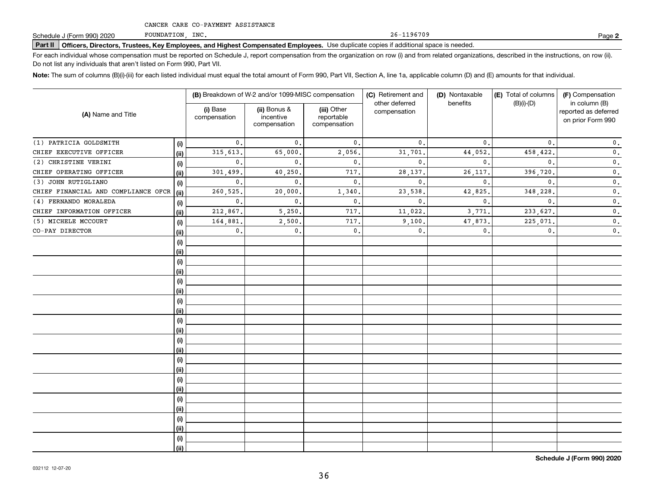FOUNDATION, INC.

26-1196709

**2**

# **Part II Officers, Directors, Trustees, Key Employees, and Highest Compensated Employees.**  Schedule J (Form 990) 2020 Page Use duplicate copies if additional space is needed.

For each individual whose compensation must be reported on Schedule J, report compensation from the organization on row (i) and from related organizations, described in the instructions, on row (ii). Do not list any individuals that aren't listed on Form 990, Part VII.

**Note:**  The sum of columns (B)(i)-(iii) for each listed individual must equal the total amount of Form 990, Part VII, Section A, line 1a, applicable column (D) and (E) amounts for that individual.

| (A) Name and Title                  |      |                          | (B) Breakdown of W-2 and/or 1099-MISC compensation |                                           | (C) Retirement and             | (D) Nontaxable | (E) Total of columns | (F) Compensation<br>in column (B)         |  |  |
|-------------------------------------|------|--------------------------|----------------------------------------------------|-------------------------------------------|--------------------------------|----------------|----------------------|-------------------------------------------|--|--|
|                                     |      | (i) Base<br>compensation | (ii) Bonus &<br>incentive<br>compensation          | (iii) Other<br>reportable<br>compensation | other deferred<br>compensation | benefits       | $(B)(i)-(D)$         | reported as deferred<br>on prior Form 990 |  |  |
| (1) PATRICIA GOLDSMITH              | (i)  | 0.                       | $\mathbf{0}$ .                                     | 0.                                        | $\mathbf 0$ .                  | $\mathbf{0}$ . | $\mathbf{0}$ .       | $\mathbf 0$ .                             |  |  |
| CHIEF EXECUTIVE OFFICER             | (ii) | 315,613.                 | 65,000.                                            | 2,056.                                    | 31,701                         | 44,052.        | 458,422.             | $\mathbf 0$ .                             |  |  |
| (2) CHRISTINE VERINI                | (i)  | $\mathbf{0}$ .           | $\mathbf{0}$ .                                     | 0.                                        | $\mathbf{0}$ .                 | 0.             | 0.                   | $\mathfrak o$ .                           |  |  |
| CHIEF OPERATING OFFICER             | (ii) | 301,499.                 | 40,250,                                            | 717.                                      | 28, 137,                       | 26, 117.       | 396,720.             | $\mathbf 0$ .                             |  |  |
| (3) JOHN RUTIGLIANO                 | (i)  | $\mathbf{0}$ .           | $\mathbf{0}$ .                                     | $\mathbf{0}$ .                            | $\mathbf{0}$ .                 | 0.             | 0.                   | $\mathfrak o$ .                           |  |  |
| CHIEF FINANCIAL AND COMPLIANCE OFCR | (ii) | 260,525.                 | 20,000,                                            | 1,340                                     | 23,538.                        | 42,825.        | 348,228.             | $\mathfrak o$ .                           |  |  |
| (4) FERNANDO MORALEDA               | (i)  | $\mathbf{0}$ .           | $\mathbf{0}$ .                                     | $\mathbf{0}$ .                            | $\mathbf{0}$ .                 | 0.             | 0.                   | $\mathfrak o$ .                           |  |  |
| CHIEF INFORMATION OFFICER           | (ii) | 212,867.                 | 5,250.                                             | 717.                                      | 11,022.                        | 3,771.         | 233,627.             | $\mathfrak o$ .                           |  |  |
| (5) MICHELE MCCOURT                 | (i)  | 164,881.                 | 2,500.                                             | 717.                                      | 9,100.                         | 47,873.        | 225,071.             | $\mathfrak o$ .                           |  |  |
| CO-PAY DIRECTOR                     | (ii) | $\mathbf{0}$ .           | $\mathbf{0}$ .                                     | 0.                                        | $\mathbf{0}$ .                 | $\mathbf{0}$ . | $\mathbf{0}$ .       | $\mathbf{0}$ .                            |  |  |
|                                     | (i)  |                          |                                                    |                                           |                                |                |                      |                                           |  |  |
|                                     | (i)  |                          |                                                    |                                           |                                |                |                      |                                           |  |  |
|                                     | (i)  |                          |                                                    |                                           |                                |                |                      |                                           |  |  |
|                                     | (i)  |                          |                                                    |                                           |                                |                |                      |                                           |  |  |
|                                     | (i)  |                          |                                                    |                                           |                                |                |                      |                                           |  |  |
|                                     | (i)  |                          |                                                    |                                           |                                |                |                      |                                           |  |  |
|                                     | (i)  |                          |                                                    |                                           |                                |                |                      |                                           |  |  |
|                                     | (ii) |                          |                                                    |                                           |                                |                |                      |                                           |  |  |
|                                     | (i)  |                          |                                                    |                                           |                                |                |                      |                                           |  |  |
|                                     | (ii) |                          |                                                    |                                           |                                |                |                      |                                           |  |  |
|                                     | (i)  |                          |                                                    |                                           |                                |                |                      |                                           |  |  |
|                                     | (ii) |                          |                                                    |                                           |                                |                |                      |                                           |  |  |
|                                     | (i)  |                          |                                                    |                                           |                                |                |                      |                                           |  |  |
|                                     | (i)  |                          |                                                    |                                           |                                |                |                      |                                           |  |  |
|                                     | (i)  |                          |                                                    |                                           |                                |                |                      |                                           |  |  |
|                                     | (ii) |                          |                                                    |                                           |                                |                |                      |                                           |  |  |
|                                     | (i)  |                          |                                                    |                                           |                                |                |                      |                                           |  |  |
|                                     | (ii) |                          |                                                    |                                           |                                |                |                      |                                           |  |  |
|                                     | (i)  |                          |                                                    |                                           |                                |                |                      |                                           |  |  |
|                                     | (ii) |                          |                                                    |                                           |                                |                |                      |                                           |  |  |
|                                     | (i)  |                          |                                                    |                                           |                                |                |                      |                                           |  |  |
|                                     | (ii) |                          |                                                    |                                           |                                |                |                      |                                           |  |  |

**Schedule J (Form 990) 2020**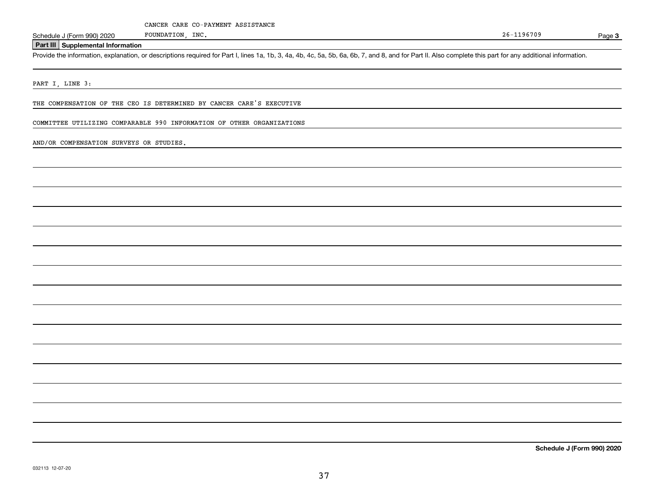Page 3

### **Part III Supplemental Information**

Schedule J (Form 990) 2020 FOUNDATION, INC.<br>Part III Supplemental Information<br>Provide the information, explanation, or descriptions required for Part I, lines 1a, 1b, 3, 4a, 4b, 4c, 5a, 5b, 6a, 6b, 7, and 8, and for Part I

PART I, LINE 3:

THE COMPENSATION OF THE CEO IS DETERMINED BY CANCER CARE'S EXECUTIVE

FOUNDATION, INC.

COMMITTEE UTILIZING COMPARABLE 990 INFORMATION OF OTHER ORGANIZATIONS

AND/OR COMPENSATION SURVEYS OR STUDIES.

**Schedule J (Form 990) 2020**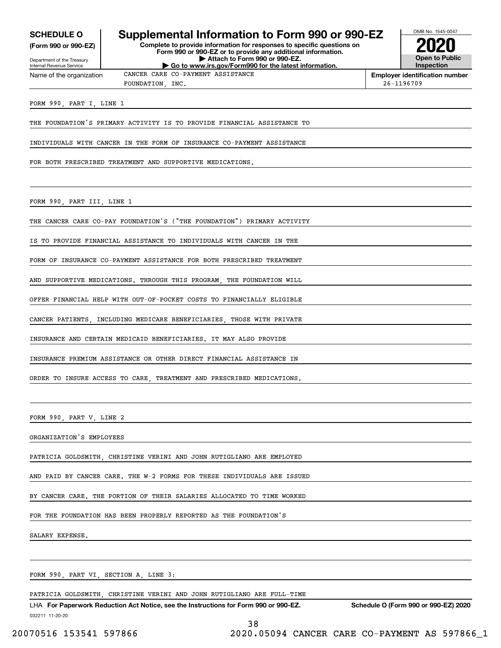**(Form 990 or 990-EZ)**

Department of the Treasury Internal Revenue Service Name of the organization

### **SCHEDULE O Supplemental Information to Form 990 or 990-EZ**

**Complete to provide information for responses to specific questions on Form 990 or 990-EZ or to provide any additional information. | Attach to Form 990 or 990-EZ. | Go to www.irs.gov/Form990 for the latest information.**



**Employer identification number** FOUNDATION, INC. 26-1196709

FORM 990, PART I, LINE 1

THE FOUNDATION'S PRIMARY ACTIVITY IS TO PROVIDE FINANCIAL ASSISTANCE TO

CANCER CARE CO-PAYMENT ASSISTANCE

INDIVIDUALS WITH CANCER IN THE FORM OF INSURANCE CO-PAYMENT ASSISTANCE

FOR BOTH PRESCRIBED TREATMENT AND SUPPORTIVE MEDICATIONS.

FORM 990, PART III, LINE 1

THE CANCER CARE CO-PAY FOUNDATION'S ("THE FOUNDATION") PRIMARY ACTIVITY

IS TO PROVIDE FINANCIAL ASSISTANCE TO INDIVIDUALS WITH CANCER IN THE

FORM OF INSURANCE CO-PAYMENT ASSISTANCE FOR BOTH PRESCRIBED TREATMENT

AND SUPPORTIVE MEDICATIONS. THROUGH THIS PROGRAM, THE FOUNDATION WILL

OFFER FINANCIAL HELP WITH OUT-OF-POCKET COSTS TO FINANCIALLY ELIGIBLE

CANCER PATIENTS, INCLUDING MEDICARE BENEFICIARIES, THOSE WITH PRIVATE

INSURANCE AND CERTAIN MEDICAID BENEFICIARIES. IT MAY ALSO PROVIDE

INSURANCE PREMIUM ASSISTANCE OR OTHER DIRECT FINANCIAL ASSISTANCE IN

ORDER TO INSURE ACCESS TO CARE, TREATMENT AND PRESCRIBED MEDICATIONS.

FORM 990, PART V, LINE 2

ORGANIZATION'S EMPLOYEES

PATRICIA GOLDSMITH, CHRISTINE VERINI AND JOHN RUTIGLIANO ARE EMPLOYED

AND PAID BY CANCER CARE. THE W-2 FORMS FOR THESE INDIVIDUALS ARE ISSUED

BY CANCER CARE. THE PORTION OF THEIR SALARIES ALLOCATED TO TIME WORKED

FOR THE FOUNDATION HAS BEEN PROPERLY REPORTED AS THE FOUNDATION'S

SALARY EXPENSE.

FORM 990, PART VI, SECTION A, LINE 3:

PATRICIA GOLDSMITH, CHRISTINE VERINI AND JOHN RUTIGLIANO ARE FULL-TIME

032211 11-20-20 LHA For Paperwork Reduction Act Notice, see the Instructions for Form 990 or 990-EZ. Schedule O (Form 990 or 990-EZ) 2020

38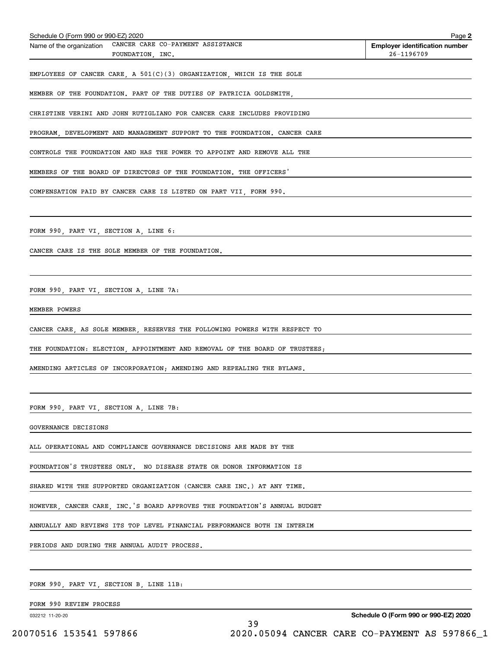| Schedule O (Form 990 or 990-EZ) 2020                                              | Page 2                                              |
|-----------------------------------------------------------------------------------|-----------------------------------------------------|
| CANCER CARE CO-PAYMENT ASSISTANCE<br>Name of the organization<br>FOUNDATION, INC. | <b>Employer identification number</b><br>26-1196709 |
| EMPLOYEES OF CANCER CARE, A $501(C)(3)$ ORGANIZATION, WHICH IS THE SOLE           |                                                     |
| MEMBER OF THE FOUNDATION. PART OF THE DUTIES OF PATRICIA GOLDSMITH,               |                                                     |
| CHRISTINE VERINI AND JOHN RUTIGLIANO FOR CANCER CARE INCLUDES PROVIDING           |                                                     |
| PROGRAM, DEVELOPMENT AND MANAGEMENT SUPPORT TO THE FOUNDATION. CANCER CARE        |                                                     |
| CONTROLS THE FOUNDATION AND HAS THE POWER TO APPOINT AND REMOVE ALL THE           |                                                     |
| MEMBERS OF THE BOARD OF DIRECTORS OF THE FOUNDATION. THE OFFICERS'                |                                                     |
| COMPENSATION PAID BY CANCER CARE IS LISTED ON PART VII, FORM 990.                 |                                                     |
|                                                                                   |                                                     |
| FORM 990, PART VI, SECTION A, LINE 6:                                             |                                                     |
| CANCER CARE IS THE SOLE MEMBER OF THE FOUNDATION.                                 |                                                     |
|                                                                                   |                                                     |
| FORM 990, PART VI, SECTION A, LINE 7A:                                            |                                                     |
| MEMBER POWERS                                                                     |                                                     |
| CANCER CARE, AS SOLE MEMBER, RESERVES THE FOLLOWING POWERS WITH RESPECT TO        |                                                     |
| THE FOUNDATION: ELECTION, APPOINTMENT AND REMOVAL OF THE BOARD OF TRUSTEES;       |                                                     |
| AMENDING ARTICLES OF INCORPORATION; AMENDING AND REPEALING THE BYLAWS.            |                                                     |
|                                                                                   |                                                     |
| FORM 990, PART VI, SECTION A, LINE 7B:                                            |                                                     |
| GOVERNANCE DECISIONS                                                              |                                                     |
| ALL OPERATIONAL AND COMPLIANCE GOVERNANCE DECISIONS ARE MADE BY THE               |                                                     |
| FOUNDATION'S TRUSTEES ONLY. NO DISEASE STATE OR DONOR INFORMATION IS              |                                                     |
| SHARED WITH THE SUPPORTED ORGANIZATION (CANCER CARE INC.) AT ANY TIME.            |                                                     |
| HOWEVER, CANCER CARE, INC. S BOARD APPROVES THE FOUNDATION'S ANNUAL BUDGET        |                                                     |
| ANNUALLY AND REVIEWS ITS TOP LEVEL FINANCIAL PERFORMANCE BOTH IN INTERIM          |                                                     |
| PERIODS AND DURING THE ANNUAL AUDIT PROCESS.                                      |                                                     |
|                                                                                   |                                                     |
| FORM 990, PART VI, SECTION B, LINE 11B:                                           |                                                     |

FORM 990 REVIEW PROCESS

032212 11-20-20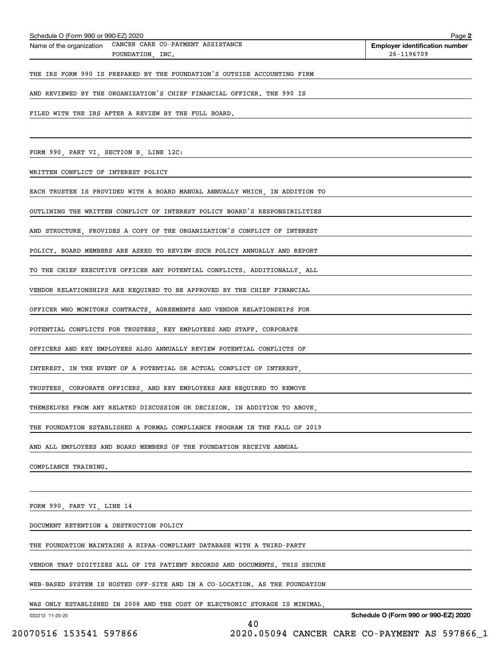| Schedule O (Form 990 or 990-EZ) 2020<br>Name of the organization CANCER CARE CO-PAYMENT ASSISTANCE | Page 2<br><b>Employer identification number</b> |
|----------------------------------------------------------------------------------------------------|-------------------------------------------------|
| FOUNDATION, INC.                                                                                   | 26-1196709                                      |
| THE IRS FORM 990 IS PREPARED BY THE FOUNDATION'S OUTSIDE ACCOUNTING FIRM                           |                                                 |
| AND REVIEWED BY THE ORGANIZATION'S CHIEF FINANCIAL OFFICER. THE 990 IS                             |                                                 |
| FILED WITH THE IRS AFTER A REVIEW BY THE FULL BOARD.                                               |                                                 |
|                                                                                                    |                                                 |
|                                                                                                    |                                                 |
| FORM 990, PART VI, SECTION B, LINE 12C:                                                            |                                                 |
| WRITTEN CONFLICT OF INTEREST POLICY                                                                |                                                 |
| EACH TRUSTEE IS PROVIDED WITH A BOARD MANUAL ANNUALLY WHICH, IN ADDITION TO                        |                                                 |
| OUTLINING THE WRITTEN CONFLICT OF INTEREST POLICY BOARD'S RESPONSIBILITIES                         |                                                 |
| AND STRUCTURE PROVIDES A COPY OF THE ORGANIZATION'S CONFLICT OF INTEREST                           |                                                 |
| POLICY, BOARD MEMBERS ARE ASKED TO REVIEW SUCH POLICY ANNUALLY AND REPORT                          |                                                 |
| TO THE CHIEF EXECUTIVE OFFICER ANY POTENTIAL CONFLICTS. ADDITIONALLY, ALL                          |                                                 |
| VENDOR RELATIONSHIPS ARE REQUIRED TO BE APPROVED BY THE CHIEF FINANCIAL                            |                                                 |
| OFFICER WHO MONITORS CONTRACTS, AGREEMENTS AND VENDOR RELATIONSHIPS FOR                            |                                                 |
| POTENTIAL CONFLICTS FOR TRUSTEES, KEY EMPLOYEES AND STAFF. CORPORATE                               |                                                 |
| OFFICERS AND KEY EMPLOYEES ALSO ANNUALLY REVIEW POTENTIAL CONFLICTS OF                             |                                                 |
| INTEREST. IN THE EVENT OF A POTENTIAL OR ACTUAL CONFLICT OF INTEREST.                              |                                                 |
| TRUSTEES CORPORATE OFFICERS AND KEY EMPLOYEES ARE REQUIRED TO REMOVE                               |                                                 |
| THEMSELVES FROM ANY RELATED DISCUSSION OR DECISION. IN ADDITION TO ABOVE,                          |                                                 |
| THE FOUNDATION ESTABLISHED A FORMAL COMPLIANCE PROGRAM IN THE FALL OF 2019                         |                                                 |
| AND ALL EMPLOYEES AND BOARD MEMBERS OF THE FOUNDATION RECEIVE ANNUAL                               |                                                 |
| COMPLIANCE TRAINING.                                                                               |                                                 |
|                                                                                                    |                                                 |
| FORM 990, PART VI, LINE 14                                                                         |                                                 |
| DOCUMENT RETENTION & DESTRUCTION POLICY                                                            |                                                 |
| THE FOUNDATION MAINTAINS A HIPAA-COMPLIANT DATABASE WITH A THIRD-PARTY                             |                                                 |
| VENDOR THAT DIGITIZES ALL OF ITS PATIENT RECORDS AND DOCUMENTS. THIS SECURE                        |                                                 |
| WEB-BASED SYSTEM IS HOSTED OFF-SITE AND IN A CO-LOCATION. AS THE FOUNDATION                        |                                                 |

WAS ONLY ESTABLISHED IN 2008 AND THE COST OF ELECTRONIC STORAGE IS MINIMAL,

032212 11-20-20

**Schedule O (Form 990 or 990-EZ) 2020**

40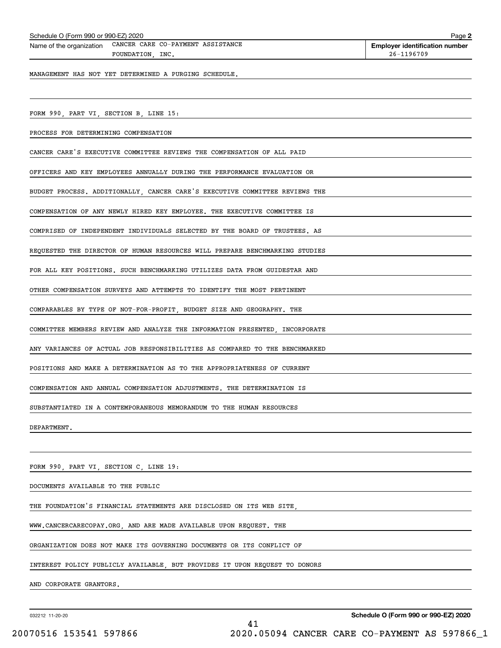| Schedule O (Form 990 or 990-EZ) 2020                                              | Page 2                                              |
|-----------------------------------------------------------------------------------|-----------------------------------------------------|
| CANCER CARE CO-PAYMENT ASSISTANCE<br>Name of the organization<br>FOUNDATION, INC. | <b>Employer identification number</b><br>26-1196709 |
| MANAGEMENT HAS NOT YET DETERMINED A PURGING SCHEDULE.                             |                                                     |
|                                                                                   |                                                     |
| FORM 990, PART VI, SECTION B, LINE 15:                                            |                                                     |
| PROCESS FOR DETERMINING COMPENSATION                                              |                                                     |
| CANCER CARE'S EXECUTIVE COMMITTEE REVIEWS THE COMPENSATION OF ALL PAID            |                                                     |
| OFFICERS AND KEY EMPLOYEES ANNUALLY DURING THE PERFORMANCE EVALUATION OR          |                                                     |
| BUDGET PROCESS. ADDITIONALLY, CANCER CARE'S EXECUTIVE COMMITTEE REVIEWS THE       |                                                     |
| COMPENSATION OF ANY NEWLY HIRED KEY EMPLOYEE. THE EXECUTIVE COMMITTEE IS          |                                                     |
| COMPRISED OF INDEPENDENT INDIVIDUALS SELECTED BY THE BOARD OF TRUSTEES. AS        |                                                     |
| REQUESTED THE DIRECTOR OF HUMAN RESOURCES WILL PREPARE BENCHMARKING STUDIES       |                                                     |
| FOR ALL KEY POSITIONS. SUCH BENCHMARKING UTILIZES DATA FROM GUIDESTAR AND         |                                                     |
| OTHER COMPENSATION SURVEYS AND ATTEMPTS TO IDENTIFY THE MOST PERTINENT            |                                                     |
| COMPARABLES BY TYPE OF NOT-FOR-PROFIT, BUDGET SIZE AND GEOGRAPHY. THE             |                                                     |
| COMMITTEE MEMBERS REVIEW AND ANALYZE THE INFORMATION PRESENTED, INCORPORATE       |                                                     |
| ANY VARIANCES OF ACTUAL JOB RESPONSIBILITIES AS COMPARED TO THE BENCHMARKED       |                                                     |
| POSITIONS AND MAKE A DETERMINATION AS TO THE APPROPRIATENESS OF CURRENT           |                                                     |
| COMPENSATION AND ANNUAL COMPENSATION ADJUSTMENTS. THE DETERMINATION IS            |                                                     |
| SUBSTANTIATED IN A CONTEMPORANEOUS MEMORANDUM TO THE HUMAN RESOURCES              |                                                     |
| DEPARTMENT.                                                                       |                                                     |
|                                                                                   |                                                     |
| FORM 990, PART VI, SECTION C, LINE 19:                                            |                                                     |
| DOCUMENTS AVAILABLE TO THE PUBLIC                                                 |                                                     |
| THE FOUNDATION'S FINANCIAL STATEMENTS ARE DISCLOSED ON ITS WEB SITE,              |                                                     |
| WWW.CANCERCARECOPAY.ORG, AND ARE MADE AVAILABLE UPON REQUEST. THE                 |                                                     |
| ORGANIZATION DOES NOT MAKE ITS GOVERNING DOCUMENTS OR ITS CONFLICT OF             |                                                     |
| INTEREST POLICY PUBLICLY AVAILABLE, BUT PROVIDES IT UPON REQUEST TO DONORS        |                                                     |
| AND CORPORATE GRANTORS.                                                           |                                                     |
|                                                                                   |                                                     |

032212 11-20-20

**Schedule O (Form 990 or 990-EZ) 2020**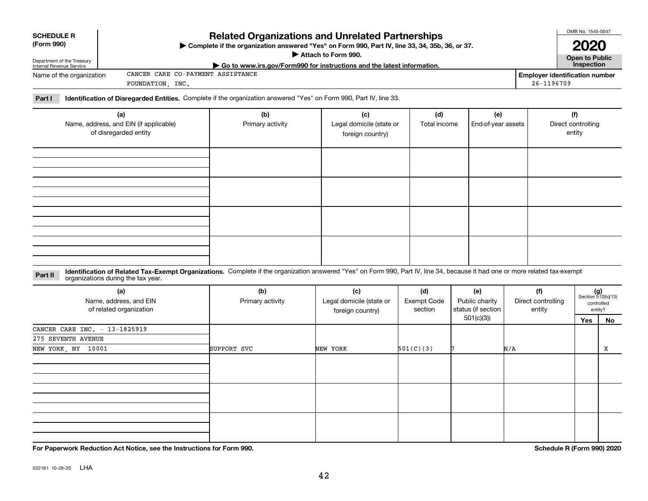| 032161 10-28-20 | LHA |
|-----------------|-----|

| (Form 990)<br>Complete if the organization answered "Yes" on Form 990, Part IV, line 33, 34, 35b, 36, or 37.<br>Attach to Form 990. |                                                                                                                    |     |                                                                                         |     |     |                                       |  |
|-------------------------------------------------------------------------------------------------------------------------------------|--------------------------------------------------------------------------------------------------------------------|-----|-----------------------------------------------------------------------------------------|-----|-----|---------------------------------------|--|
| Department of the Treasury<br>Internal Revenue Service                                                                              |                                                                                                                    |     | $\triangleright$ Go to www.irs.gov/Form990 for instructions and the latest information. |     |     | Open to Public<br><b>Inspection</b>   |  |
| Name of the organization                                                                                                            | CANCER CARE CO-PAYMENT ASSISTANCE                                                                                  |     |                                                                                         |     |     | <b>Employer identification number</b> |  |
|                                                                                                                                     | FOUNDATION INC.                                                                                                    |     |                                                                                         |     |     | 26-1196709                            |  |
| Part I                                                                                                                              | Identification of Disregarded Entities. Complete if the organization answered "Yes" on Form 990, Part IV, line 33. |     |                                                                                         |     |     |                                       |  |
|                                                                                                                                     | (a)                                                                                                                | (b) | (c)                                                                                     | (d) | (e) | (f)                                   |  |
|                                                                                                                                     |                                                                                                                    |     |                                                                                         |     |     |                                       |  |

**Related Organizations and Unrelated Partnerships**

| (a)<br>Name, address, and EIN (if applicable)<br>of disregarded entity | (b)<br>Primary activity | (c)<br>Legal domicile (state or<br>foreign country) | (d)<br>Total income | (e)<br>End-of-year assets | (f)<br>Direct controlling<br>entity |
|------------------------------------------------------------------------|-------------------------|-----------------------------------------------------|---------------------|---------------------------|-------------------------------------|
|                                                                        |                         |                                                     |                     |                           |                                     |
|                                                                        |                         |                                                     |                     |                           |                                     |
|                                                                        |                         |                                                     |                     |                           |                                     |
|                                                                        |                         |                                                     |                     |                           |                                     |

#### **Identification of Related Tax-Exempt Organizations.** Complete if the organization answered "Yes" on Form 990, Part IV, line 34, because it had one or more related tax-exempt **Part II** organizations during the tax year.

| (a)<br>Name, address, and EIN<br>of related organization | (b)<br>Primary activity | (c)<br>Legal domicile (state or<br>foreign country) | (d)<br>Exempt Code<br>section | (e)<br>Public charity<br>status (if section | (f)<br>Direct controlling<br>entity | $(g)$<br>Section 512(b)(13) | controlled<br>entity? |  |
|----------------------------------------------------------|-------------------------|-----------------------------------------------------|-------------------------------|---------------------------------------------|-------------------------------------|-----------------------------|-----------------------|--|
|                                                          |                         |                                                     |                               | 501(c)(3)                                   |                                     | Yes                         | No                    |  |
| CANCER CARE INC. - 13-1825919                            |                         |                                                     |                               |                                             |                                     |                             |                       |  |
| 275 SEVENTH AVENUE                                       |                         |                                                     |                               |                                             |                                     |                             |                       |  |
| NEW YORK, NY 10001                                       | SUPPORT SVC             | NEW YORK                                            | 501(C)(3)                     |                                             | N/A                                 |                             | x                     |  |
|                                                          |                         |                                                     |                               |                                             |                                     |                             |                       |  |
|                                                          |                         |                                                     |                               |                                             |                                     |                             |                       |  |
|                                                          |                         |                                                     |                               |                                             |                                     |                             |                       |  |

**For Paperwork Reduction Act Notice, see the Instructions for Form 990. Schedule R (Form 990) 2020**

OMB No. 1545-0047

## **Open to Public 2020**

| <b>SCHEDULE R</b> |  |
|-------------------|--|
| (Form 990)        |  |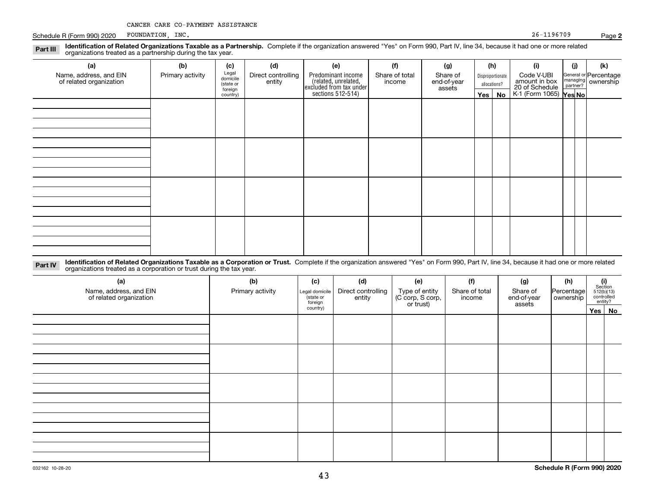Schedule R (Form 990) 2020 Page FOUNDATION, INC. 26-1196709

| Identification of Related Organizations Taxable as a Partnership. Complete if the organization answered "Yes" on Form 990, Part IV, line 34, because it had one or more related<br>Part III<br>organizations treated as a partnership during the tax year. |                  |                                           |                              |                                                                       |                          |                                   |              |                  |                                               |          |                                               |
|------------------------------------------------------------------------------------------------------------------------------------------------------------------------------------------------------------------------------------------------------------|------------------|-------------------------------------------|------------------------------|-----------------------------------------------------------------------|--------------------------|-----------------------------------|--------------|------------------|-----------------------------------------------|----------|-----------------------------------------------|
| (a)                                                                                                                                                                                                                                                        | (b)              | (c)                                       | (d)                          | (e)                                                                   | (f)                      | (g)                               | (h)          |                  | (i)                                           | (j)      | (k)                                           |
| Name, address, and EIN<br>of related organization                                                                                                                                                                                                          | Primary activity | Legal<br>domicile<br>(state or<br>foreign | Direct controlling<br>entity | Predominant income<br>(related, unrelated,<br>excluded from tax under | Share of total<br>income | Share of<br>end-of-year<br>assets | allocations? | Disproportionate | Code V-UBI<br>amount in box<br>20 of Schedule | partner? | General or Percentage<br>managing   ownership |
|                                                                                                                                                                                                                                                            |                  | country)                                  |                              | sections 512-514)                                                     |                          |                                   |              | Yes   No         | K-1 (Form 1065) Yes No                        |          |                                               |
|                                                                                                                                                                                                                                                            |                  |                                           |                              |                                                                       |                          |                                   |              |                  |                                               |          |                                               |
|                                                                                                                                                                                                                                                            |                  |                                           |                              |                                                                       |                          |                                   |              |                  |                                               |          |                                               |
|                                                                                                                                                                                                                                                            |                  |                                           |                              |                                                                       |                          |                                   |              |                  |                                               |          |                                               |
|                                                                                                                                                                                                                                                            |                  |                                           |                              |                                                                       |                          |                                   |              |                  |                                               |          |                                               |
|                                                                                                                                                                                                                                                            |                  |                                           |                              |                                                                       |                          |                                   |              |                  |                                               |          |                                               |
|                                                                                                                                                                                                                                                            |                  |                                           |                              |                                                                       |                          |                                   |              |                  |                                               |          |                                               |
|                                                                                                                                                                                                                                                            |                  |                                           |                              |                                                                       |                          |                                   |              |                  |                                               |          |                                               |
|                                                                                                                                                                                                                                                            |                  |                                           |                              |                                                                       |                          |                                   |              |                  |                                               |          |                                               |
|                                                                                                                                                                                                                                                            |                  |                                           |                              |                                                                       |                          |                                   |              |                  |                                               |          |                                               |
|                                                                                                                                                                                                                                                            |                  |                                           |                              |                                                                       |                          |                                   |              |                  |                                               |          |                                               |
|                                                                                                                                                                                                                                                            |                  |                                           |                              |                                                                       |                          |                                   |              |                  |                                               |          |                                               |
|                                                                                                                                                                                                                                                            |                  |                                           |                              |                                                                       |                          |                                   |              |                  |                                               |          |                                               |
|                                                                                                                                                                                                                                                            |                  |                                           |                              |                                                                       |                          |                                   |              |                  |                                               |          |                                               |
|                                                                                                                                                                                                                                                            |                  |                                           |                              |                                                                       |                          |                                   |              |                  |                                               |          |                                               |

| Part IV | blentification of Related Organizations Taxable as a Corporation or Trust. Complete if the organization answered "Yes" on Form 990, Part IV, line 34, because it had one or more related |
|---------|------------------------------------------------------------------------------------------------------------------------------------------------------------------------------------------|
|         |                                                                                                                                                                                          |
|         | organizations treated as a corporation or trust during the tax year.                                                                                                                     |

| (a)<br>Name, address, and EIN<br>of related organization | (b)<br>Primary activity | (c)<br>Legal domicile<br>(state or<br>foreign<br>country) | (d)<br>Direct controlling<br>entity | (e)<br>Type of entity<br>(C corp, S corp,<br>or trust) | (f)<br>Share of total<br>income | (g)<br>Share of<br>end-of-year<br>assets | (h)<br>Percentage<br>ownership | $\begin{array}{c} \textbf{(i)}\\ \text{Section}\\ 512 \text{(b)} \text{(13)}\\ \text{controlled} \end{array}$<br>entity?<br>Yes No |  |
|----------------------------------------------------------|-------------------------|-----------------------------------------------------------|-------------------------------------|--------------------------------------------------------|---------------------------------|------------------------------------------|--------------------------------|------------------------------------------------------------------------------------------------------------------------------------|--|
|                                                          |                         |                                                           |                                     |                                                        |                                 |                                          |                                |                                                                                                                                    |  |
|                                                          |                         |                                                           |                                     |                                                        |                                 |                                          |                                |                                                                                                                                    |  |
|                                                          |                         |                                                           |                                     |                                                        |                                 |                                          |                                |                                                                                                                                    |  |
|                                                          |                         |                                                           |                                     |                                                        |                                 |                                          |                                |                                                                                                                                    |  |
|                                                          |                         |                                                           |                                     |                                                        |                                 |                                          |                                |                                                                                                                                    |  |

**Schedule R (Form 990) 2020**

**2**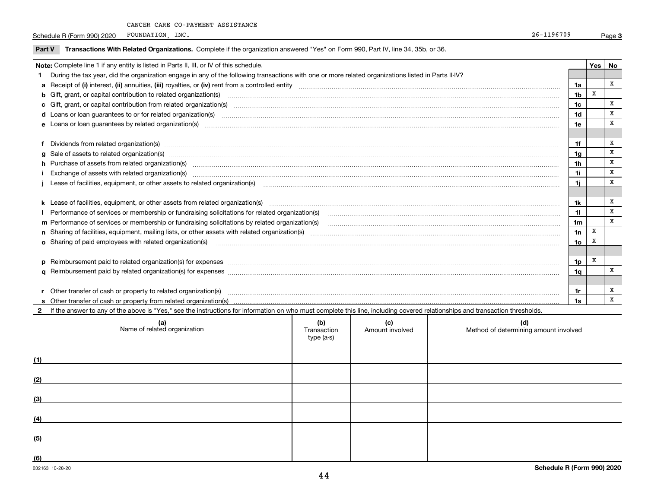Schedule R (Form 990) 2020 POUNDATION, INC. Schedule R (Form 990) 2020 POUNDATION, INC. FOUNDATION, INC.

| <b>Part V</b>                                                                           | Transactions With Related Organizations. Complete if the organization answered "Yes" on Form 990, Part IV, line 34, 35b, or 36.                                                                                                |     |   |   |  |  |  |
|-----------------------------------------------------------------------------------------|--------------------------------------------------------------------------------------------------------------------------------------------------------------------------------------------------------------------------------|-----|---|---|--|--|--|
| Note: Complete line 1 if any entity is listed in Parts II, III, or IV of this schedule. |                                                                                                                                                                                                                                |     |   |   |  |  |  |
|                                                                                         | During the tax year, did the organization engage in any of the following transactions with one or more related organizations listed in Parts II-IV?                                                                            |     |   |   |  |  |  |
|                                                                                         |                                                                                                                                                                                                                                | 1a  |   | X |  |  |  |
|                                                                                         | <b>b</b> Gift, grant, or capital contribution to related organization(s)                                                                                                                                                       | 1b  | X |   |  |  |  |
|                                                                                         | <b>c</b> Gift, grant, or capital contribution from related organization(s)                                                                                                                                                     | 1c  |   | x |  |  |  |
|                                                                                         | <b>d</b> Loans or loan quarantees to or for related organization(s)                                                                                                                                                            | 1d  |   | x |  |  |  |
|                                                                                         | <b>e</b> Loans or loan quarantees by related organization(s)                                                                                                                                                                   | 1e  |   | X |  |  |  |
|                                                                                         |                                                                                                                                                                                                                                |     |   |   |  |  |  |
|                                                                                         |                                                                                                                                                                                                                                | 1f  |   | x |  |  |  |
|                                                                                         | g Sale of assets to related organization(s) www.assettion.com/www.assettion.com/www.assettion.com/www.assettion.com/www.assettion.com/www.assettion.com/www.assettion.com/www.assettion.com/www.assettion.com/www.assettion.co | 1g  |   | X |  |  |  |
|                                                                                         | h Purchase of assets from related organization(s) manufactured content to content the content of the content of the content of the content of the content of the content of the content of the content of the content of the c | 1h  |   | x |  |  |  |
|                                                                                         | Exchange of assets with related organization(s) Examples 2008 and the contract of the contract of the contract of the contract of the contract of the contract of the contract of the contract of the contract of the contract | 1i. |   | x |  |  |  |
|                                                                                         | Lease of facilities, equipment, or other assets to related organization(s) manufactured content to the set of facilities, equipment, or other assets to related organization(s) manufactured content to the set of facilities, |     |   | X |  |  |  |
|                                                                                         |                                                                                                                                                                                                                                |     |   |   |  |  |  |
|                                                                                         |                                                                                                                                                                                                                                | 1k  |   | x |  |  |  |
|                                                                                         | Performance of services or membership or fundraising solicitations for related organization(s)                                                                                                                                 | 11  |   | x |  |  |  |
|                                                                                         | m Performance of services or membership or fundraising solicitations by related organization(s)                                                                                                                                | 1m  |   | x |  |  |  |
|                                                                                         |                                                                                                                                                                                                                                | 1n  | X |   |  |  |  |
|                                                                                         | <b>o</b> Sharing of paid employees with related organization(s)                                                                                                                                                                | 10  |   |   |  |  |  |
|                                                                                         |                                                                                                                                                                                                                                |     |   |   |  |  |  |
|                                                                                         | p Reimbursement paid to related organization(s) for expenses [1111] and the content of the content of the content of the content of the content of the content of the content of the content of the content of the content of  | 1p  | x |   |  |  |  |
|                                                                                         |                                                                                                                                                                                                                                | 1a  |   |   |  |  |  |
|                                                                                         |                                                                                                                                                                                                                                |     |   |   |  |  |  |

**s**Other transfer of cash or property from related organization(s)

**2**If the answer to any of the above is "Yes," see the instructions for information on who must complete this line, including covered relationships and transaction thresholds.

**r** Other transfer of cash or property to related organization(s) ~~~~~~~~~~~~~~~~~~~~~~~~~~~~~~~~~~~~~~~~~~~~~~~~~~~~~~~~~

| (a)<br>Name of related organization | (b)<br>Transaction<br>type (a-s) | (c)<br>Amount involved | (d)<br>Method of determining amount involved |
|-------------------------------------|----------------------------------|------------------------|----------------------------------------------|
| (1)                                 |                                  |                        |                                              |
| (2)                                 |                                  |                        |                                              |
| (3)                                 |                                  |                        |                                              |
| (4)                                 |                                  |                        |                                              |
| (5)                                 |                                  |                        |                                              |
| (6)                                 |                                  |                        |                                              |

**1r1s** X

X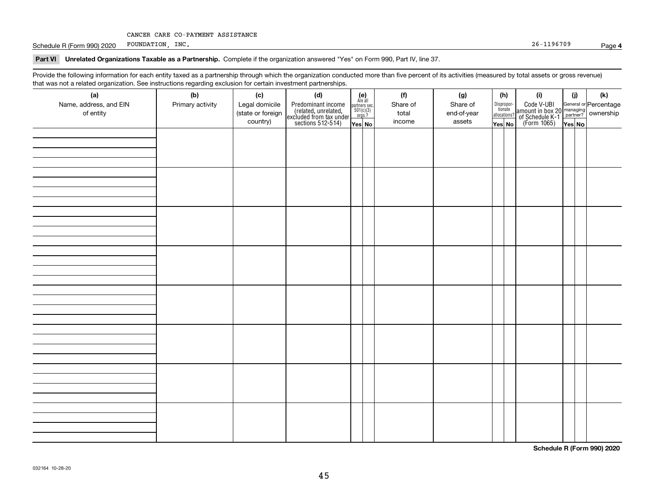Schedule R (Form 990) 2020 Page FOUNDATION, INC. 26-1196709

#### **Part VI Unrelated Organizations Taxable as a Partnership. Complete if the organization answered "Yes" on Form 990, Part IV, line 37.**

Provide the following information for each entity taxed as a partnership through which the organization conducted more than five percent of its activities (measured by total assets or gross revenue) that was not a related organization. See instructions regarding exclusion for certain investment partnerships.

| (a)                    | יי יישוטישייש טיי<br>(b) | (c)               | .<br>(d)                                                                                   |                                                                                                                    | (f)      | (g)         | (h)                   | (i)                                                                                                    | (i)    | $(\mathsf{k})$ |  |
|------------------------|--------------------------|-------------------|--------------------------------------------------------------------------------------------|--------------------------------------------------------------------------------------------------------------------|----------|-------------|-----------------------|--------------------------------------------------------------------------------------------------------|--------|----------------|--|
| Name, address, and EIN | Primary activity         | Legal domicile    |                                                                                            | $\begin{array}{c} \textbf{(e)}\\ \text{Area all} \\ \text{partners sec.}\\ 501(c)(3) \\ \text{orgs.?} \end{array}$ | Share of | Share of    | Dispropor-<br>tionate |                                                                                                        |        |                |  |
| of entity              |                          | (state or foreign |                                                                                            |                                                                                                                    | total    | end-of-year | allocations?          |                                                                                                        |        |                |  |
|                        |                          | country)          | Predominant income<br>(related, unrelated,<br>excluded from tax under<br>sections 512-514) | Yes No                                                                                                             | income   | assets      | Yes No                | Code V-UBI<br>amount in box 20 managing<br>of Schedule K-1 partner? ownership<br>(Form 1065)<br>ves No | Yes No |                |  |
|                        |                          |                   |                                                                                            |                                                                                                                    |          |             |                       |                                                                                                        |        |                |  |
|                        |                          |                   |                                                                                            |                                                                                                                    |          |             |                       |                                                                                                        |        |                |  |
|                        |                          |                   |                                                                                            |                                                                                                                    |          |             |                       |                                                                                                        |        |                |  |
|                        |                          |                   |                                                                                            |                                                                                                                    |          |             |                       |                                                                                                        |        |                |  |
|                        |                          |                   |                                                                                            |                                                                                                                    |          |             |                       |                                                                                                        |        |                |  |
|                        |                          |                   |                                                                                            |                                                                                                                    |          |             |                       |                                                                                                        |        |                |  |
|                        |                          |                   |                                                                                            |                                                                                                                    |          |             |                       |                                                                                                        |        |                |  |
|                        |                          |                   |                                                                                            |                                                                                                                    |          |             |                       |                                                                                                        |        |                |  |
|                        |                          |                   |                                                                                            |                                                                                                                    |          |             |                       |                                                                                                        |        |                |  |
|                        |                          |                   |                                                                                            |                                                                                                                    |          |             |                       |                                                                                                        |        |                |  |
|                        |                          |                   |                                                                                            |                                                                                                                    |          |             |                       |                                                                                                        |        |                |  |
|                        |                          |                   |                                                                                            |                                                                                                                    |          |             |                       |                                                                                                        |        |                |  |
|                        |                          |                   |                                                                                            |                                                                                                                    |          |             |                       |                                                                                                        |        |                |  |
|                        |                          |                   |                                                                                            |                                                                                                                    |          |             |                       |                                                                                                        |        |                |  |
|                        |                          |                   |                                                                                            |                                                                                                                    |          |             |                       |                                                                                                        |        |                |  |
|                        |                          |                   |                                                                                            |                                                                                                                    |          |             |                       |                                                                                                        |        |                |  |
|                        |                          |                   |                                                                                            |                                                                                                                    |          |             |                       |                                                                                                        |        |                |  |
|                        |                          |                   |                                                                                            |                                                                                                                    |          |             |                       |                                                                                                        |        |                |  |
|                        |                          |                   |                                                                                            |                                                                                                                    |          |             |                       |                                                                                                        |        |                |  |
|                        |                          |                   |                                                                                            |                                                                                                                    |          |             |                       |                                                                                                        |        |                |  |
|                        |                          |                   |                                                                                            |                                                                                                                    |          |             |                       |                                                                                                        |        |                |  |
|                        |                          |                   |                                                                                            |                                                                                                                    |          |             |                       |                                                                                                        |        |                |  |
|                        |                          |                   |                                                                                            |                                                                                                                    |          |             |                       |                                                                                                        |        |                |  |
|                        |                          |                   |                                                                                            |                                                                                                                    |          |             |                       |                                                                                                        |        |                |  |
|                        |                          |                   |                                                                                            |                                                                                                                    |          |             |                       |                                                                                                        |        |                |  |
|                        |                          |                   |                                                                                            |                                                                                                                    |          |             |                       |                                                                                                        |        |                |  |
|                        |                          |                   |                                                                                            |                                                                                                                    |          |             |                       |                                                                                                        |        |                |  |
|                        |                          |                   |                                                                                            |                                                                                                                    |          |             |                       |                                                                                                        |        |                |  |
|                        |                          |                   |                                                                                            |                                                                                                                    |          |             |                       |                                                                                                        |        |                |  |
|                        |                          |                   |                                                                                            |                                                                                                                    |          |             |                       |                                                                                                        |        |                |  |
|                        |                          |                   |                                                                                            |                                                                                                                    |          |             |                       |                                                                                                        |        |                |  |
|                        |                          |                   |                                                                                            |                                                                                                                    |          |             |                       |                                                                                                        |        |                |  |
|                        |                          |                   |                                                                                            |                                                                                                                    |          |             |                       |                                                                                                        |        |                |  |

**Schedule R (Form 990) 2020**